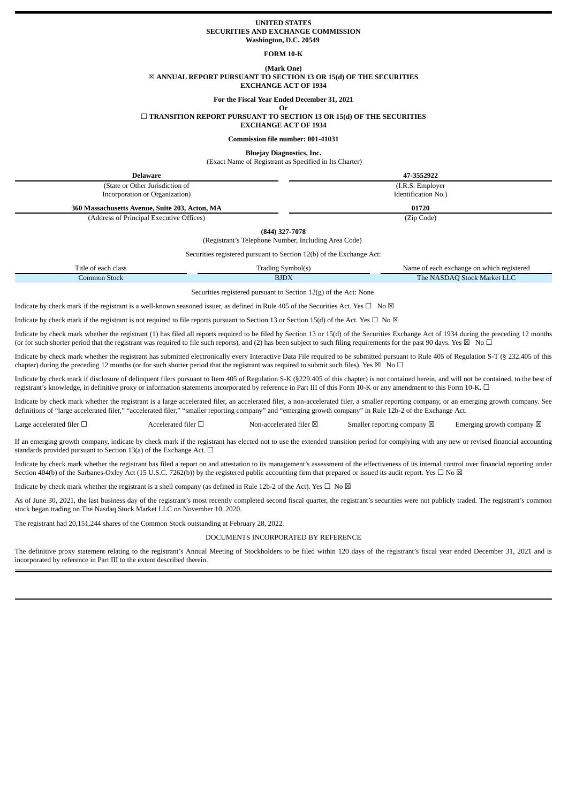#### **UNITED STATES SECURITIES AND EXCHANGE COMMISSION Washington, D.C. 20549**

# **FORM 10-K**

#### **(Mark One)** ☒ **ANNUAL REPORT PURSUANT TO SECTION 13 OR 15(d) OF THE SECURITIES EXCHANGE ACT OF 1934**

#### **For the Fiscal Year Ended December 31, 2021**

**Or**

☐ **TRANSITION REPORT PURSUANT TO SECTION 13 OR 15(d) OF THE SECURITIES**

**EXCHANGE ACT OF 1934**

#### **Commission file number: 001-41031**

**Bluejay Diagnostics, Inc.**

(Exact Name of Registrant as Specified in Its Charter)

| <b>Delaware</b>                                | 47-3552922          |  |
|------------------------------------------------|---------------------|--|
| (State or Other Jurisdiction of                | (I.R.S. Employer)   |  |
| Incorporation or Organization)                 | Identification No.) |  |
| 360 Massachusetts Avenue, Suite 203, Acton, MA | 01720               |  |
| (Address of Principal Executive Offices)       | (Zip Code)          |  |
| (844) 327-7078                                 |                     |  |

(Registrant's Telephone Number, Including Area Code)

Securities registered pursuant to Section 12(b) of the Exchange Act:

| l'itle of each<br>class | Symbol(s)<br>.radıng | Name of each exchange on which registered   |
|-------------------------|----------------------|---------------------------------------------|
| <b>Common Stock</b>     | <b>BJDX</b>          | , Stock Market<br>NASDA<br>l ne<br>$\cdots$ |

Securities registered pursuant to Section 12(g) of the Act: None

Indicate by check mark if the registrant is a well-known seasoned issuer, as defined in Rule 405 of the Securities Act. Yes  $\Box$  No  $\boxtimes$ 

Indicate by check mark if the registrant is not required to file reports pursuant to Section 13 or Section 15(d) of the Act. Yes  $\Box$  No  $\boxtimes$ 

Indicate by check mark whether the registrant (1) has filed all reports required to be filed by Section 13 or 15(d) of the Securities Exchange Act of 1934 during the preceding 12 months (or for such shorter period that the registrant was required to file such reports), and (2) has been subject to such filing requirements for the past 90 days. Yes  $\boxtimes$  No  $\Box$ 

Indicate by check mark whether the registrant has submitted electronically every Interactive Data File required to be submitted pursuant to Rule 405 of Regulation S-T (§ 232.405 of this chapter) during the preceding 12 months (or for such shorter period that the registrant was required to submit such files). Yes  $\boxtimes$  No  $\Box$ 

Indicate by check mark if disclosure of delinquent filers pursuant to Item 405 of Regulation S-K (§229.405 of this chapter) is not contained herein, and will not be contained, to the best of registrant's knowledge, in definitive proxy or information statements incorporated by reference in Part III of this Form 10-K or any amendment to this Form 10-K. □

Indicate by check mark whether the registrant is a large accelerated filer, an accelerated filer, a smaller reporting company, or an emerging growth company. See definitions of "large accelerated filer," "accelerated filer," "smaller reporting company" and "emerging growth company" in Rule 12b-2 of the Exchange Act.

Large accelerated filer □ Accelerated filer □ Non-accelerated filer ⊠ Smaller reporting company ⊠ Emerging growth company ⊠

If an emerging growth company, indicate by check mark if the registrant has elected not to use the extended transition period for complying with any new or revised financial accounting standards provided pursuant to Section 13(a) of the Exchange Act.  $\Box$ 

Indicate by check mark whether the registrant has filed a report on and attestation to its management's assessment of the effectiveness of its internal control over financial reporting under Section 404(b) of the Sarbanes-Oxley Act (15 U.S.C. 7262(b)) by the registered public accounting firm that prepared or issued its audit report. Yes  $\Box$  No  $\boxtimes$ 

Indicate by check mark whether the registrant is a shell company (as defined in Rule 12b-2 of the Act). Yes  $\Box$  No  $\boxtimes$ 

As of June 30, 2021, the last business day of the registrant's most recently completed second fiscal quarter, the registrant's securities were not publicly traded. The registrant's common stock began trading on The Nasdaq Stock Market LLC on November 10, 2020.

The registrant had 20,151,244 shares of the Common Stock outstanding at February 28, 2022.

## DOCUMENTS INCORPORATED BY REFERENCE

The definitive proxy statement relating to the registrant's Annual Meeting of Stockholders to be filed within 120 days of the registrant's fiscal year ended December 31, 2021 and is incorporated by reference in Part III to the extent described therein.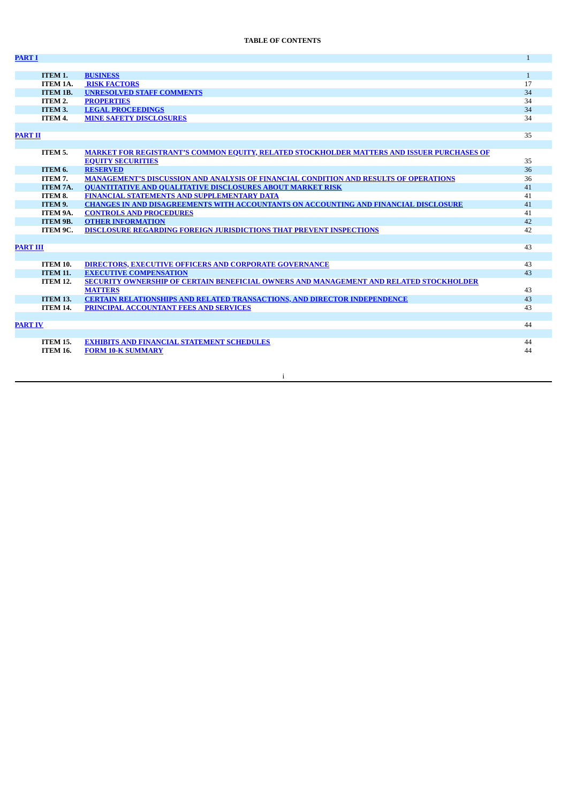# **TABLE OF CONTENTS**

| <b>PART I</b>  |                 |                                                                                                   | $\mathbf{1}$ |
|----------------|-----------------|---------------------------------------------------------------------------------------------------|--------------|
|                |                 |                                                                                                   |              |
|                | ITEM 1.         | <b>BUSINESS</b>                                                                                   | $\mathbf{1}$ |
|                | ITEM 1A.        | <b>RISK FACTORS</b>                                                                               | 17           |
|                | <b>ITEM 1B.</b> | <b>UNRESOLVED STAFF COMMENTS</b>                                                                  | 34           |
|                | ITEM 2.         | <b>PROPERTIES</b>                                                                                 | 34           |
|                | ITEM 3.         | <b>LEGAL PROCEEDINGS</b>                                                                          | 34           |
|                | ITEM 4.         | <b>MINE SAFETY DISCLOSURES</b>                                                                    | 34           |
|                |                 |                                                                                                   |              |
| <b>PART II</b> |                 |                                                                                                   | 35           |
|                |                 |                                                                                                   |              |
|                | ITEM 5.         | <b>MARKET FOR REGISTRANT'S COMMON EQUITY, RELATED STOCKHOLDER MATTERS AND ISSUER PURCHASES OF</b> |              |
|                |                 | <b>EQUITY SECURITIES</b>                                                                          | 35           |
|                | ITEM 6.         | <b>RESERVED</b>                                                                                   | 36           |
|                | ITEM 7.         | <b>MANAGEMENT'S DISCUSSION AND ANALYSIS OF FINANCIAL CONDITION AND RESULTS OF OPERATIONS</b>      | 36           |
|                | ITEM 7A.        | <b>QUANTITATIVE AND QUALITATIVE DISCLOSURES ABOUT MARKET RISK</b>                                 | 41           |
|                | ITEM 8.         | FINANCIAL STATEMENTS AND SUPPLEMENTARY DATA                                                       | 41           |
|                | ITEM 9.         | <b>CHANGES IN AND DISAGREEMENTS WITH ACCOUNTANTS ON ACCOUNTING AND FINANCIAL DISCLOSURE</b>       | 41           |
|                | ITEM 9A.        | <b>CONTROLS AND PROCEDURES</b>                                                                    | 41           |
|                | ITEM 9B.        | <b>OTHER INFORMATION</b>                                                                          | 42           |
|                | ITEM 9C.        | <b>DISCLOSURE REGARDING FOREIGN JURISDICTIONS THAT PREVENT INSPECTIONS</b>                        | 42           |
|                |                 |                                                                                                   |              |
|                | <b>PART III</b> |                                                                                                   | 43           |
|                |                 |                                                                                                   |              |
|                | <b>ITEM 10.</b> | <b>DIRECTORS, EXECUTIVE OFFICERS AND CORPORATE GOVERNANCE</b>                                     | 43           |
|                | <b>ITEM 11.</b> | <b>EXECUTIVE COMPENSATION</b>                                                                     | 43           |
|                | <b>ITEM 12.</b> | SECURITY OWNERSHIP OF CERTAIN BENEFICIAL OWNERS AND MANAGEMENT AND RELATED STOCKHOLDER            |              |
|                |                 | <b>MATTERS</b>                                                                                    | 43           |
|                | <b>ITEM 13.</b> | <b>CERTAIN RELATIONSHIPS AND RELATED TRANSACTIONS, AND DIRECTOR INDEPENDENCE</b>                  | 43           |
|                | <b>ITEM 14.</b> | PRINCIPAL ACCOUNTANT FEES AND SERVICES                                                            | 43           |
|                |                 |                                                                                                   |              |
| <b>PART IV</b> |                 |                                                                                                   | 44           |
|                |                 |                                                                                                   |              |
|                | <b>ITEM 15.</b> | <b>EXHIBITS AND FINANCIAL STATEMENT SCHEDULES</b>                                                 | 44           |
|                | <b>ITEM 16.</b> | <b>FORM 10-K SUMMARY</b>                                                                          | 44           |
|                |                 |                                                                                                   |              |

i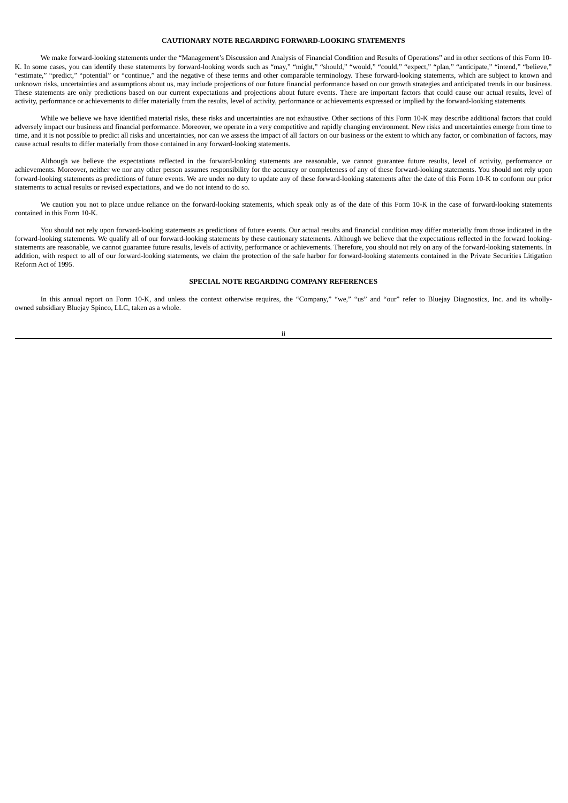# **CAUTIONARY NOTE REGARDING FORWARD-LOOKING STATEMENTS**

We make forward-looking statements under the "Management's Discussion and Analysis of Financial Condition and Results of Operations" and in other sections of this Form 10- K. In some cases, you can identify these statements by forward-looking words such as "may," "might," "should," "would," "could," "expect," "plan," "anticipate," "intend," "believe," "estimate," "predict," "potential" or "continue," and the negative of these terms and other comparable terminology. These forward-looking statements, which are subject to known and unknown risks, uncertainties and assumptions about us, may include projections of our future financial performance based on our growth strategies and anticipated trends in our business. These statements are only predictions based on our current expectations and projections about future events. There are important factors that could cause our actual results, level of activity, performance or achievements to differ materially from the results, level of activity, performance or achievements expressed or implied by the forward-looking statements.

While we believe we have identified material risks, these risks and uncertainties are not exhaustive. Other sections of this Form 10-K may describe additional factors that could adversely impact our business and financial performance. Moreover, we operate in a very competitive and rapidly changing environment. New risks and uncertainties emerge from time to time, and it is not possible to predict all risks and uncertainties, nor can we assess the impact of all factors on our business or the extent to which any factor, or combination of factors, may cause actual results to differ materially from those contained in any forward-looking statements.

Although we believe the expectations reflected in the forward-looking statements are reasonable, we cannot guarantee future results, level of activity, performance or achievements. Moreover, neither we nor any other person assumes responsibility for the accuracy or completeness of any of these forward-looking statements. You should not rely upon forward-looking statements as predictions of future events. We are under no duty to update any of these forward-looking statements after the date of this Form 10-K to conform our prior statements to actual results or revised expectations, and we do not intend to do so.

We caution you not to place undue reliance on the forward-looking statements, which speak only as of the date of this Form 10-K in the case of forward-looking statements contained in this Form 10-K.

You should not rely upon forward-looking statements as predictions of future events. Our actual results and financial condition may differ materially from those indicated in the forward-looking statements. We qualify all of our forward-looking statements by these cautionary statements. Although we believe that the expectations reflected in the forward lookingstatements are reasonable, we cannot guarantee future results, levels of activity, performance or achievements. Therefore, you should not rely on any of the forward-looking statements. In addition, with respect to all of our forward-looking statements, we claim the protection of the safe harbor for forward-looking statements contained in the Private Securities Litigation Reform Act of 1995.

# **SPECIAL NOTE REGARDING COMPANY REFERENCES**

In this annual report on Form 10-K, and unless the context otherwise requires, the "Company," "we," "us" and "our" refer to Bluejay Diagnostics, Inc. and its whollyowned subsidiary Bluejay Spinco, LLC, taken as a whole.

ii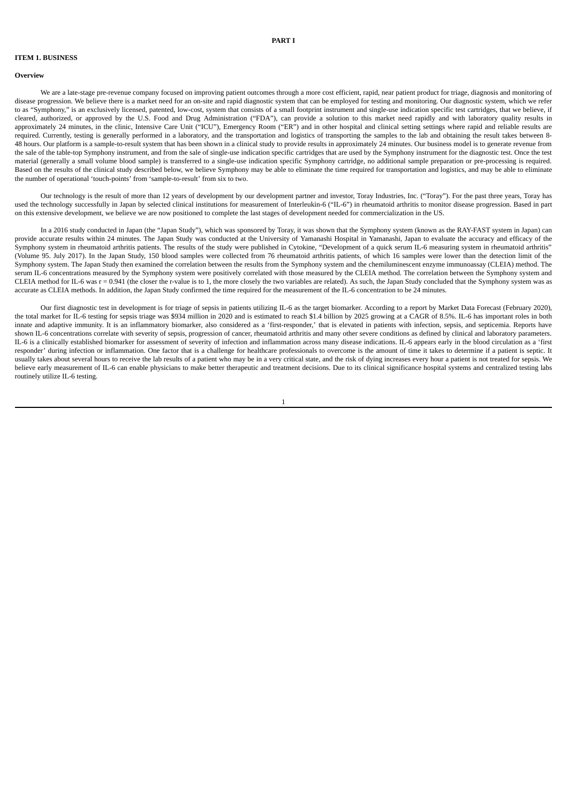# <span id="page-3-1"></span><span id="page-3-0"></span>**ITEM 1. BUSINESS**

#### **Overview**

We are a late-stage pre-revenue company focused on improving patient outcomes through a more cost efficient, rapid, near patient product for triage, diagnosis and monitoring of disease progression. We believe there is a market need for an on-site and rapid diagnostic system that can be employed for testing and monitoring. Our diagnostic system, which we refer to as "Symphony," is an exclusively licensed, patented, low-cost, system that consists of a small footprint instrument and single-use indication specific test cartridges, that we believe, if cleared, authorized, or approved by the U.S. Food and Drug Administration ("FDA"), can provide a solution to this market need rapidly and with laboratory quality results in approximately 24 minutes, in the clinic, Intensive Care Unit ("ICU"), Emergency Room ("ER") and in other hospital and clinical setting settings where rapid and reliable results are required. Currently, testing is generally performed in a laboratory, and the transportation and logistics of transporting the samples to the lab and obtaining the result takes between 8-48 hours. Our platform is a sample-to-result system that has been shown in a clinical study to provide results in approximately 24 minutes. Our business model is to generate revenue from the sale of the table-top Symphony instrument, and from the sale of single-use indication specific cartridges that are used by the Symphony instrument for the diagnostic test. Once the test material (generally a small volume blood sample) is transferred to a single-use indication specific Symphony cartridge, no additional sample preparation or pre-processing is required. Based on the results of the clinical study described below, we believe Symphony may be able to eliminate the time required for transportation and logistics, and may be able to eliminate the number of operational 'touch-points' from 'sample-to-result' from six to two.

Our technology is the result of more than 12 years of development by our development partner and investor, Toray Industries, Inc. ("Toray"). For the past three years, Toray has used the technology successfully in Japan by selected clinical institutions for measurement of Interleukin-6 ("IL-6") in rheumatoid arthritis to monitor disease progression. Based in part on this extensive development, we believe we are now positioned to complete the last stages of development needed for commercialization in the US.

In a 2016 study conducted in Japan (the "Japan Study"), which was sponsored by Toray, it was shown that the Symphony system (known as the RAY-FAST system in Japan) can provide accurate results within 24 minutes. The Japan Study was conducted at the University of Yamanashi Hospital in Yamanashi, Japan to evaluate the accuracy and efficacy of the Symphony system in rheumatoid arthritis patients. The results of the study were published in Cytokine, "Development of a quick serum IL-6 measuring system in rheumatoid arthritis" (Volume 95. July 2017). In the Japan Study, 150 blood samples were collected from 76 rheumatoid arthritis patients, of which 16 samples were lower than the detection limit of the Symphony system. The Japan Study then examined the correlation between the results from the Symphony system and the chemiluminescent enzyme immunoassay (CLEIA) method. The serum IL-6 concentrations measured by the Symphony system were positively correlated with those measured by the CLEIA method. The correlation between the Symphony system and CLEIA method for IL-6 was  $r = 0.941$  (the closer the r-value is to 1, the more closely the two variables are related). As such, the Japan Study concluded that the Symphony system was as accurate as CLEIA methods. In addition, the Japan Study confirmed the time required for the measurement of the IL-6 concentration to be 24 minutes.

Our first diagnostic test in development is for triage of sepsis in patients utilizing IL-6 as the target biomarker. According to a report by Market Data Forecast (February 2020), the total market for IL-6 testing for sepsis triage was \$934 million in 2020 and is estimated to reach \$1.4 billion by 2025 growing at a CAGR of 8.5%. IL-6 has important roles in both innate and adaptive immunity. It is an inflammatory biomarker, also considered as a 'first-responder,' that is elevated in patients with infection, sepsis, and septicemia. Reports have shown IL-6 concentrations correlate with severity of sepsis, progression of cancer, rheumatoid arthritis and many other severe conditions as defined by clinical and laboratory parameters. IL-6 is a clinically established biomarker for assessment of severity of infection and inflammation across many disease indications. IL-6 appears early in the blood circulation as a 'first responder' during infection or inflammation. One factor that is a challenge for healthcare professionals to overcome is the amount of time it takes to determine if a patient is septic. It usually takes about several hours to receive the lab results of a patient who may be in a very critical state, and the risk of dying increases every hour a patient is not treated for sepsis. We believe early measurement of IL-6 can enable physicians to make better therapeutic and treatment decisions. Due to its clinical significance hospital systems and centralized testing labs routinely utilize IL-6 testing.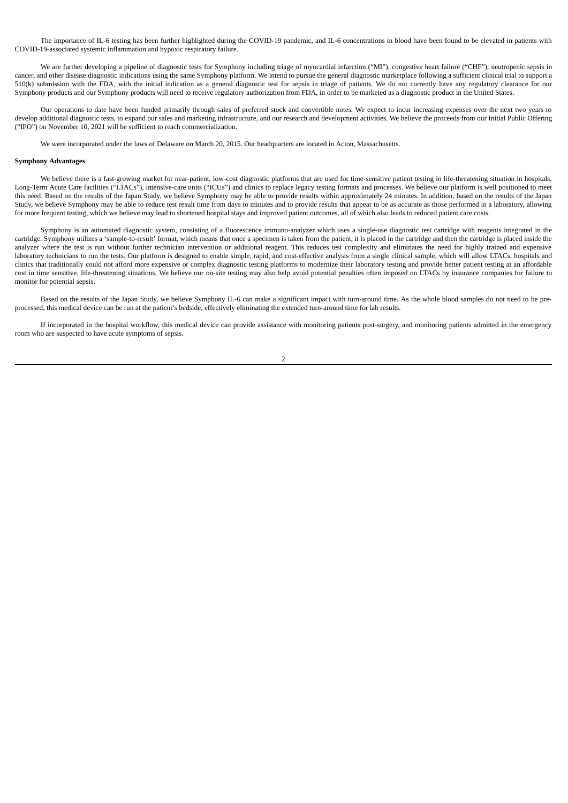The importance of IL-6 testing has been further highlighted during the COVID-19 pandemic, and IL-6 concentrations in blood have been found to be elevated in patients with COVID-19-associated systemic inflammation and hypoxic respiratory failure.

We are further developing a pipeline of diagnostic tests for Symphony including triage of myocardial infarction ("MI"), congestive heart failure ("CHF"), neutropenic sepsis in cancer, and other disease diagnostic indications using the same Symphony platform. We intend to pursue the general diagnostic marketplace following a sufficient clinical trial to support a 510(k) submission with the FDA, with the initial indication as a general diagnostic test for sepsis in triage of patients. We do not currently have any regulatory clearance for our Symphony products and our Symphony products will need to receive regulatory authorization from FDA, in order to be marketed as a diagnostic product in the United States.

Our operations to date have been funded primarily through sales of preferred stock and convertible notes. We expect to incur increasing expenses over the next two years to develop additional diagnostic tests, to expand our sales and marketing infrastructure, and our research and development activities. We believe the proceeds from our Initial Public Offering ("IPO") on November 10, 2021 will be sufficient to reach commercialization.

We were incorporated under the laws of Delaware on March 20, 2015. Our headquarters are located in Acton, Massachusetts.

## **Symphony Advantages**

We believe there is a fast-growing market for near-patient, low-cost diagnostic platforms that are used for time-sensitive patient testing in life-threatening situation in hospitals, Long-Term Acute Care facilities ("LTACs"), intensive-care units ("ICUs") and clinics to replace legacy testing formats and processes. We believe our platform is well positioned to meet this need. Based on the results of the Japan Study, we believe Symphony may be able to provide results within approximately 24 minutes. In addition, based on the results of the Japan Study, we believe Symphony may be able to reduce test result time from days to minutes and to provide results that appear to be as accurate as those performed in a laboratory, allowing for more frequent testing, which we believe may lead to shortened hospital stays and improved patient outcomes, all of which also leads to reduced patient care costs.

Symphony is an automated diagnostic system, consisting of a fluorescence immuno-analyzer which uses a single-use diagnostic test cartridge with reagents integrated in the cartridge. Symphony utilizes a 'sample-to-result' format, which means that once a specimen is taken from the patient, it is placed in the cartridge and then the cartridge is placed inside the analyzer where the test is run without further technician intervention or additional reagent. This reduces test complexity and eliminates the need for highly trained and expensive laboratory technicians to run the tests. Our platform is designed to enable simple, rapid, and cost-effective analysis from a single clinical sample, which will allow LTACs, hospitals and clinics that traditionally could not afford more expensive or complex diagnostic testing platforms to modernize their laboratory testing and provide better patient testing at an affordable cost in time sensitive, life-threatening situations. We believe our on-site testing may also help avoid potential penalties often imposed on LTACs by insurance companies for failure to monitor for potential sepsis.

Based on the results of the Japan Study, we believe Symphony IL-6 can make a significant impact with turn-around time. As the whole blood samples do not need to be preprocessed, this medical device can be run at the patient's bedside, effectively eliminating the extended turn-around time for lab results.

If incorporated in the hospital workflow, this medical device can provide assistance with monitoring patients post-surgery, and monitoring patients admitted in the emergency room who are suspected to have acute symptoms of sepsis.

 $\overline{2}$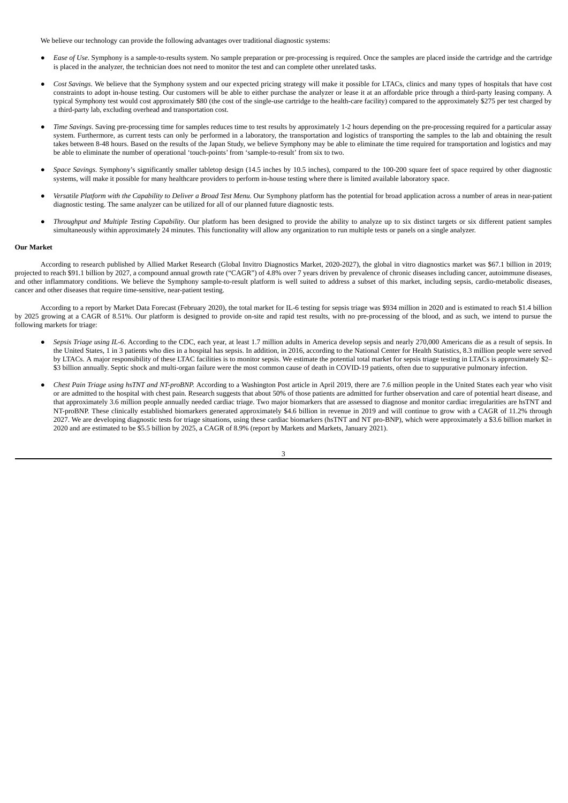We believe our technology can provide the following advantages over traditional diagnostic systems:

- *Ease of Use*. Symphony is a sample-to-results system. No sample preparation or pre-processing is required. Once the samples are placed inside the cartridge and the cartridge is placed in the analyzer, the technician does not need to monitor the test and can complete other unrelated tasks.
- *● Cost Savings*. We believe that the Symphony system and our expected pricing strategy will make it possible for LTACs, clinics and many types of hospitals that have cost constraints to adopt in-house testing. Our customers will be able to either purchase the analyzer or lease it at an affordable price through a third-party leasing company. A typical Symphony test would cost approximately \$80 (the cost of the single-use cartridge to the health-care facility) compared to the approximately \$275 per test charged by a third-party lab, excluding overhead and transportation cost.
- *Time Savings*. Saving pre-processing time for samples reduces time to test results by approximately 1-2 hours depending on the pre-processing required for a particular assay system. Furthermore, as current tests can only be performed in a laboratory, the transportation and logistics of transporting the samples to the lab and obtaining the result takes between 8-48 hours. Based on the results of the Japan Study, we believe Symphony may be able to eliminate the time required for transportation and logistics and may be able to eliminate the number of operational 'touch-points' from 'sample-to-result' from six to two.
- *Space Savings*. Symphony's significantly smaller tabletop design (14.5 inches by 10.5 inches), compared to the 100-200 square feet of space required by other diagnostic systems, will make it possible for many healthcare providers to perform in-house testing where there is limited available laboratory space.
- Versatile Platform with the Capability to Deliver a Broad Test Menu. Our Symphony platform has the potential for broad application across a number of areas in near-patient diagnostic testing. The same analyzer can be utilized for all of our planned future diagnostic tests.
- *Throughput and Multiple Testing Capability*. Our platform has been designed to provide the ability to analyze up to six distinct targets or six different patient samples simultaneously within approximately 24 minutes. This functionality will allow any organization to run multiple tests or panels on a single analyzer.

## **Our Market**

According to research published by Allied Market Research (Global Invitro Diagnostics Market, 2020-2027), the global in vitro diagnostics market was \$67.1 billion in 2019; projected to reach \$91.1 billion by 2027, a compound annual growth rate ("CAGR") of 4.8% over 7 years driven by prevalence of chronic diseases including cancer, autoimmune diseases, and other inflammatory conditions. We believe the Symphony sample-to-result platform is well suited to address a subset of this market, including sepsis, cardio-metabolic diseases, cancer and other diseases that require time-sensitive, near-patient testing.

According to a report by Market Data Forecast (February 2020), the total market for IL-6 testing for sepsis triage was \$934 million in 2020 and is estimated to reach \$1.4 billion by 2025 growing at a CAGR of 8.51%. Our platform is designed to provide on-site and rapid test results, with no pre-processing of the blood, and as such, we intend to pursue the following markets for triage:

- Sepsis Triage using IL-6. According to the CDC, each year, at least 1.7 million adults in America develop sepsis and nearly 270,000 Americans die as a result of sepsis. In the United States, 1 in 3 patients who dies in a hospital has sepsis. In addition, in 2016, according to the National Center for Health Statistics, 8.3 million people were served by LTACs. A major responsibility of these LTAC facilities is to monitor sepsis. We estimate the potential total market for sepsis triage testing in LTACs is approximately \$2– \$3 billion annually. Septic shock and multi-organ failure were the most common cause of death in COVID-19 patients, often due to suppurative pulmonary infection.
- *Chest Pain Triage using hsTNT and NT-proBNP.* According to a Washington Post article in April 2019, there are 7.6 million people in the United States each year who visit or are admitted to the hospital with chest pain. Research suggests that about 50% of those patients are admitted for further observation and care of potential heart disease, and that approximately 3.6 million people annually needed cardiac triage. Two major biomarkers that are assessed to diagnose and monitor cardiac irregularities are hsTNT and NT-proBNP. These clinically established biomarkers generated approximately \$4.6 billion in revenue in 2019 and will continue to grow with a CAGR of 11.2% through 2027. We are developing diagnostic tests for triage situations, using these cardiac biomarkers (hsTNT and NT pro-BNP), which were approximately a \$3.6 billion market in 2020 and are estimated to be \$5.5 billion by 2025, a CAGR of 8.9% (report by Markets and Markets, January 2021).

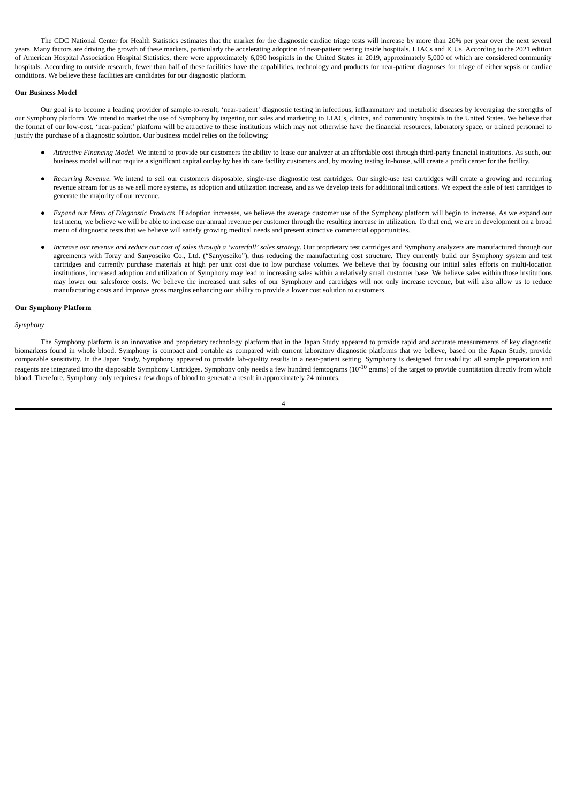The CDC National Center for Health Statistics estimates that the market for the diagnostic cardiac triage tests will increase by more than 20% per year over the next several years. Many factors are driving the growth of these markets, particularly the accelerating adoption of near-patient testing inside hospitals, LTACs and ICUs. According to the 2021 edition of American Hospital Association Hospital Statistics, there were approximately 6,090 hospitals in the United States in 2019, approximately 5,000 of which are considered community hospitals. According to outside research, fewer than half of these facilities have the capabilities, technology and products for near-patient diagnoses for triage of either sepsis or cardiac conditions. We believe these facilities are candidates for our diagnostic platform.

#### **Our Business Model**

Our goal is to become a leading provider of sample-to-result, 'near-patient' diagnostic testing in infectious, inflammatory and metabolic diseases by leveraging the strengths of our Symphony platform. We intend to market the use of Symphony by targeting our sales and marketing to LTACs, clinics, and community hospitals in the United States. We believe that the format of our low-cost, 'near-patient' platform will be attractive to these institutions which may not otherwise have the financial resources, laboratory space, or trained personnel to justify the purchase of a diagnostic solution. Our business model relies on the following:

- *Attractive Financing Model*. We intend to provide our customers the ability to lease our analyzer at an affordable cost through third-party financial institutions. As such, our business model will not require a significant capital outlay by health care facility customers and, by moving testing in-house, will create a profit center for the facility.
- Recurring Revenue. We intend to sell our customers disposable, single-use diagnostic test cartridges. Our single-use test cartridges will create a growing and recurring revenue stream for us as we sell more systems, as adoption and utilization increase, and as we develop tests for additional indications. We expect the sale of test cartridges to generate the majority of our revenue.
- *Expand our Menu of Diagnostic Products*. If adoption increases, we believe the average customer use of the Symphony platform will begin to increase. As we expand our test menu, we believe we will be able to increase our annual revenue per customer through the resulting increase in utilization. To that end, we are in development on a broad menu of diagnostic tests that we believe will satisfy growing medical needs and present attractive commercial opportunities.
- Increase our revenue and reduce our cost of sales throuah a 'waterfall' sales strategy. Our proprietary test cartridges and Symphony analyzers are manufactured through our agreements with Toray and Sanyoseiko Co., Ltd. ("Sanyoseiko"), thus reducing the manufacturing cost structure. They currently build our Symphony system and test cartridges and currently purchase materials at high per unit cost due to low purchase volumes. We believe that by focusing our initial sales efforts on multi-location institutions, increased adoption and utilization of Symphony may lead to increasing sales within a relatively small customer base. We believe sales within those institutions may lower our salesforce costs. We believe the increased unit sales of our Symphony and cartridges will not only increase revenue, but will also allow us to reduce manufacturing costs and improve gross margins enhancing our ability to provide a lower cost solution to customers.

## **Our Symphony Platform**

#### *Symphony*

The Symphony platform is an innovative and proprietary technology platform that in the Japan Study appeared to provide rapid and accurate measurements of key diagnostic biomarkers found in whole blood. Symphony is compact and portable as compared with current laboratory diagnostic platforms that we believe, based on the Japan Study, provide comparable sensitivity. In the Japan Study, Symphony appeared to provide lab-quality results in a near-patient setting. Symphony is designed for usability; all sample preparation and reagents are integrated into the disposable Symphony Cartridges. Symphony only needs a few hundred femtograms  $(10^{-10}$  grams) of the target to provide quantitation directly from whole blood. Therefore, Symphony only requires a few drops of blood to generate a result in approximately 24 minutes.

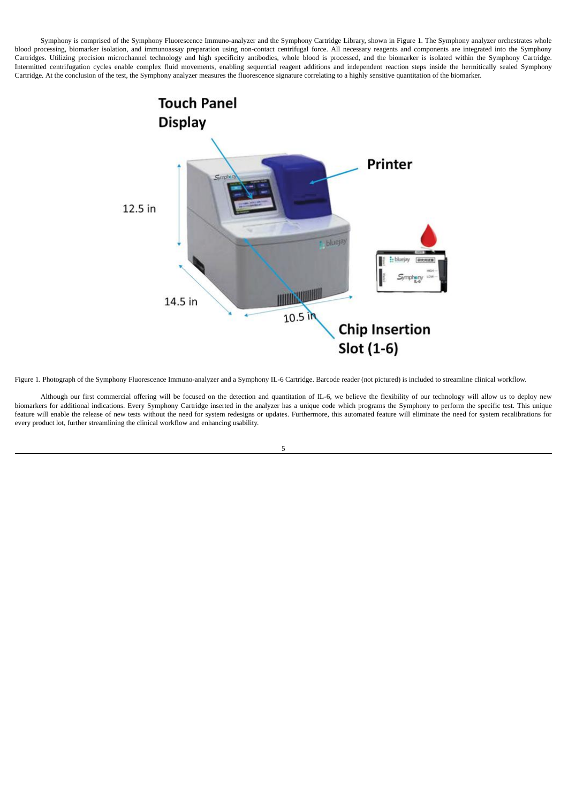Symphony is comprised of the Symphony Fluorescence Immuno-analyzer and the Symphony Cartridge Library, shown in Figure 1. The Symphony analyzer orchestrates whole blood processing, biomarker isolation, and immunoassay preparation using non-contact centrifugal force. All necessary reagents and components are integrated into the Symphony Cartridges. Utilizing precision microchannel technology and high specificity antibodies, whole blood is processed, and the biomarker is isolated within the Symphony Cartridge. Intermitted centrifugation cycles enable complex fluid movements, enabling sequential reagent additions and independent reaction steps inside the hermitically sealed Symphony Cartridge. At the conclusion of the test, the Symphony analyzer measures the fluorescence signature correlating to a highly sensitive quantitation of the biomarker.



Figure 1. Photograph of the Symphony Fluorescence Immuno-analyzer and a Symphony IL-6 Cartridge. Barcode reader (not pictured) is included to streamline clinical workflow.

Although our first commercial offering will be focused on the detection and quantitation of IL-6, we believe the flexibility of our technology will allow us to deploy new biomarkers for additional indications. Every Symphony Cartridge inserted in the analyzer has a unique code which programs the Symphony to perform the specific test. This unique feature will enable the release of new tests without the need for system redesigns or updates. Furthermore, this automated feature will eliminate the need for system recalibrations for every product lot, further streamlining the clinical workflow and enhancing usability.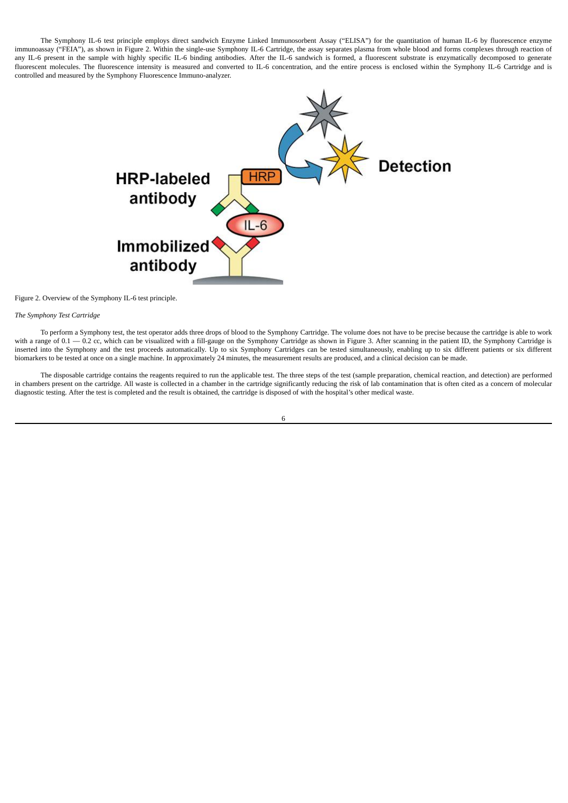The Symphony IL-6 test principle employs direct sandwich Enzyme Linked Immunosorbent Assay ("ELISA") for the quantitation of human IL-6 by fluorescence enzyme immunoassay ("FEIA"), as shown in Figure 2. Within the single-use Symphony IL-6 Cartridge, the assay separates plasma from whole blood and forms complexes through reaction of any IL-6 present in the sample with highly specific IL-6 binding antibodies. After the IL-6 sandwich is formed, a fluorescent substrate is enzymatically decomposed to generate fluorescent molecules. The fluorescence intensity is measured and converted to IL-6 concentration, and the entire process is enclosed within the Symphony IL-6 Cartridge and is controlled and measured by the Symphony Fluorescence Immuno-analyzer.



Figure 2. Overview of the Symphony IL-6 test principle.

*The Symphony Test Cartridge*

To perform a Symphony test, the test operator adds three drops of blood to the Symphony Cartridge. The volume does not have to be precise because the cartridge is able to work with a range of  $0.1 - 0.2$  cc, which can be visualized with a fill-gauge on the Symphony Cartridge as shown in Figure 3. After scanning in the patient ID, the Symphony Cartridge is inserted into the Symphony and the test proceeds automatically. Up to six Symphony Cartridges can be tested simultaneously, enabling up to six different patients or six different biomarkers to be tested at once on a single machine. In approximately 24 minutes, the measurement results are produced, and a clinical decision can be made.

The disposable cartridge contains the reagents required to run the applicable test. The three steps of the test (sample preparation, chemical reaction, and detection) are performed in chambers present on the cartridge. All waste is collected in a chamber in the cartridge significantly reducing the risk of lab contamination that is often cited as a concern of molecular diagnostic testing. After the test is completed and the result is obtained, the cartridge is disposed of with the hospital's other medical waste.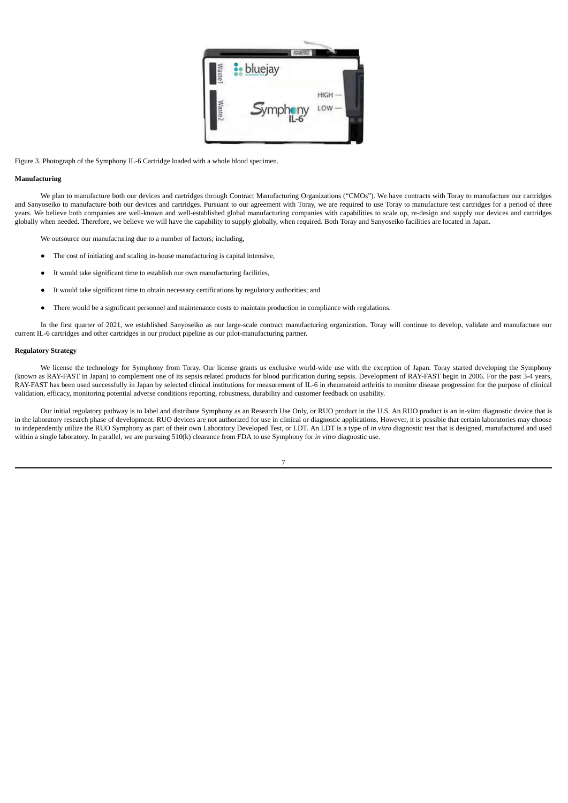

Figure 3. Photograph of the Symphony IL-6 Cartridge loaded with a whole blood specimen.

#### **Manufacturing**

We plan to manufacture both our devices and cartridges through Contract Manufacturing Organizations ("CMOs"). We have contracts with Toray to manufacture our cartridges and Sanyoseiko to manufacture both our devices and cartridges. Pursuant to our agreement with Toray, we are required to use Toray to manufacture test cartridges for a period of three years. We believe both companies are well-known and well-established global manufacturing companies with capabilities to scale up, re-design and supply our devices and cartridges globally when needed. Therefore, we believe we will have the capability to supply globally, when required. Both Toray and Sanyoseiko facilities are located in Japan.

We outsource our manufacturing due to a number of factors; including,

- The cost of initiating and scaling in-house manufacturing is capital intensive,
- It would take significant time to establish our own manufacturing facilities,
- It would take significant time to obtain necessary certifications by regulatory authorities; and
- There would be a significant personnel and maintenance costs to maintain production in compliance with regulations.

In the first quarter of 2021, we established Sanyoseiko as our large-scale contract manufacturing organization. Toray will continue to develop, validate and manufacture our current IL-6 cartridges and other cartridges in our product pipeline as our pilot-manufacturing partner.

# **Regulatory Strategy**

We license the technology for Symphony from Toray. Our license grants us exclusive world-wide use with the exception of Japan. Toray started developing the Symphony (known as RAY-FAST in Japan) to complement one of its sepsis related products for blood purification during sepsis. Development of RAY-FAST begin in 2006. For the past 3-4 years, RAY-FAST has been used successfully in Japan by selected clinical institutions for measurement of IL-6 in rheumatoid arthritis to monitor disease progression for the purpose of clinical validation, efficacy, monitoring potential adverse conditions reporting, robustness, durability and customer feedback on usability.

Our initial regulatory pathway is to label and distribute Symphony as an Research Use Only, or RUO product in the U.S. An RUO product is an in-vitro diagnostic device that is in the laboratory research phase of development. RUO devices are not authorized for use in clinical or diagnostic applications. However, it is possible that certain laboratories may choose to independently utilize the RUO Symphony as part of their own Laboratory Developed Test, or LDT. An LDT is a type of *in vitro* diagnostic test that is designed, manufactured and used within a single laboratory. In parallel, we are pursuing 510(k) clearance from FDA to use Symphony for *in vitro* diagnostic use.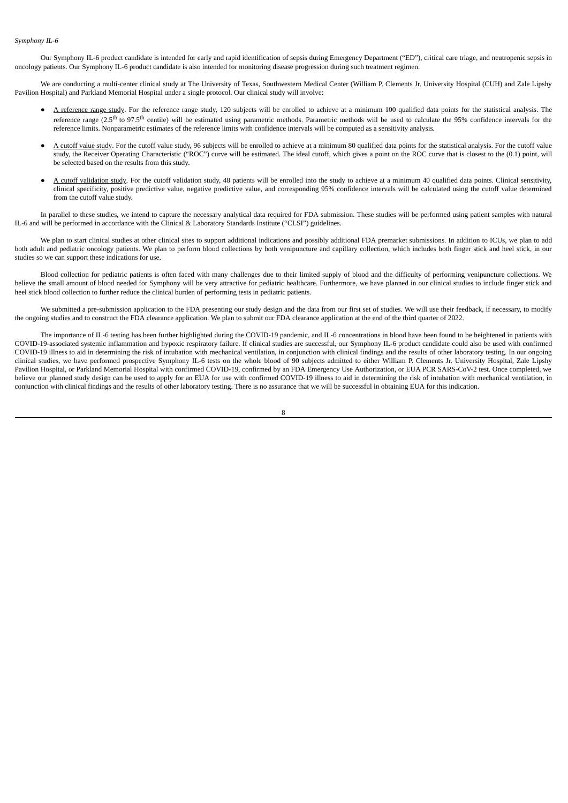## *Symphony IL-6*

Our Symphony IL-6 product candidate is intended for early and rapid identification of sepsis during Emergency Department ("ED"), critical care triage, and neutropenic sepsis in oncology patients. Our Symphony IL-6 product candidate is also intended for monitoring disease progression during such treatment regimen.

We are conducting a multi-center clinical study at The University of Texas, Southwestern Medical Center (William P. Clements Jr. University Hospital (CUH) and Zale Lipshy Pavilion Hospital) and Parkland Memorial Hospital under a single protocol. Our clinical study will involve:

- A reference range study. For the reference range study, 120 subjects will be enrolled to achieve at a minimum 100 qualified data points for the statistical analysis. The reference range (2.5<sup>th</sup> to 97.5<sup>th</sup> centile) will be estimated using parametric methods. Parametric methods will be used to calculate the 95% confidence intervals for the reference limits. Nonparametric estimates of the reference limits with confidence intervals will be computed as a sensitivity analysis.
- A cutoff value study. For the cutoff value study, 96 subjects will be enrolled to achieve at a minimum 80 qualified data points for the statistical analysis. For the cutoff value study, the Receiver Operating Characteristic ("ROC") curve will be estimated. The ideal cutoff, which gives a point on the ROC curve that is closest to the (0.1) point, will be selected based on the results from this study.
- A cutoff validation study. For the cutoff validation study, 48 patients will be enrolled into the study to achieve at a minimum 40 qualified data points. Clinical sensitivity, clinical specificity, positive predictive value, negative predictive value, and corresponding 95% confidence intervals will be calculated using the cutoff value determined from the cutoff value study.

In parallel to these studies, we intend to capture the necessary analytical data required for FDA submission. These studies will be performed using patient samples with natural IL-6 and will be performed in accordance with the Clinical & Laboratory Standards Institute ("CLSI") guidelines.

We plan to start clinical studies at other clinical sites to support additional indications and possibly additional FDA premarket submissions. In addition to ICUs, we plan to add both adult and pediatric oncology patients. We plan to perform blood collections by both venipuncture and capillary collection, which includes both finger stick and heel stick, in our studies so we can support these indications for use.

Blood collection for pediatric patients is often faced with many challenges due to their limited supply of blood and the difficulty of performing venipuncture collections. We believe the small amount of blood needed for Symphony will be very attractive for pediatric healthcare. Furthermore, we have planned in our clinical studies to include finger stick and heel stick blood collection to further reduce the clinical burden of performing tests in pediatric patients.

We submitted a pre-submission application to the FDA presenting our study design and the data from our first set of studies. We will use their feedback, if necessary, to modify the ongoing studies and to construct the FDA clearance application. We plan to submit our FDA clearance application at the end of the third quarter of 2022.

The importance of IL-6 testing has been further highlighted during the COVID-19 pandemic, and IL-6 concentrations in blood have been found to be heightened in patients with COVID-19-associated systemic inflammation and hypoxic respiratory failure. If clinical studies are successful, our Symphony IL-6 product candidate could also be used with confirmed COVID-19 illness to aid in determining the risk of intubation with mechanical ventilation, in conjunction with clinical findings and the results of other laboratory testing. In our ongoing clinical studies, we have performed prospective Symphony IL-6 tests on the whole blood of 90 subjects admitted to either William P. Clements Jr. University Hospital, Zale Lipshy Pavilion Hospital, or Parkland Memorial Hospital with confirmed COVID-19, confirmed by an FDA Emergency Use Authorization, or EUA PCR SARS-CoV-2 test. Once completed, we believe our planned study design can be used to apply for an EUA for use with confirmed COVID-19 illness to aid in determining the risk of intubation with mechanical ventilation, in conjunction with clinical findings and the results of other laboratory testing. There is no assurance that we will be successful in obtaining EUA for this indication.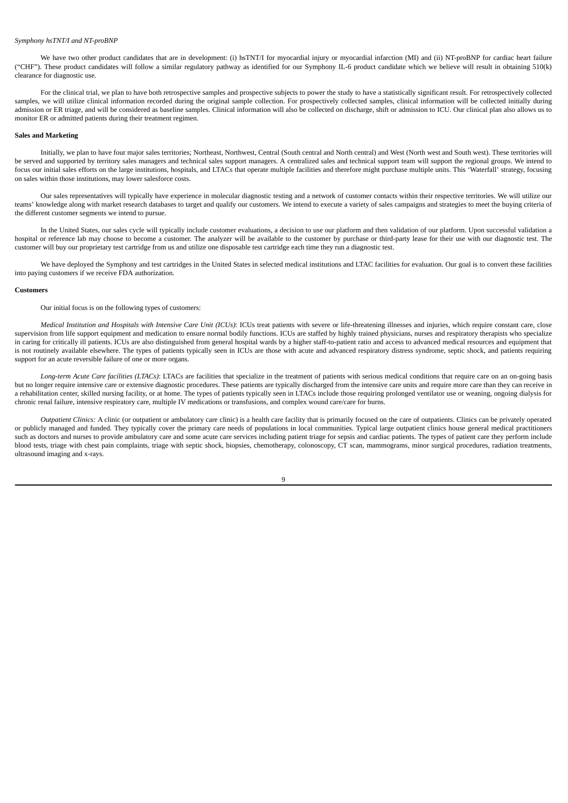### *Symphony hsTNT/I and NT-proBNP*

We have two other product candidates that are in development: (i) hsTNT/I for myocardial injury or myocardial infarction (MI) and (ii) NT-proBNP for cardiac heart failure ("CHF"). These product candidates will follow a similar regulatory pathway as identified for our Symphony IL-6 product candidate which we believe will result in obtaining 510(k) clearance for diagnostic use.

For the clinical trial, we plan to have both retrospective samples and prospective subjects to power the study to have a statistically significant result. For retrospectively collected samples, we will utilize clinical information recorded during the original sample collection. For prospectively collected samples, clinical information will be collected initially during admission or ER triage, and will be considered as baseline samples. Clinical information will also be collected on discharge, shift or admission to ICU. Our clinical plan also allows us to monitor ER or admitted patients during their treatment regimen.

#### **Sales and Marketing**

Initially, we plan to have four major sales territories; Northeast, Northwest, Central (South central and North central) and West (North west and South west). These territories will be served and supported by territory sales managers and technical sales support managers. A centralized sales and technical support team will support the regional groups. We intend to focus our initial sales efforts on the large institutions, hospitals, and LTACs that operate multiple facilities and therefore might purchase multiple units. This 'Waterfall' strategy, focusing on sales within those institutions, may lower salesforce costs.

Our sales representatives will typically have experience in molecular diagnostic testing and a network of customer contacts within their respective territories. We will utilize our teams' knowledge along with market research databases to target and qualify our customers. We intend to execute a variety of sales campaigns and strategies to meet the buying criteria of the different customer segments we intend to pursue.

In the United States, our sales cycle will typically include customer evaluations, a decision to use our platform and then validation of our platform. Upon successful validation a hospital or reference lab may choose to become a customer. The analyzer will be available to the customer by purchase or third-party lease for their use with our diagnostic test. The customer will buy our proprietary test cartridge from us and utilize one disposable test cartridge each time they run a diagnostic test.

We have deployed the Symphony and test cartridges in the United States in selected medical institutions and LTAC facilities for evaluation. Our goal is to convert these facilities into paying customers if we receive FDA authorization.

#### **Customers**

# Our initial focus is on the following types of customers:

Medical Institution and Hospitals with Intensive Care Unit (ICUs): ICUs treat patients with severe or life-threatening illnesses and injuries, which require constant care, close supervision from life support equipment and medication to ensure normal bodily functions. ICUs are staffed by highly trained physicians, nurses and respiratory therapists who specialize in caring for critically ill patients. ICUs are also distinguished from general hospital wards by a higher staff-to-patient ratio and access to advanced medical resources and equipment that is not routinely available elsewhere. The types of patients typically seen in ICUs are those with acute and advanced respiratory distress syndrome, septic shock, and patients requiring support for an acute reversible failure of one or more organs.

*Long-term Acute Care facilities (LTACs)*: LTACs are facilities that specialize in the treatment of patients with serious medical conditions that require care on an on-going basis but no longer require intensive care or extensive diagnostic procedures. These patients are typically discharged from the intensive care units and require more care than they can receive in a rehabilitation center, skilled nursing facility, or at home. The types of patients typically seen in LTACs include those requiring prolonged ventilator use or weaning, ongoing dialysis for chronic renal failure, intensive respiratory care, multiple IV medications or transfusions, and complex wound care/care for burns.

*Outpatient Clinics:* A clinic (or outpatient or ambulatory care clinic) is a health care facility that is primarily focused on the care of outpatients. Clinics can be privately operated or publicly managed and funded. They typically cover the primary care needs of populations in local communities. Typical large outpatient clinics house general medical practitioners such as doctors and nurses to provide ambulatory care and some acute care services including patient triage for sepsis and cardiac patients. The types of patient care they perform include blood tests, triage with chest pain complaints, triage with septic shock, biopsies, chemotherapy, colonoscopy, CT scan, mammograms, minor surgical procedures, radiation treatments, ultrasound imaging and x-rays.

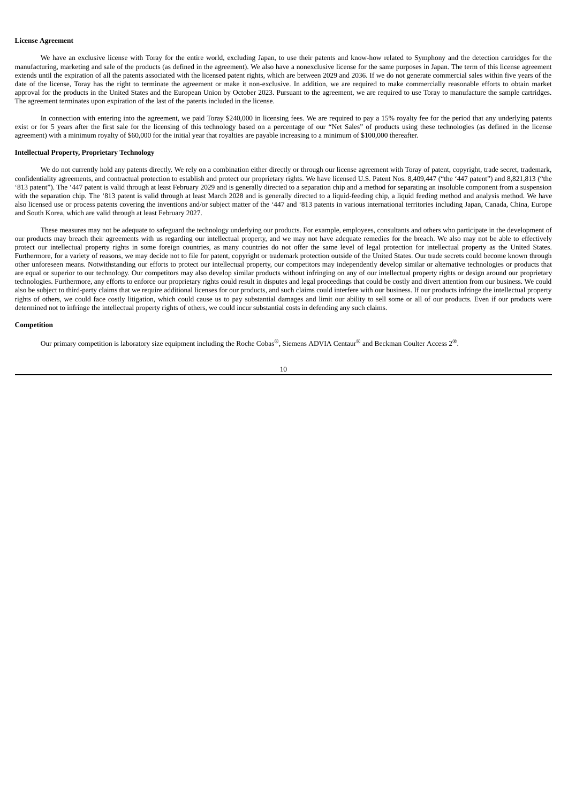## **License Agreement**

We have an exclusive license with Toray for the entire world, excluding Japan, to use their patents and know-how related to Symphony and the detection cartridges for the manufacturing, marketing and sale of the products (as defined in the agreement). We also have a nonexclusive license for the same purposes in Japan. The term of this license agreement extends until the expiration of all the patents associated with the licensed patent rights, which are between 2029 and 2036. If we do not generate commercial sales within five years of the date of the license, Toray has the right to terminate the agreement or make it non-exclusive. In addition, we are required to make commercially reasonable efforts to obtain market approval for the products in the United States and the European Union by October 2023. Pursuant to the agreement, we are required to use Toray to manufacture the sample cartridges. The agreement terminates upon expiration of the last of the patents included in the license.

In connection with entering into the agreement, we paid Toray \$240,000 in licensing fees. We are required to pay a 15% royalty fee for the period that any underlying patents exist or for 5 years after the first sale for the licensing of this technology based on a percentage of our "Net Sales" of products using these technologies (as defined in the license agreement) with a minimum royalty of \$60,000 for the initial year that royalties are payable increasing to a minimum of \$100,000 thereafter.

# **Intellectual Property, Proprietary Technology**

We do not currently hold any patents directly. We rely on a combination either directly or through our license agreement with Toray of patent, copyright, trade secret, trademark, confidentiality agreements, and contractual protection to establish and protect our proprietary rights. We have licensed U.S. Patent Nos. 8,409,447 ("the '447 patent") and 8,821,813 ("the '813 patent"). The '447 patent is valid through at least February 2029 and is generally directed to a separation chip and a method for separating an insoluble component from a suspension with the separation chip. The '813 patent is valid through at least March 2028 and is generally directed to a liquid-feeding chip, a liquid feeding method and analysis method. We have also licensed use or process patents covering the inventions and/or subject matter of the '447 and '813 patents in various international territories including Japan, Canada, China, Europe and South Korea, which are valid through at least February 2027.

These measures may not be adequate to safeguard the technology underlying our products. For example, employees, consultants and others who participate in the development of our products may breach their agreements with us regarding our intellectual property, and we may not have adequate remedies for the breach. We also may not be able to effectively protect our intellectual property rights in some foreign countries, as many countries do not offer the same level of legal protection for intellectual property as the United States. Furthermore, for a variety of reasons, we may decide not to file for patent, copyright or trademark protection outside of the United States. Our trade secrets could become known through other unforeseen means. Notwithstanding our efforts to protect our intellectual property, our competitors may independently develop similar or alternative technologies or products that are equal or superior to our technology. Our competitors may also develop similar products without infringing on any of our intellectual property rights or design around our proprietary technologies. Furthermore, any efforts to enforce our proprietary rights could result in disputes and legal proceedings that could be costly and divert attention from our business. We could also be subject to third-party claims that we require additional licenses for our products, and such claims could interfere with our business. If our products infringe the intellectual property rights of others, we could face costly litigation, which could cause us to pay substantial damages and limit our ability to sell some or all of our products. Even if our products were determined not to infringe the intellectual property rights of others, we could incur substantial costs in defending any such claims.

#### **Competition**

Our primary competition is laboratory size equipment including the Roche Cobas<sup>®</sup>, Siemens ADVIA Centaur<sup>®</sup> and Beckman Coulter Access 2<sup>®</sup>.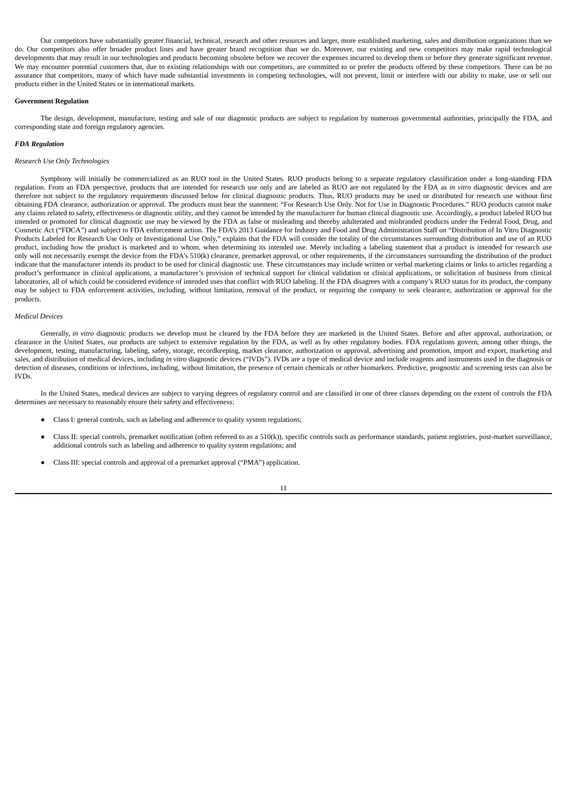Our competitors have substantially greater financial, technical, research and other resources and larger, more established marketing, sales and distribution organizations than we do. Our competitors also offer broader product lines and have greater brand recognition than we do. Moreover, our existing and new competitors may make rapid technological developments that may result in our technologies and products becoming obsolete before we recover the expenses incurred to develop them or before they generate significant revenue. We may encounter potential customers that, due to existing relationships with our competitors, are committed to or prefer the products offered by these competitors. There can be no assurance that competitors, many of which have made substantial investments in competing technologies, will not prevent, limit or interfere with our ability to make, use or sell our products either in the United States or in international markets.

# **Government Regulation**

The design, development, manufacture, testing and sale of our diagnostic products are subject to regulation by numerous governmental authorities, principally the FDA, and corresponding state and foreign regulatory agencies.

#### *FDA Regulation*

## *Research Use Only Technologies*

Symphony will initially be commercialized as an RUO tool in the United States. RUO products belong to a separate regulatory classification under a long-standing FDA regulation. From an FDA perspective, products that are intended for research use only and are labeled as RUO are not regulated by the FDA as *in vitro* diagnostic devices and are therefore not subject to the regulatory requirements discussed below for clinical diagnostic products. Thus, RUO products may be used or distributed for research use without first obtaining FDA clearance, authorization or approval. The products must bear the statement: "For Research Use Only. Not for Use in Diagnostic Procedures." RUO products cannot make any claims related to safety, effectiveness or diagnostic utility, and they cannot be intended by the manufacturer for human clinical diagnostic use. Accordingly, a product labeled RUO but intended or promoted for clinical diagnostic use may be viewed by the FDA as false or misleading and thereby adulterated and misbranded products under the Federal Food, Drug, and Cosmetic Act ("FDCA") and subject to FDA enforcement action. The FDA's 2013 Guidance for Industry and Food and Drug Administration Staff on "Distribution of In Vitro Diagnostic Products Labeled for Research Use Only or Investigational Use Only," explains that the FDA will consider the totality of the circumstances surrounding distribution and use of an RUO product, including how the product is marketed and to whom, when determining its intended use. Merely including a labeling statement that a product is intended for research use only will not necessarily exempt the device from the FDA's 510(k) clearance, premarket approval, or other requirements, if the circumstances surrounding the distribution of the product indicate that the manufacturer intends its product to be used for clinical diagnostic use. These circumstances may include written or verbal marketing claims or links to articles regarding a product's performance in clinical applications, a manufacturer's provision of technical support for clinical validation or clinical applications, or solicitation of business from clinical laboratories, all of which could be considered evidence of intended uses that conflict with RUO labeling. If the FDA disagrees with a company's RUO status for its product, the company may be subject to FDA enforcement activities, including, without limitation, removal of the product, or requiring the company to seek clearance, authorization or approval for the products.

#### *Medical Devices*

Generally, *in vitro* diagnostic products we develop must be cleared by the FDA before they are marketed in the United States. Before and after approval, authorization, or clearance in the United States, our products are subject to extensive regulation by the FDA, as well as by other regulatory bodies. FDA regulations govern, among other things, the development, testing, manufacturing, labeling, safety, storage, recordkeeping, market clearance, authorization or approval, advertising and promotion, import and export, marketing and sales, and distribution of medical devices, including *in vitro* diagnostic devices ("IVDs"). IVDs are a type of medical device and include reagents and instruments used in the diagnosis or detection of diseases, conditions or infections, including, without limitation, the presence of certain chemicals or other biomarkers. Predictive, prognostic and screening tests can also be IVDs.

In the United States, medical devices are subject to varying degrees of regulatory control and are classified in one of three classes depending on the extent of controls the FDA determines are necessary to reasonably ensure their safety and effectiveness:

- Class I: general controls, such as labeling and adherence to quality system regulations;
- Class II: special controls, premarket notification (often referred to as a 510(k)), specific controls such as performance standards, patient registries, post-market surveillance, additional controls such as labeling and adherence to quality system regulations; and
- Class III: special controls and approval of a premarket approval ("PMA") application.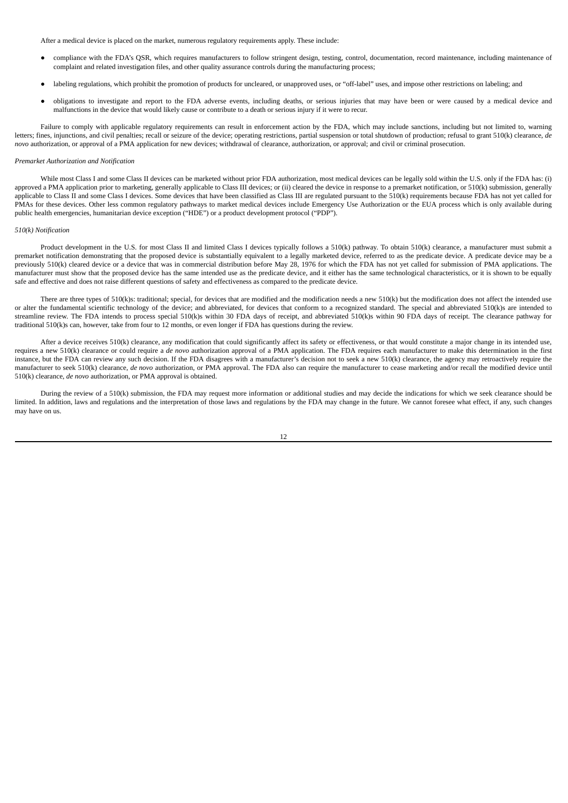After a medical device is placed on the market, numerous regulatory requirements apply. These include:

- compliance with the FDA's QSR, which requires manufacturers to follow stringent design, testing, control, documentation, record maintenance, including maintenance of complaint and related investigation files, and other quality assurance controls during the manufacturing process;
- labeling regulations, which prohibit the promotion of products for uncleared, or unapproved uses, or "off-label" uses, and impose other restrictions on labeling; and
- obligations to investigate and report to the FDA adverse events, including deaths, or serious injuries that may have been or were caused by a medical device and malfunctions in the device that would likely cause or contribute to a death or serious injury if it were to recur.

Failure to comply with applicable regulatory requirements can result in enforcement action by the FDA, which may include sanctions, including but not limited to, warning letters; fines, injunctions, and civil penalties; recall or seizure of the device; operating restrictions, partial suspension or total shutdown of production; refusal to grant 510(k) clearance, *de novo* authorization, or approval of a PMA application for new devices; withdrawal of clearance, authorization, or approval; and civil or criminal prosecution.

# *Premarket Authorization and Notification*

While most Class I and some Class II devices can be marketed without prior FDA authorization, most medical devices can be legally sold within the U.S. only if the FDA has: (i) approved a PMA application prior to marketing, generally applicable to Class III devices; or (ii) cleared the device in response to a premarket notification, or 510(k) submission, generally applicable to Class II and some Class I devices. Some devices that have been classified as Class III are regulated pursuant to the 510(k) requirements because FDA has not yet called for As for these devices. Other less common regulatory pathways to market medical devices include Emergency Use Authorization or the EUA process which is only available during public health emergencies, humanitarian device exception ("HDE") or a product development protocol ("PDP").

# *510(k) Notification*

Product development in the U.S. for most Class II and limited Class I devices typically follows a 510(k) pathway. To obtain 510(k) clearance, a manufacturer must submit a premarket notification demonstrating that the proposed device is substantially equivalent to a legally marketed device, referred to as the predicate device. A predicate device may be a previously 510(k) cleared device or a device that was in commercial distribution before May 28, 1976 for which the FDA has not yet called for submission of PMA applications. The manufacturer must show that the proposed device has the same intended use as the predicate device, and it either has the same technological characteristics, or it is shown to be equally safe and effective and does not raise different questions of safety and effectiveness as compared to the predicate device.

There are three types of 510(k)s: traditional; special, for devices that are modified and the modification needs a new 510(k) but the modification does not affect the intended use or alter the fundamental scientific technology of the device; and abbreviated, for devices that conform to a recognized standard. The special and abbreviated 510(k)s are intended to streamline review. The FDA intends to process special 510(k)s within 30 FDA days of receipt, and abbreviated 510(k)s within 90 FDA days of receipt. The clearance pathway for traditional 510(k)s can, however, take from four to 12 months, or even longer if FDA has questions during the review.

After a device receives 510(k) clearance, any modification that could significantly affect its safety or effectiveness, or that would constitute a major change in its intended use, requires a new 510(k) clearance or could require a *de novo* authorization approval of a PMA application. The FDA requires each manufacturer to make this determination in the first instance, but the FDA can review any such decision. If the FDA disagrees with a manufacturer's decision not to seek a new 510(k) clearance, the agency may retroactively require the manufacturer to seek 510(k) clearance, *de novo* authorization, or PMA approval. The FDA also can require the manufacturer to cease marketing and/or recall the modified device until 510(k) clearance, *de novo* authorization, or PMA approval is obtained.

During the review of a 510(k) submission, the FDA may request more information or additional studies and may decide the indications for which we seek clearance should be limited. In addition, laws and regulations and the interpretation of those laws and regulations by the FDA may change in the future. We cannot foresee what effect, if any, such changes may have on us.

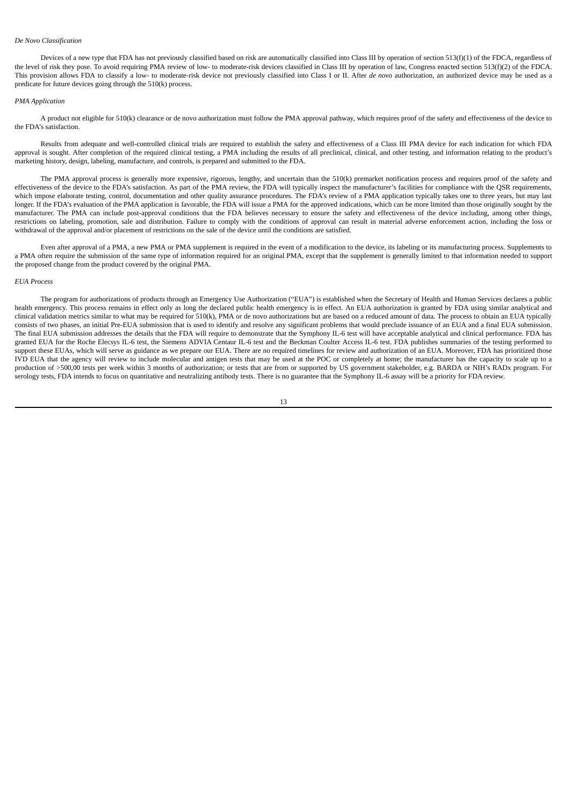## *De Novo Classification*

Devices of a new type that FDA has not previously classified based on risk are automatically classified into Class III by operation of section 513(f)(1) of the FDCA, regardless of the level of risk they pose. To avoid requiring PMA review of low- to moderate-risk devices classified in Class III by operation of law, Congress enacted section 513(f)(2) of the FDCA. This provision allows FDA to classify a low- to moderate-risk device not previously classified into Class I or II. After *de novo* authorization, an authorized device may be used as a predicate for future devices going through the 510(k) process.

# *PMA Application*

A product not eligible for 510(k) clearance or de novo authorization must follow the PMA approval pathway, which requires proof of the safety and effectiveness of the device to the FDA's satisfaction.

Results from adequate and well-controlled clinical trials are required to establish the safety and effectiveness of a Class III PMA device for each indication for which FDA approval is sought. After completion of the required clinical testing, a PMA including the results of all preclinical, clinical, and other testing, and information relating to the product's marketing history, design, labeling, manufacture, and controls, is prepared and submitted to the FDA.

The PMA approval process is generally more expensive, rigorous, lengthy, and uncertain than the 510(k) premarket notification process and requires proof of the safety and effectiveness of the device to the FDA's satisfaction. As part of the PMA review, the FDA will typically inspect the manufacturer's facilities for compliance with the QSR requirements, which impose elaborate testing, control, documentation and other quality assurance procedures. The FDA's review of a PMA application typically takes one to three years, but may last longer. If the FDA's evaluation of the PMA application is favorable, the FDA will issue a PMA for the approved indications, which can be more limited than those originally sought by the manufacturer. The PMA can include post-approval conditions that the FDA believes necessary to ensure the safety and effectiveness of the device including, among other things, restrictions on labeling, promotion, sale and distribution. Failure to comply with the conditions of approval can result in material adverse enforcement action, including the loss or withdrawal of the approval and/or placement of restrictions on the sale of the device until the conditions are satisfied.

Even after approval of a PMA, a new PMA or PMA supplement is required in the event of a modification to the device, its labeling or its manufacturing process. Supplements to a PMA often require the submission of the same type of information required for an original PMA, except that the supplement is generally limited to that information needed to support the proposed change from the product covered by the original PMA.

# *EUA Process*

The program for authorizations of products through an Emergency Use Authorization ("EUA") is established when the Secretary of Health and Human Services declares a public health emergency. This process remains in effect only as long the declared public health emergency is in effect. An EUA authorization is granted by FDA using similar analytical and clinical validation metrics similar to what may be required for 510(k), PMA or de novo authorizations but are based on a reduced amount of data. The process to obtain an EUA typically consists of two phases, an initial Pre-EUA submission that is used to identify and resolve any significant problems that would preclude issuance of an EUA and a final EUA submission. The final EUA submission addresses the details that the FDA will require to demonstrate that the Symphony IL-6 test will have acceptable analytical and clinical performance. FDA has granted EUA for the Roche Elecsys IL-6 test, the Siemens ADVIA Centaur IL-6 test and the Beckman Coulter Access IL-6 test. FDA publishes summaries of the testing performed to support these EUAs, which will serve as guidance as we prepare our EUA. There are no required timelines for review and authorization of an EUA. Moreover, FDA has prioritized those IVD EUA that the agency will review to include molecular and antigen tests that may be used at the POC or completely at home; the manufacturer has the capacity to scale up to a production of >500,00 tests per week within 3 months of authorization; or tests that are from or supported by US government stakeholder, e.g. BARDA or NIH's RADx program. For serology tests, FDA intends to focus on quantitative and neutralizing antibody tests. There is no guarantee that the Symphony IL-6 assay will be a priority for FDA review.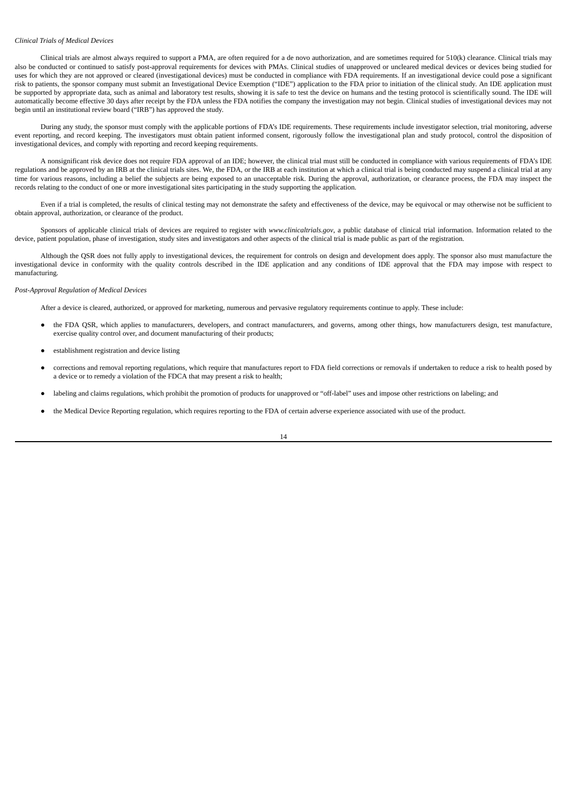## *Clinical Trials of Medical Devices*

Clinical trials are almost always required to support a PMA, are often required for a de novo authorization, and are sometimes required for 510(k) clearance. Clinical trials may also be conducted or continued to satisfy post-approval requirements for devices with PMAs. Clinical studies of unapproved or uncleared medical devices or devices being studied for uses for which they are not approved or cleared (investigational devices) must be conducted in compliance with FDA requirements. If an investigational device could pose a significant risk to patients, the sponsor company must submit an Investigational Device Exemption ("IDE") application to the FDA prior to initiation of the clinical study. An IDE application must be supported by appropriate data, such as animal and laboratory test results, showing it is safe to test the device on humans and the testing protocol is scientifically sound. The IDE will automatically become effective 30 days after receipt by the FDA unless the FDA notifies the company the investigation may not begin. Clinical studies of investigational devices may not begin until an institutional review board ("IRB") has approved the study.

During any study, the sponsor must comply with the applicable portions of FDA's IDE requirements. These requirements include investigator selection, trial monitoring, adverse event reporting, and record keeping. The investigators must obtain patient informed consent, rigorously follow the investigational plan and study protocol, control the disposition of investigational devices, and comply with reporting and record keeping requirements.

A nonsignificant risk device does not require FDA approval of an IDE; however, the clinical trial must still be conducted in compliance with various requirements of FDA's IDE regulations and be approved by an IRB at the clinical trials sites. We, the FDA, or the IRB at each institution at which a clinical trial is being conducted may suspend a clinical trial at any time for various reasons, including a belief the subjects are being exposed to an unacceptable risk. During the approval, authorization, or clearance process, the FDA may inspect the records relating to the conduct of one or more investigational sites participating in the study supporting the application.

Even if a trial is completed, the results of clinical testing may not demonstrate the safety and effectiveness of the device, may be equivocal or may otherwise not be sufficient to obtain approval, authorization, or clearance of the product.

Sponsors of applicable clinical trials of devices are required to register with *www.clinicaltrials.gov*, a public database of clinical trial information. Information related to the device, patient population, phase of investigation, study sites and investigators and other aspects of the clinical trial is made public as part of the registration.

Although the QSR does not fully apply to investigational devices, the requirement for controls on design and development does apply. The sponsor also must manufacture the investigational device in conformity with the quality controls described in the IDE application and any conditions of IDE approval that the FDA may impose with respect to manufacturing.

*Post-Approval Regulation of Medical Devices*

After a device is cleared, authorized, or approved for marketing, numerous and pervasive regulatory requirements continue to apply. These include:

- the FDA QSR, which applies to manufacturers, developers, and contract manufacturers, and governs, among other things, how manufacturers design, test manufacture, exercise quality control over, and document manufacturing of their products;
- establishment registration and device listing
- corrections and removal reporting regulations, which require that manufactures report to FDA field corrections or removals if undertaken to reduce a risk to health posed by a device or to remedy a violation of the FDCA that may present a risk to health;
- labeling and claims regulations, which prohibit the promotion of products for unapproved or "off-label" uses and impose other restrictions on labeling; and
- the Medical Device Reporting regulation, which requires reporting to the FDA of certain adverse experience associated with use of the product.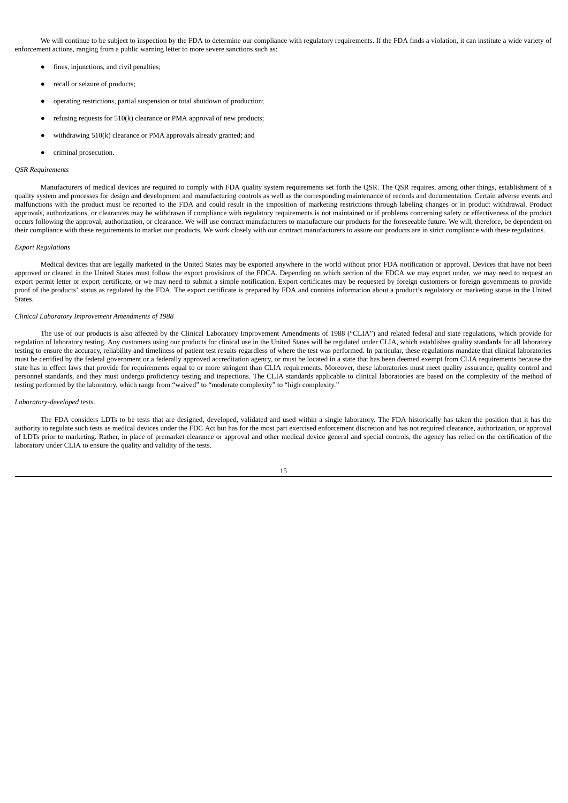We will continue to be subject to inspection by the FDA to determine our compliance with regulatory requirements. If the FDA finds a violation, it can institute a wide variety of enforcement actions, ranging from a public warning letter to more severe sanctions such as:

- fines, injunctions, and civil penalties;
- recall or seizure of products:
- operating restrictions, partial suspension or total shutdown of production;
- refusing requests for  $510(k)$  clearance or PMA approval of new products;
- withdrawing 510(k) clearance or PMA approvals already granted; and
- criminal prosecution.

# *QSR Requirements*

Manufacturers of medical devices are required to comply with FDA quality system requirements set forth the QSR. The QSR requires, among other things, establishment of a quality system and processes for design and development and manufacturing controls as well as the corresponding maintenance of records and documentation. Certain adverse events and malfunctions with the product must be reported to the FDA and could result in the imposition of marketing restrictions through labeling changes or in product withdrawal. Product approvals, authorizations, or clearances may be withdrawn if compliance with regulatory requirements is not maintained or if problems concerning safety or effectiveness of the product occurs following the approval, authorization, or clearance. We will use contract manufacturers to manufacture our products for the foreseeable future. We will, therefore, be dependent on their compliance with these requirements to market our products. We work closely with our contract manufacturers to assure our products are in strict compliance with these regulations.

# *Export Regulations*

Medical devices that are legally marketed in the United States may be exported anywhere in the world without prior FDA notification or approval. Devices that have not been approved or cleared in the United States must follow the export provisions of the FDCA. Depending on which section of the FDCA we may export under, we may need to request an export permit letter or export certificate, or we may need to submit a simple notification. Export certificates may be requested by foreign customers or foreign governments to provide proof of the products' status as regulated by the FDA. The export certificate is prepared by FDA and contains information about a product's regulatory or marketing status in the United **States** 

# *Clinical Laboratory Improvement Amendments of 1988*

The use of our products is also affected by the Clinical Laboratory Improvement Amendments of 1988 ("CLIA") and related federal and state regulations, which provide for regulation of laboratory testing. Any customers using our products for clinical use in the United States will be regulated under CLIA, which establishes quality standards for all laboratory testing to ensure the accuracy, reliability and timeliness of patient test results regardless of where the test was performed. In particular, these regulations mandate that clinical laboratories must be certified by the federal government or a federally approved accreditation agency, or must be located in a state that has been deemed exempt from CLIA requirements because the state has in effect laws that provide for requirements equal to or more stringent than CLIA requirements. Moreover, these laboratories must meet quality assurance, quality control and personnel standards, and they must undergo proficiency testing and inspections. The CLIA standards applicable to clinical laboratories are based on the complexity of the method of testing performed by the laboratory, which range from "waived" to "moderate complexity" to "high complexity."

# *Laboratory-developed tests.*

The FDA considers LDTs to be tests that are designed, developed, validated and used within a single laboratory. The FDA historically has taken the position that it has the authority to regulate such tests as medical devices under the FDC Act but has for the most part exercised enforcement discretion and has not required clearance, authorization, or approval of LDTs prior to marketing. Rather, in place of premarket clearance or approval and other medical device general and special controls, the agency has relied on the certification of the laboratory under CLIA to ensure the quality and validity of the tests.

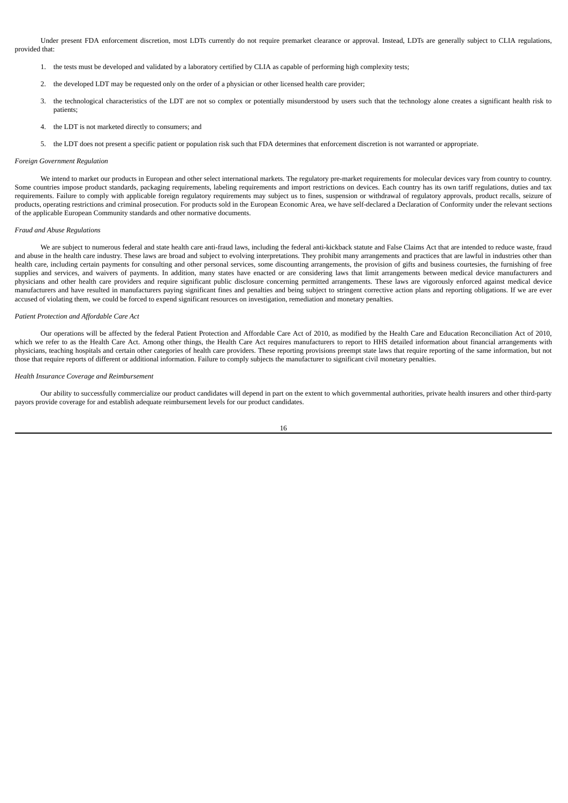Under present FDA enforcement discretion, most LDTs currently do not require premarket clearance or approval. Instead, LDTs are generally subject to CLIA regulations, provided that:

- 1. the tests must be developed and validated by a laboratory certified by CLIA as capable of performing high complexity tests;
- 2. the developed LDT may be requested only on the order of a physician or other licensed health care provider;
- 3. the technological characteristics of the LDT are not so complex or potentially misunderstood by users such that the technology alone creates a significant health risk to patients;
- 4. the LDT is not marketed directly to consumers; and
- 5. the LDT does not present a specific patient or population risk such that FDA determines that enforcement discretion is not warranted or appropriate.

#### *Foreign Government Regulation*

We intend to market our products in European and other select international markets. The regulatory pre-market requirements for molecular devices vary from country to country. Some countries impose product standards, packaging requirements, labeling requirements and import restrictions on devices. Each country has its own tariff regulations, duties and tax requirements. Failure to comply with applicable foreign regulatory requirements may subject us to fines, suspension or withdrawal of regulatory approvals, product recalls, seizure of products, operating restrictions and criminal prosecution. For products sold in the European Economic Area, we have self-declared a Declaration of Conformity under the relevant sections of the applicable European Community standards and other normative documents.

#### *Fraud and Abuse Regulations*

We are subject to numerous federal and state health care anti-fraud laws, including the federal anti-kickback statute and False Claims Act that are intended to reduce waste, fraud and abuse in the health care industry. These laws are broad and subject to evolving interpretations. They prohibit many arrangements and practices that are lawful in industries other than health care, including certain payments for consulting and other personal services, some discounting arrangements, the provision of gifts and business courtesies, the furnishing of free supplies and services, and waivers of payments. In addition, many states have enacted or are considering laws that limit arrangements between medical device manufacturers and physicians and other health care providers and require significant public disclosure concerning permitted arrangements. These laws are vigorously enforced against medical device manufacturers and have resulted in manufacturers paying significant fines and penalties and being subject to stringent corrective action plans and reporting obligations. If we are ever accused of violating them, we could be forced to expend significant resources on investigation, remediation and monetary penalties.

## *Patient Protection and Affordable Care Act*

Our operations will be affected by the federal Patient Protection and Affordable Care Act of 2010, as modified by the Health Care and Education Reconciliation Act of 2010, which we refer to as the Health Care Act. Among other things, the Health Care Act requires manufacturers to report to HHS detailed information about financial arrangements with physicians, teaching hospitals and certain other categories of health care providers. These reporting provisions preempt state laws that require reporting of the same information, but not those that require reports of different or additional information. Failure to comply subjects the manufacturer to significant civil monetary penalties.

#### *Health Insurance Coverage and Reimbursement*

Our ability to successfully commercialize our product candidates will depend in part on the extent to which governmental authorities, private health insurers and other third-party payors provide coverage for and establish adequate reimbursement levels for our product candidates.

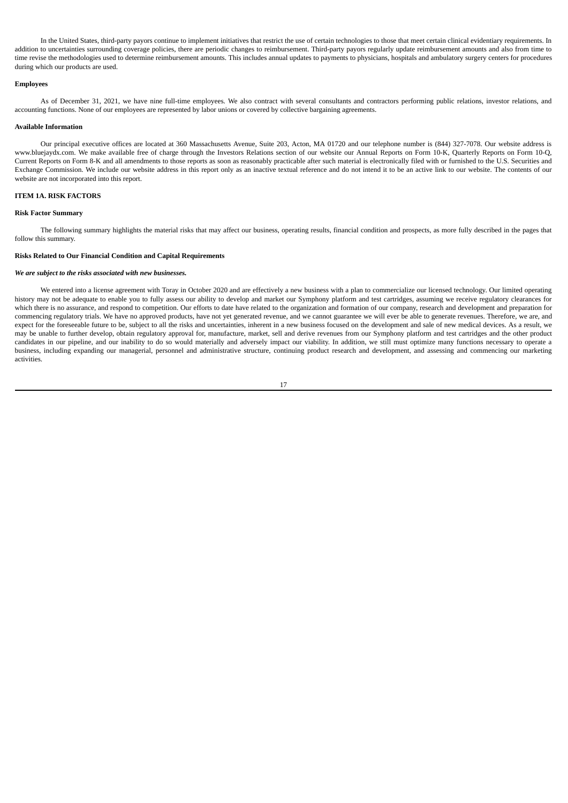In the United States, third-party payors continue to implement initiatives that restrict the use of certain technologies to those that meet certain clinical evidentiary requirements. In addition to uncertainties surrounding coverage policies, there are periodic changes to reimbursement. Third-party payors regularly update reimbursement amounts and also from time to time revise the methodologies used to determine reimbursement amounts. This includes annual updates to payments to physicians, hospitals and ambulatory surgery centers for procedures during which our products are used.

### **Employees**

As of December 31, 2021, we have nine full-time employees. We also contract with several consultants and contractors performing public relations, investor relations, and accounting functions. None of our employees are represented by labor unions or covered by collective bargaining agreements.

#### **Available Information**

Our principal executive offices are located at 360 Massachusetts Avenue, Suite 203, Acton, MA 01720 and our telephone number is (844) 327-7078. Our website address is www.bluejaydx.com. We make available free of charge through the Investors Relations section of our website our Annual Reports on Form 10-K, Quarterly Reports on Form 10-Q, Current Reports on Form 8-K and all amendments to those reports as soon as reasonably practicable after such material is electronically filed with or furnished to the U.S. Securities and Exchange Commission. We include our website address in this report only as an inactive textual reference and do not intend it to be an active link to our website. The contents of our website are not incorporated into this report.

# <span id="page-19-0"></span>**ITEM 1A. RISK FACTORS**

#### **Risk Factor Summary**

The following summary highlights the material risks that may affect our business, operating results, financial condition and prospects, as more fully described in the pages that follow this summary.

## **Risks Related to Our Financial Condition and Capital Requirements**

#### *We are subject to the risks associated with new businesses.*

We entered into a license agreement with Toray in October 2020 and are effectively a new business with a plan to commercialize our licensed technology. Our limited operating history may not be adequate to enable you to fully assess our ability to develop and market our Symphony platform and test cartridges, assuming we receive regulatory clearances for which there is no assurance, and respond to competition. Our efforts to date have related to the organization and formation of our company, research and development and preparation for commencing regulatory trials. We have no approved products, have not yet generated revenue, and we cannot guarantee we will ever be able to generate revenues. Therefore, we are, and expect for the foreseeable future to be, subject to all the risks and uncertainties, inherent in a new business focused on the development and sale of new medical devices. As a result, we may be unable to further develop, obtain regulatory approval for, manufacture, market, sell and derive revenues from our Symphony platform and test cartridges and the other product candidates in our pipeline, and our inability to do so would materially and adversely impact our viability. In addition, we still must optimize many functions necessary to operate a business, including expanding our managerial, personnel and administrative structure, continuing product research and development, and assessing and commencing our marketing activities.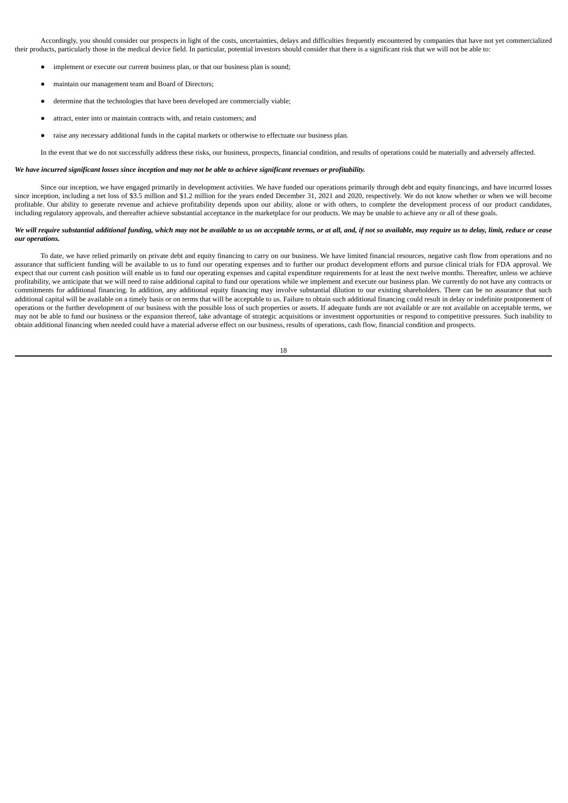Accordingly, you should consider our prospects in light of the costs, uncertainties, delays and difficulties frequently encountered by companies that have not yet commercialized their products, particularly those in the medical device field. In particular, potential investors should consider that there is a significant risk that we will not be able to:

- implement or execute our current business plan, or that our business plan is sound;
- maintain our management team and Board of Directors;
- determine that the technologies that have been developed are commercially viable;
- attract, enter into or maintain contracts with, and retain customers; and
- raise any necessary additional funds in the capital markets or otherwise to effectuate our business plan.

In the event that we do not successfully address these risks, our business, prospects, financial condition, and results of operations could be materially and adversely affected.

#### We have incurred significant losses since inception and may not be able to achieve significant revenues or profitability.

Since our inception, we have engaged primarily in development activities. We have funded our operations primarily through debt and equity financings, and have incurred losses since inception, including a net loss of \$3.5 million and \$1.2 million for the years ended December 31, 2021 and 2020, respectively. We do not know whether or when we will become profitable. Our ability to generate revenue and achieve profitability depends upon our ability, alone or with others, to complete the development process of our product candidates, including regulatory approvals, and thereafter achieve substantial acceptance in the marketplace for our products. We may be unable to achieve any or all of these goals.

## We will require substantial additional funding, which may not be available to us on acceptable terms, or at all, and, if not so available, may require us to delay, limit, reduce or cease *our operations.*

To date, we have relied primarily on private debt and equity financing to carry on our business. We have limited financial resources, negative cash flow from operations and no assurance that sufficient funding will be available to us to fund our operating expenses and to further our product development efforts and pursue clinical trials for FDA approval. We expect that our current cash position will enable us to fund our operating expenses and capital expenditure requirements for at least the next twelve months. Thereafter, unless we achieve profitability, we anticipate that we will need to raise additional capital to fund our operations while we implement and execute our business plan. We currently do not have any contracts or commitments for additional financing. In addition, any additional equity financing may involve substantial dilution to our existing shareholders. There can be no assurance that such additional capital will be available on a timely basis or on terms that will be acceptable to us. Failure to obtain such additional financing could result in delay or indefinite postponement of operations or the further development of our business with the possible loss of such properties or assets. If adequate funds are not available or are not available on acceptable terms, we may not be able to fund our business or the expansion thereof, take advantage of strategic acquisitions or investment opportunities or respond to competitive pressures. Such inability to obtain additional financing when needed could have a material adverse effect on our business, results of operations, cash flow, financial condition and prospects.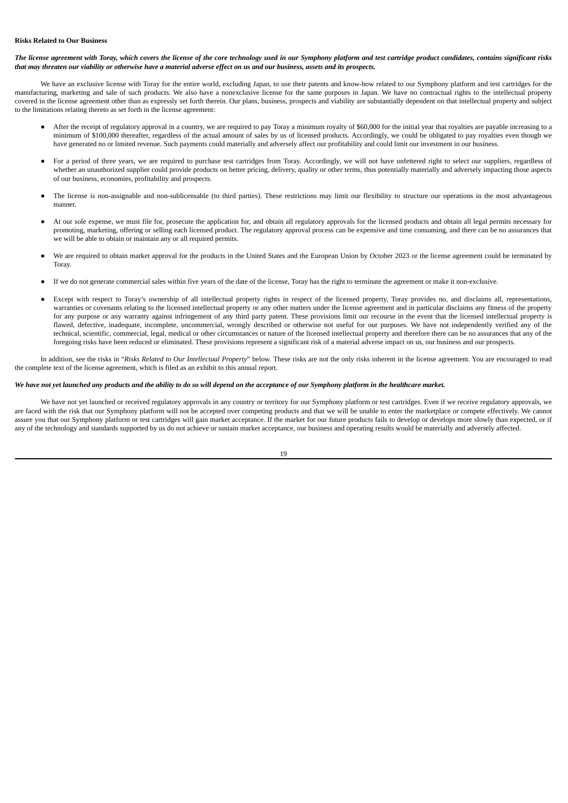# **Risks Related to Our Business**

## The license agreement with Toray, which covers the license of the core technology used in our Symphony platform and test cartridge product candidates, contains significant risks that may threaten our viability or otherwise have a material adverse effect on us and our business, assets and its prospects.

We have an exclusive license with Toray for the entire world, excluding Japan, to use their patents and know-how related to our Symphony platform and test cartridges for the manufacturing, marketing and sale of such products. We also have a nonexclusive license for the same purposes in Japan. We have no contractual rights to the intellectual property covered in the license agreement other than as expressly set forth therein. Our plans, business, prospects and viability are substantially dependent on that intellectual property and subject to the limitations relating thereto as set forth in the license agreement:

- After the receipt of regulatory approval in a country, we are required to pay Toray a minimum royalty of \$60,000 for the initial year that royalties are payable increasing to a minimum of \$100,000 thereafter, regardless of the actual amount of sales by us of licensed products. Accordingly, we could be obligated to pay royalties even though we have generated no or limited revenue. Such payments could materially and adversely affect our profitability and could limit our investment in our business.
- For a period of three years, we are required to purchase test cartridges from Toray. Accordingly, we will not have unfettered right to select our suppliers, regardless of whether an unauthorized supplier could provide products on better pricing, delivery, quality or other terms, thus potentially materially and adversely impacting those aspects of our business, economies, profitability and prospects.
- The license is non-assignable and non-sublicensable (to third parties). These restrictions may limit our flexibility to structure our operations in the most advantageous manner.
- At our sole expense, we must file for, prosecute the application for, and obtain all regulatory approvals for the licensed products and obtain all legal permits necessary for promoting, marketing, offering or selling each licensed product. The regulatory approval process can be expensive and time consuming, and there can be no assurances that we will be able to obtain or maintain any or all required permits.
- We are required to obtain market approval for the products in the United States and the European Union by October 2023 or the license agreement could be terminated by Toray.
- If we do not generate commercial sales within five years of the date of the license. Toray has the right to terminate the agreement or make it non-exclusive.
- Except with respect to Toray's ownership of all intellectual property rights in respect of the licensed property, Toray provides no, and disclaims all, representations, warranties or covenants relating to the licensed intellectual property or any other matters under the license agreement and in particular disclaims any fitness of the property for any purpose or any warranty against infringement of any third party patent. These provisions limit our recourse in the event that the licensed intellectual property is flawed, defective, inadequate, incomplete, uncommercial, wrongly described or otherwise not useful for our purposes. We have not independently verified any of the technical, scientific, commercial, legal, medical or other circumstances or nature of the licensed intellectual property and therefore there can be no assurances that any of the foregoing risks have been reduced or eliminated. These provisions represent a significant risk of a material adverse impact on us, our business and our prospects.

In addition, see the risks in "*Risks Related to Our Intellectual Property*" below. These risks are not the only risks inherent in the license agreement. You are encouraged to read the complete text of the license agreement, which is filed as an exhibit to this annual report.

# We have not yet launched any products and the ability to do so will depend on the acceptance of our Symphony platform in the healthcare market.

We have not yet launched or received regulatory approvals in any country or territory for our Symphony platform or test cartridges. Even if we receive regulatory approvals, we are faced with the risk that our Symphony platform will not be accepted over competing products and that we will be unable to enter the marketplace or compete effectively. We cannot assure you that our Symphony platform or test cartridges will gain market acceptance. If the market for our future products fails to develop or develops more slowly than expected, or if any of the technology and standards supported by us do not achieve or sustain market acceptance, our business and operating results would be materially and adversely affected.

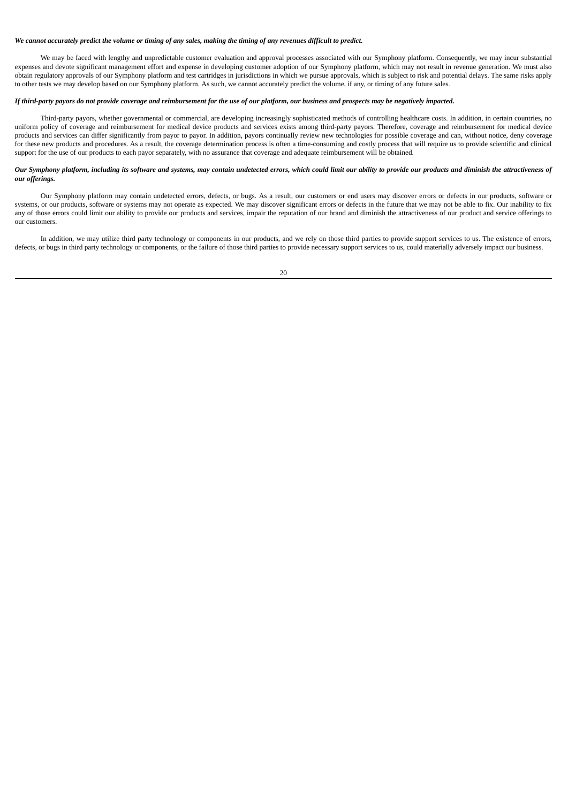# We cannot accurately predict the volume or timing of any sales, making the timing of any revenues difficult to predict.

We may be faced with lengthy and unpredictable customer evaluation and approval processes associated with our Symphony platform. Consequently, we may incur substantial expenses and devote significant management effort and expense in developing customer adoption of our Symphony platform, which may not result in revenue generation. We must also obtain regulatory approvals of our Symphony platform and test cartridges in jurisdictions in which we pursue approvals, which is subject to risk and potential delays. The same risks apply to other tests we may develop based on our Symphony platform. As such, we cannot accurately predict the volume, if any, or timing of any future sales.

# If third-party payors do not provide coverage and reimbursement for the use of our platform, our business and prospects may be negatively impacted.

Third-party payors, whether governmental or commercial, are developing increasingly sophisticated methods of controlling healthcare costs. In addition, in certain countries, no uniform policy of coverage and reimbursement for medical device products and services exists among third-party payors. Therefore, coverage and reimbursement for medical device products and services can differ significantly from payor to payor. In addition, payors continually review new technologies for possible coverage and can, without notice, deny coverage for these new products and procedures. As a result, the coverage determination process is often a time-consuming and costly process that will require us to provide scientific and clinical support for the use of our products to each payor separately, with no assurance that coverage and adequate reimbursement will be obtained.

## Our Symphony platform, including its software and systems, may contain undetected errors, which could limit our ability to provide our products and diminish the attractiveness of *our offerings.*

Our Symphony platform may contain undetected errors, defects, or bugs. As a result, our customers or end users may discover errors or defects in our products, software or systems, or our products, software or systems may not operate as expected. We may discover significant errors or defects in the future that we may not be able to fix. Our inability to fix any of those errors could limit our ability to provide our products and services, impair the reputation of our brand and diminish the attractiveness of our product and service offerings to our customers.

In addition, we may utilize third party technology or components in our products, and we rely on those third parties to provide support services to us. The existence of errors, defects, or bugs in third party technology or components, or the failure of those third parties to provide necessary support services to us, could materially adversely impact our business.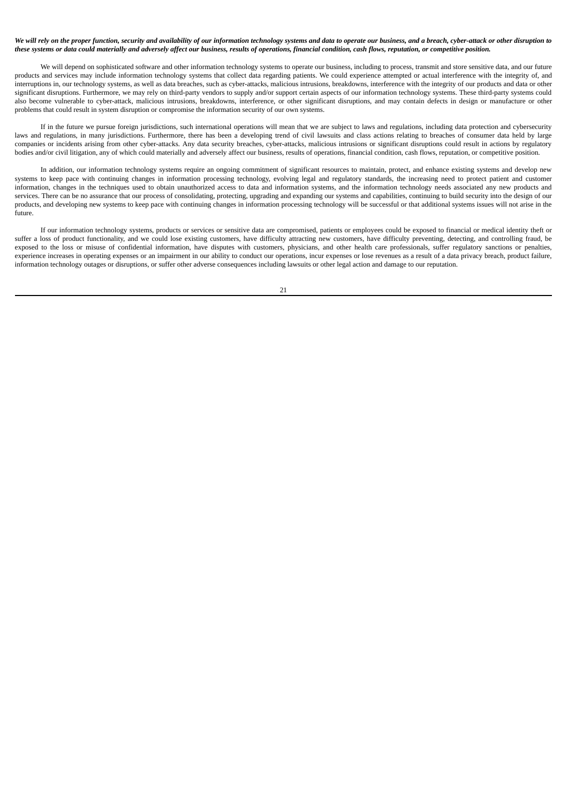# We will rely on the proper function, security and availability of our information technology systems and data to operate our business, and a breach, cyber-attack or other disruption to these systems or data could materially and adversely affect our business, results of operations, financial condition, cash flows, reputation, or competitive position.

We will depend on sophisticated software and other information technology systems to operate our business, including to process, transmit and store sensitive data, and our future products and services may include information technology systems that collect data regarding patients. We could experience attempted or actual interference with the integrity of, and interruptions in, our technology systems, as well as data breaches, such as cyber-attacks, malicious intrusions, breakdowns, interference with the integrity of our products and data or other significant disruptions. Furthermore, we may rely on third-party vendors to supply and/or support certain aspects of our information technology systems. These third-party systems could also become vulnerable to cyber-attack, malicious intrusions, breakdowns, interference, or other significant disruptions, and may contain defects in design or manufacture or other problems that could result in system disruption or compromise the information security of our own systems.

If in the future we pursue foreign jurisdictions, such international operations will mean that we are subject to laws and regulations, including data protection and cybersecurity laws and regulations, in many jurisdictions. Furthermore, there has been a developing trend of civil lawsuits and class actions relating to breaches of consumer data held by large companies or incidents arising from other cyber-attacks. Any data security breaches, cyber-attacks, malicious intrusions or significant disruptions could result in actions by regulatory bodies and/or civil litigation, any of which could materially and adversely affect our business, results of operations, financial condition, cash flows, reputation, or competitive position.

In addition, our information technology systems require an ongoing commitment of significant resources to maintain, protect, and enhance existing systems and develop new systems to keep pace with continuing changes in information processing technology, evolving legal and regulatory standards, the increasing need to protect patient and customer information, changes in the techniques used to obtain unauthorized access to data and information systems, and the information technology needs associated any new products and services. There can be no assurance that our process of consolidating, protecting, upgrading and expanding our systems and capabilities, continuing to build security into the design of our products, and developing new systems to keep pace with continuing changes in information processing technology will be successful or that additional systems issues will not arise in the future.

If our information technology systems, products or services or sensitive data are compromised, patients or employees could be exposed to financial or medical identity theft or suffer a loss of product functionality, and we could lose existing customers, have difficulty attracting new customers, have difficulty preventing, detecting, and controlling fraud, be exposed to the loss or misuse of confidential information, have disputes with customers, physicians, and other health care professionals, suffer regulatory sanctions or penalties, experience increases in operating expenses or an impairment in our ability to conduct our operations, incur expenses or lose revenues as a result of a data privacy breach, product failure, information technology outages or disruptions, or suffer other adverse consequences including lawsuits or other legal action and damage to our reputation.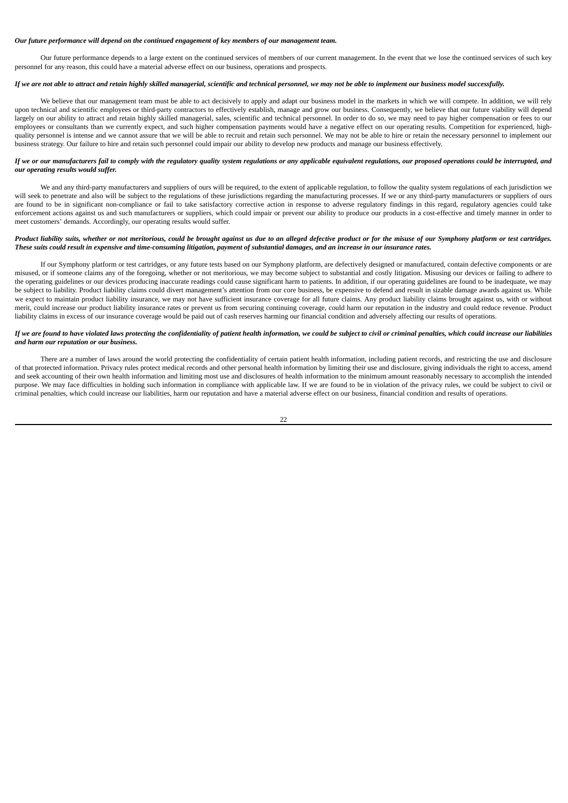# *Our future performance will depend on the continued engagement of key members of our management team.*

Our future performance depends to a large extent on the continued services of members of our current management. In the event that we lose the continued services of such key personnel for any reason, this could have a material adverse effect on our business, operations and prospects.

## If we are not able to attract and retain highly skilled managerial, scientific and technical personnel, we may not be able to implement our business model successfully.

We believe that our management team must be able to act decisively to apply and adapt our business model in the markets in which we will compete. In addition, we will rely upon technical and scientific employees or third-party contractors to effectively establish, manage and grow our business. Consequently, we believe that our future viability will depend largely on our ability to attract and retain highly skilled managerial, sales, scientific and technical personnel. In order to do so, we may need to pay higher compensation or fees to our employees or consultants than we currently expect, and such higher compensation payments would have a negative effect on our operating results. Competition for experienced, highquality personnel is intense and we cannot assure that we will be able to recruit and retain such personnel. We may not be able to hire or retain the necessary personnel to implement our business strategy. Our failure to hire and retain such personnel could impair our ability to develop new products and manage our business effectively.

## If we or our manufacturers fail to comply with the regulatory quality system regulations or any applicable equivalent regulations, our proposed operations could be interrupted, and *our operating results would suffer.*

We and any third-party manufacturers and suppliers of ours will be required, to the extent of applicable regulation, to follow the quality system regulations of each jurisdiction we will seek to penetrate and also will be subject to the regulations of these jurisdictions regarding the manufacturing processes. If we or any third-party manufacturers or suppliers of ours are found to be in significant non-compliance or fail to take satisfactory corrective action in response to adverse regulatory findings in this regard, regulatory agencies could take enforcement actions against us and such manufacturers or suppliers, which could impair or prevent our ability to produce our products in a cost-effective and timely manner in order to meet customers' demands. Accordingly, our operating results would suffer.

## Product liability suits, whether or not meritorious, could be brought against us due to an alleaed defective product or for the misuse of our Symphony platform or test cartridaes. These suits could result in expensive and time-consumina litiaation, payment of substantial damages, and an increase in our insurance rates.

If our Symphony platform or test cartridges, or any future tests based on our Symphony platform, are defectively designed or manufactured, contain defective components or are misused, or if someone claims any of the foregoing, whether or not meritorious, we may become subject to substantial and costly litigation. Misusing our devices or failing to adhere to the operating guidelines or our devices producing inaccurate readings could cause significant harm to patients. In addition, if our operating guidelines are found to be inadequate, we may be subject to liability. Product liability claims could divert management's attention from our core business, be expensive to defend and result in sizable damage awards against us. While we expect to maintain product liability insurance, we may not have sufficient insurance coverage for all future claims. Any product liability claims brought against us, with or without merit, could increase our product liability insurance rates or prevent us from securing continuing coverage, could harm our reputation in the industry and could reduce revenue. Product liability claims in excess of our insurance coverage would be paid out of cash reserves harming our financial condition and adversely affecting our results of operations.

#### If we are found to have violated laws protecting the confidentiality of patient health information, we could be subject to civil or criminal penalties, which could increase our liabilities *and harm our reputation or our business.*

There are a number of laws around the world protecting the confidentiality of certain patient health information, including patient records, and restricting the use and disclosure of that protected information. Privacy rules protect medical records and other personal health information by limiting their use and disclosure, giving individuals the right to access, amend and seek accounting of their own health information and limiting most use and disclosures of health information to the minimum amount reasonably necessary to accomplish the intended purpose. We may face difficulties in holding such information in compliance with applicable law. If we are found to be in violation of the privacy rules, we could be subject to civil or criminal penalties, which could increase our liabilities, harm our reputation and have a material adverse effect on our business, financial condition and results of operations.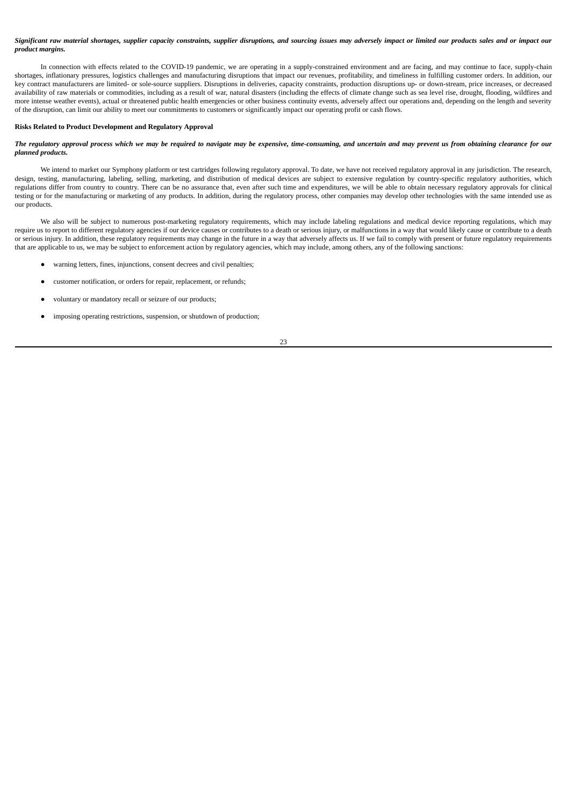# Significant raw material shortages, supplier capacity constraints, supplier disruptions, and sourcing issues may adversely impact or limited our products sales and or impact our *product margins.*

In connection with effects related to the COVID-19 pandemic, we are operating in a supply-constrained environment and are facing, and may continue to face, supply-chain shortages, inflationary pressures, logistics challenges and manufacturing disruptions that impact our revenues, profitability, and timeliness in fulfilling customer orders. In addition, our key contract manufacturers are limited- or sole-source suppliers. Disruptions in deliveries, capacity constraints, production disruptions up- or down-stream, price increases, or decreased availability of raw materials or commodities, including as a result of war, natural disasters (including the effects of climate change such as sea level rise, drought, flooding, wildfires and more intense weather events), actual or threatened public health emergencies or other business continuity events, adversely affect our operations and, depending on the length and severity of the disruption, can limit our ability to meet our commitments to customers or significantly impact our operating profit or cash flows.

#### **Risks Related to Product Development and Regulatory Approval**

### The regulatory approval process which we may be required to navigate may be expensive, time-consuming, and uncertain and may prevent us from obtaining clearance for our *planned products.*

We intend to market our Symphony platform or test cartridges following regulatory approval. To date, we have not received regulatory approval in any jurisdiction. The research, design, testing, manufacturing, labeling, selling, marketing, and distribution of medical devices are subject to extensive regulation by country-specific regulatory authorities, which regulations differ from country to country. There can be no assurance that, even after such time and expenditures, we will be able to obtain necessary regulatory approvals for clinical testing or for the manufacturing or marketing of any products. In addition, during the regulatory process, other companies may develop other technologies with the same intended use as our products.

We also will be subject to numerous post-marketing regulatory requirements, which may include labeling regulations and medical device reporting regulations, which may require us to report to different regulatory agencies if our device causes or contributes to a death or serious injury, or malfunctions in a way that would likely cause or contribute to a death or serious injury. In addition, these regulatory requirements may change in the future in a way that adversely affects us. If we fail to comply with present or future regulatory requirements that are applicable to us, we may be subject to enforcement action by regulatory agencies, which may include, among others, any of the following sanctions:

- warning letters, fines, injunctions, consent decrees and civil penalties;
- customer notification, or orders for repair, replacement, or refunds;
- voluntary or mandatory recall or seizure of our products;
- imposing operating restrictions, suspension, or shutdown of production;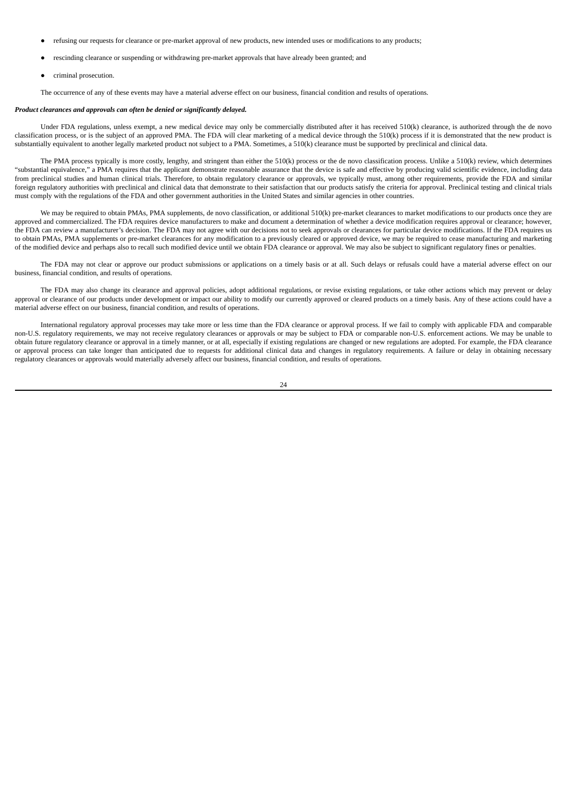- refusing our requests for clearance or pre-market approval of new products, new intended uses or modifications to any products;
- rescinding clearance or suspending or withdrawing pre-market approvals that have already been granted; and
- criminal prosecution.

The occurrence of any of these events may have a material adverse effect on our business, financial condition and results of operations.

## *Product clearances and approvals can often be denied or significantly delayed.*

Under FDA regulations, unless exempt, a new medical device may only be commercially distributed after it has received 510(k) clearance, is authorized through the de novo classification process, or is the subject of an approved PMA. The FDA will clear marketing of a medical device through the 510(k) process if it is demonstrated that the new product is substantially equivalent to another legally marketed product not subject to a PMA. Sometimes, a 510(k) clearance must be supported by preclinical and clinical data.

The PMA process typically is more costly, lengthy, and stringent than either the 510(k) process or the de novo classification process. Unlike a 510(k) review, which determines "substantial equivalence," a PMA requires that the applicant demonstrate reasonable assurance that the device is safe and effective by producing valid scientific evidence, including data from preclinical studies and human clinical trials. Therefore, to obtain regulatory clearance or approvals, we typically must, among other requirements, provide the FDA and similar foreign regulatory authorities with preclinical and clinical data that demonstrate to their satisfaction that our products satisfy the criteria for approval. Preclinical testing and clinical trials must comply with the regulations of the FDA and other government authorities in the United States and similar agencies in other countries.

We may be required to obtain PMAs, PMA supplements, de novo classification, or additional 510(k) pre-market clearances to market modifications to our products once they are approved and commercialized. The FDA requires device manufacturers to make and document a determination of whether a device modification requires approval or clearance; however, the FDA can review a manufacturer's decision. The FDA may not agree with our decisions not to seek approvals or clearances for particular device modifications. If the FDA requires us to obtain PMAs, PMA supplements or pre-market clearances for any modification to a previously cleared or approved device, we may be required to cease manufacturing and marketing of the modified device and perhaps also to recall such modified device until we obtain FDA clearance or approval. We may also be subject to significant regulatory fines or penalties.

The FDA may not clear or approve our product submissions or applications on a timely basis or at all. Such delays or refusals could have a material adverse effect on our business, financial condition, and results of operations.

The FDA may also change its clearance and approval policies, adopt additional regulations, or revise existing regulations, or take other actions which may prevent or delay approval or clearance of our products under development or impact our ability to modify our currently approved or cleared products on a timely basis. Any of these actions could have a material adverse effect on our business, financial condition, and results of operations.

International regulatory approval processes may take more or less time than the FDA clearance or approval process. If we fail to comply with applicable FDA and comparable non-U.S. regulatory requirements, we may not receive regulatory clearances or approvals or may be subject to FDA or comparable non-U.S. enforcement actions. We may be unable to obtain future regulatory clearance or approval in a timely manner, or at all, especially if existing regulations are changed or new regulations are adopted. For example, the FDA clearance or approval process can take longer than anticipated due to requests for additional clinical data and changes in regulatory requirements. A failure or delay in obtaining necessary regulatory clearances or approvals would materially adversely affect our business, financial condition, and results of operations.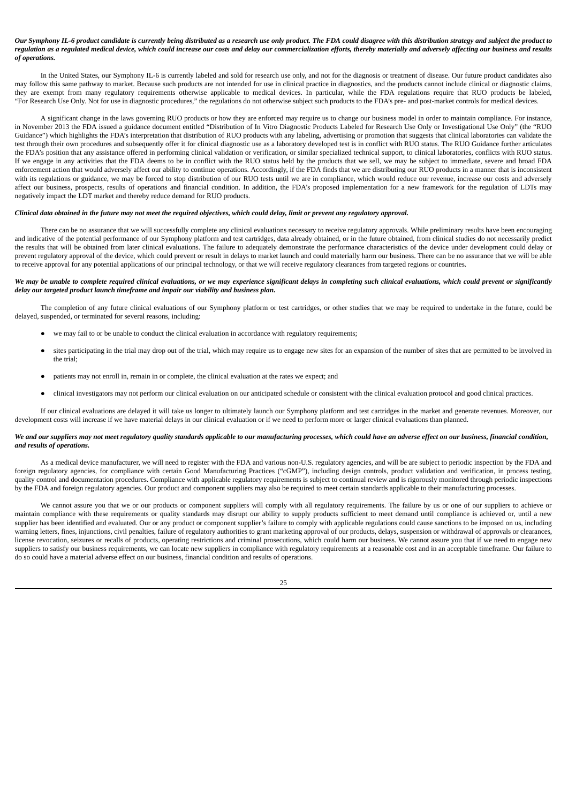# Our Symphony IL-6 product candidate is currently being distributed as a research use only product. The FDA could disagree with this distribution strategy and subject the product to regulation as a regulated medical device, which could increase our costs and delay our commercialization efforts, thereby materially and adversely affecting our business and results *of operations.*

In the United States, our Symphony IL-6 is currently labeled and sold for research use only, and not for the diagnosis or treatment of disease. Our future product candidates also may follow this same pathway to market. Because such products are not intended for use in clinical practice in diagnostics, and the products cannot include clinical or diagnostic claims, they are exempt from many regulatory requirements otherwise applicable to medical devices. In particular, while the FDA regulations require that RUO products be labeled, "For Research Use Only. Not for use in diagnostic procedures," the regulations do not otherwise subject such products to the FDA's pre- and post-market controls for medical devices.

A significant change in the laws governing RUO products or how they are enforced may require us to change our business model in order to maintain compliance. For instance, in November 2013 the FDA issued a guidance document entitled "Distribution of In Vitro Diagnostic Products Labeled for Research Use Only or Investigational Use Only" (the "RUO Guidance") which highlights the FDA's interpretation that distribution of RUO products with any labeling, advertising or promotion that suggests that clinical laboratories can validate the test through their own procedures and subsequently offer it for clinical diagnostic use as a laboratory developed test is in conflict with RUO status. The RUO Guidance further articulates the FDA's position that any assistance offered in performing clinical validation or verification, or similar specialized technical support, to clinical laboratories, conflicts with RUO status. If we engage in any activities that the FDA deems to be in conflict with the RUO status held by the products that we sell, we may be subject to immediate, severe and broad FDA enforcement action that would adversely affect our ability to continue operations. Accordingly, if the FDA finds that we are distributing our RUO products in a manner that is inconsistent with its regulations or guidance, we may be forced to stop distribution of our RUO tests until we are in compliance, which would reduce our revenue, increase our costs and adversely affect our business, prospects, results of operations and financial condition. In addition, the FDA's proposed implementation for a new framework for the regulation of LDTs may negatively impact the LDT market and thereby reduce demand for RUO products.

## Clinical data obtained in the future may not meet the required objectives, which could delay, limit or prevent any regulatory approval.

There can be no assurance that we will successfully complete any clinical evaluations necessary to receive regulatory approvals. While preliminary results have been encouraging and indicative of the potential performance of our Symphony platform and test cartridges, data already obtained, or in the future obtained, from clinical studies do not necessarily predict the results that will be obtained from later clinical evaluations. The failure to adequately demonstrate the performance characteristics of the device under development could delay or prevent regulatory approval of the device, which could prevent or result in delays to market launch and could materially harm our business. There can be no assurance that we will be able to receive approval for any potential applications of our principal technology, or that we will receive regulatory clearances from targeted regions or countries.

# We may be unable to complete required clinical evaluations, or we may experience significant delays in completing such clinical evaluations, which could prevent or significantly *delay our targeted product launch timeframe and impair our viability and business plan.*

The completion of any future clinical evaluations of our Symphony platform or test cartridges, or other studies that we may be required to undertake in the future, could be delayed, suspended, or terminated for several reasons, including:

- we may fail to or be unable to conduct the clinical evaluation in accordance with regulatory requirements;
- sites participating in the trial may drop out of the trial, which may require us to engage new sites for an expansion of the number of sites that are permitted to be involved in the trial;
- patients may not enroll in, remain in or complete, the clinical evaluation at the rates we expect; and
- clinical investigators may not perform our clinical evaluation on our anticipated schedule or consistent with the clinical evaluation protocol and good clinical practices.

If our clinical evaluations are delayed it will take us longer to ultimately launch our Symphony platform and test cartridges in the market and generate revenues. Moreover, our development costs will increase if we have material delays in our clinical evaluation or if we need to perform more or larger clinical evaluations than planned.

# We and our suppliers may not meet regulatory quality standards applicable to our manufacturing processes, which could have an adverse effect on our business, financial condition, *and results of operations.*

As a medical device manufacturer, we will need to register with the FDA and various non-U.S. regulatory agencies, and will be are subject to periodic inspection by the FDA and foreign regulatory agencies, for compliance with certain Good Manufacturing Practices ("cGMP"), including design controls, product validation and verification, in process testing, quality control and documentation procedures. Compliance with applicable regulatory requirements is subject to continual review and is rigorously monitored through periodic inspections by the FDA and foreign regulatory agencies. Our product and component suppliers may also be required to meet certain standards applicable to their manufacturing processes.

We cannot assure you that we or our products or component suppliers will comply with all regulatory requirements. The failure by us or one of our suppliers to achieve or maintain compliance with these requirements or quality standards may disrupt our ability to supply products sufficient to meet demand until compliance is achieved or, until a new supplier has been identified and evaluated. Our or any product or component supplier's failure to comply with applicable regulations could cause sanctions to be imposed on us, including warning letters, fines, injunctions, civil penalties, failure of regulatory authorities to grant marketing approval of our products, delays, suspension or withdrawal of approvals or clearances, license revocation, seizures or recalls of products, operating restrictions and criminal prosecutions, which could harm our business. We cannot assure you that if we need to engage new suppliers to satisfy our business requirements, we can locate new suppliers in compliance with regulatory requirements at a reasonable cost and in an acceptable timeframe. Our failure to do so could have a material adverse effect on our business, financial condition and results of operations.

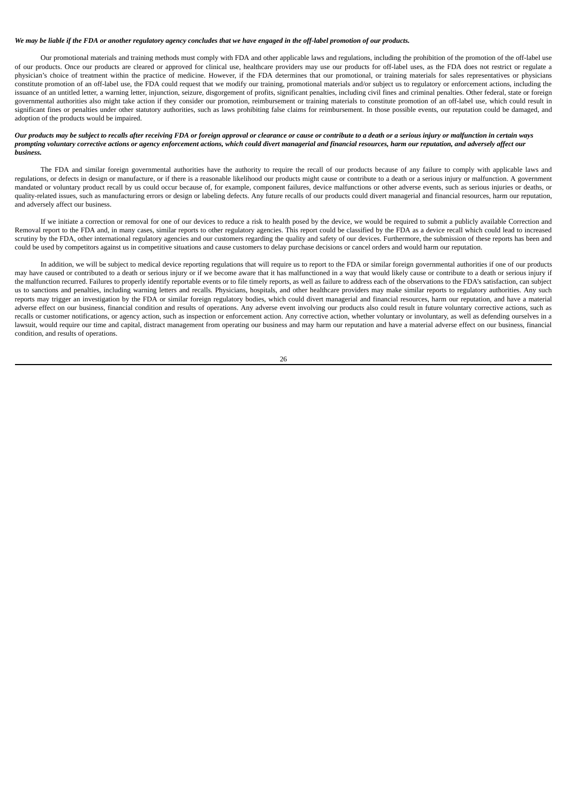# We may be liable if the FDA or another regulatory agency concludes that we have engaged in the off-label promotion of our products.

Our promotional materials and training methods must comply with FDA and other applicable laws and regulations, including the prohibition of the promotion of the off-label use of our products. Once our products are cleared or approved for clinical use, healthcare providers may use our products for off-label uses, as the FDA does not restrict or regulate a physician's choice of treatment within the practice of medicine. However, if the FDA determines that our promotional, or training materials for sales representatives or physicians constitute promotion of an off-label use, the FDA could request that we modify our training, promotional materials and/or subject us to regulatory or enforcement actions, including the issuance of an untitled letter, a warning letter, injunction, seizure, disgorgement of profits, significant penalties, including civil fines and criminal penalties. Other federal, state or foreign governmental authorities also might take action if they consider our promotion, reimbursement or training materials to constitute promotion of an off-label use, which could result in significant fines or penalties under other statutory authorities, such as laws prohibiting false claims for reimbursement. In those possible events, our reputation could be damaged, and adoption of the products would be impaired.

#### Our products may be subject to recalls after receiving FDA or foreign approval or clearance or cause or contribute to a death or a serious injury or malfunction in certain ways prompting voluntary corrective actions or agency enforcement actions, which could divert managerial and financial resources, harm our reputation, and adversely affect our *business.*

The FDA and similar foreign governmental authorities have the authority to require the recall of our products because of any failure to comply with applicable laws and regulations, or defects in design or manufacture, or if there is a reasonable likelihood our products might cause or contribute to a death or a serious injury or malfunction. A government mandated or voluntary product recall by us could occur because of, for example, component failures, device malfunctions or other adverse events, such as serious injuries or deaths, or quality-related issues, such as manufacturing errors or design or labeling defects. Any future recalls of our products could divert managerial and financial resources, harm our reputation, and adversely affect our business.

If we initiate a correction or removal for one of our devices to reduce a risk to health posed by the device, we would be required to submit a publicly available Correction and Removal report to the FDA and, in many cases, similar reports to other regulatory agencies. This report could be classified by the FDA as a device recall which could lead to increased scrutiny by the FDA, other international regulatory agencies and our customers regarding the quality and safety of our devices. Furthermore, the submission of these reports has been and could be used by competitors against us in competitive situations and cause customers to delay purchase decisions or cancel orders and would harm our reputation.

In addition, we will be subject to medical device reporting regulations that will require us to report to the FDA or similar foreign governmental authorities if one of our products may have caused or contributed to a death or serious injury or if we become aware that it has malfunctioned in a way that would likely cause or contribute to a death or serious injury if the malfunction recurred. Failures to properly identify reportable events or to file timely reports, as well as failure to address each of the observations to the FDA's satisfaction, can subject us to sanctions and penalties, including warning letters and recalls. Physicians, hospitals, and other healthcare providers may make similar reports to regulatory authorities. Any such reports may trigger an investigation by the FDA or similar foreign regulatory bodies, which could divert managerial and financial resources, harm our reputation, and have a material adverse effect on our business, financial condition and results of operations. Any adverse event involving our products also could result in future voluntary corrective actions, such as recalls or customer notifications, or agency action, such as inspection or enforcement action. Any corrective action, whether voluntary or involuntary, as well as defending ourselves in a lawsuit, would require our time and capital, distract management from operating our business and may harm our reputation and have a material adverse effect on our business, financial condition, and results of operations.

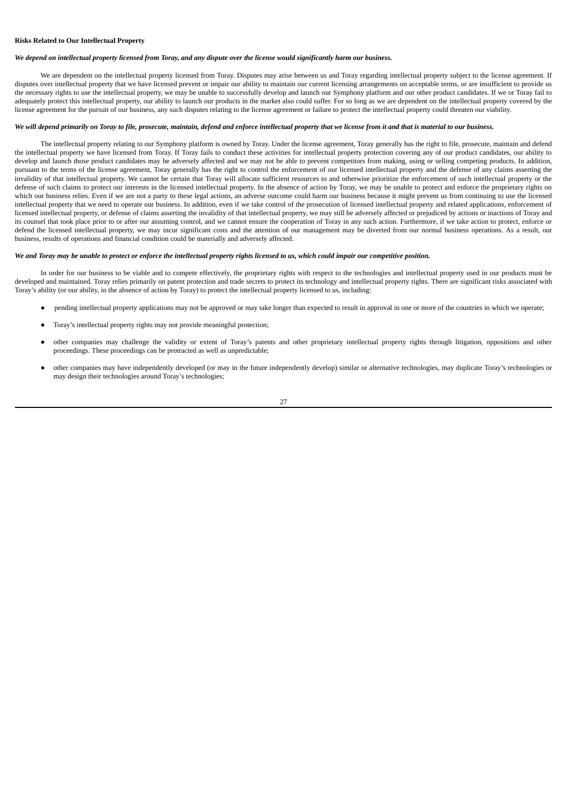# **Risks Related to Our Intellectual Property**

## We depend on intellectual property licensed from Toray, and any dispute over the license would significantly harm our business.

We are dependent on the intellectual property licensed from Toray. Disputes may arise between us and Toray regarding intellectual property subject to the license agreement. If disputes over intellectual property that we have licensed prevent or impair our ability to maintain our current licensing arrangements on acceptable terms, or are insufficient to provide us the necessary rights to use the intellectual property, we may be unable to successfully develop and launch our Symphony platform and our other product candidates. If we or Toray fail to adequately protect this intellectual property, our ability to launch our products in the market also could suffer. For so long as we are dependent on the intellectual property covered by the license agreement for the pursuit of our business, any such disputes relating to the license agreement or failure to protect the intellectual property could threaten our viability.

#### We will depend primarily on Toray to file, prosecute, maintain, defend and enforce intellectual property that we license from it and that is material to our business.

The intellectual property relating to our Symphony platform is owned by Toray. Under the license agreement, Toray generally has the right to file, prosecute, maintain and defend the intellectual property we have licensed from Toray. If Toray fails to conduct these activities for intellectual property protection covering any of our product candidates, our ability to develop and launch those product candidates may be adversely affected and we may not be able to prevent competitors from making, using or selling competing products. In addition, pursuant to the terms of the license agreement, Toray generally has the right to control the enforcement of our licensed intellectual property and the defense of any claims asserting the invalidity of that intellectual property. We cannot be certain that Toray will allocate sufficient resources to and otherwise prioritize the enforcement of such intellectual property or the defense of such claims to protect our interests in the licensed intellectual property. In the absence of action by Toray, we may be unable to protect and enforce the proprietary rights on which our business relies. Even if we are not a party to these legal actions, an adverse outcome could harm our business because it might prevent us from continuing to use the licensed intellectual property that we need to operate our business. In addition, even if we take control of the prosecution of licensed intellectual property and related applications, enforcement of licensed intellectual property, or defense of claims asserting the invalidity of that intellectual property, we may still be adversely affected or prejudiced by actions or inactions of Toray and its counsel that took place prior to or after our assuming control, and we cannot ensure the cooperation of Toray in any such action. Furthermore, if we take action to protect, enforce or defend the licensed intellectual property, we may incur significant costs and the attention of our management may be diverted from our normal business operations. As a result, our business, results of operations and financial condition could be materially and adversely affected.

## We and Toray may be unable to protect or enforce the intellectual property rights licensed to us, which could impair our competitive position.

In order for our business to be viable and to compete effectively, the proprietary rights with respect to the technologies and intellectual property used in our products must be developed and maintained. Toray relies primarily on patent protection and trade secrets to protect its technology and intellectual property rights. There are significant risks associated with Toray's ability (or our ability, in the absence of action by Toray) to protect the intellectual property licensed to us, including:

- pending intellectual property applications may not be approved or may take longer than expected to result in approval in one or more of the countries in which we operate;
- Toray's intellectual property rights may not provide meaningful protection;
- other companies may challenge the validity or extent of Toray's patents and other proprietary intellectual property rights through litigation, oppositions and other proceedings. These proceedings can be protracted as well as unpredictable;
- other companies may have independently developed (or may in the future independently develop) similar or alternative technologies, may duplicate Toray's technologies or may design their technologies around Toray's technologies;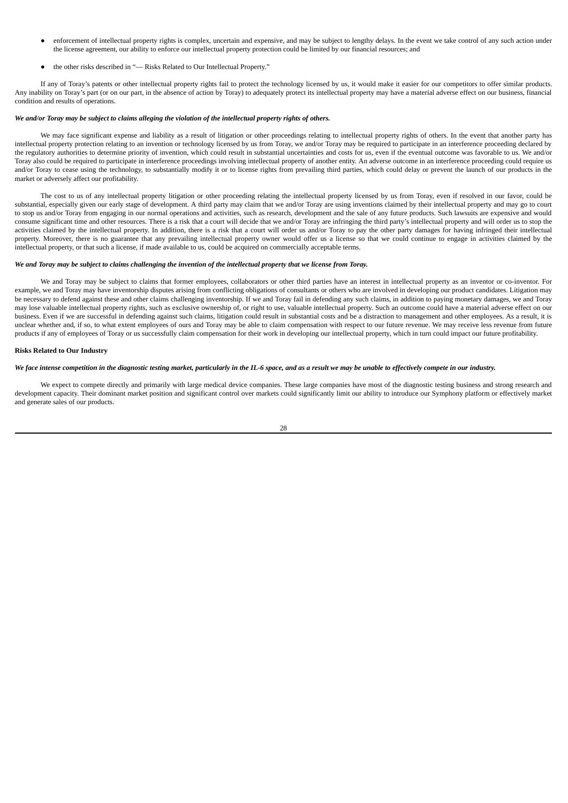- enforcement of intellectual property rights is complex, uncertain and expensive, and may be subject to lengthy delays. In the event we take control of any such action under the license agreement, our ability to enforce our intellectual property protection could be limited by our financial resources; and
- the other risks described in "- Risks Related to Our Intellectual Property."

If any of Toray's patents or other intellectual property rights fail to protect the technology licensed by us, it would make it easier for our competitors to offer similar products. Any inability on Toray's part (or on our part, in the absence of action by Toray) to adequately protect its intellectual property may have a material adverse effect on our business, financial condition and results of operations.

# We and/or Toray may be subject to claims alleging the violation of the intellectual property rights of others.

We may face significant expense and liability as a result of litigation or other proceedings relating to intellectual property rights of others. In the event that another party has intellectual property protection relating to an invention or technology licensed by us from Toray, we and/or Toray may be required to participate in an interference proceeding declared by the regulatory authorities to determine priority of invention, which could result in substantial uncertainties and costs for us, even if the eventual outcome was favorable to us. We and/or Toray also could be required to participate in interference proceedings involving intellectual property of another entity. An adverse outcome in an interference proceeding could require us and/or Toray to cease using the technology, to substantially modify it or to license rights from prevailing third parties, which could delay or prevent the launch of our products in the market or adversely affect our profitability.

The cost to us of any intellectual property litigation or other proceeding relating the intellectual property licensed by us from Toray, even if resolved in our favor, could be substantial, especially given our early stage of development. A third party may claim that we and/or Toray are using inventions claimed by their intellectual property and may go to court to stop us and/or Toray from engaging in our normal operations and activities, such as research, development and the sale of any future products. Such lawsuits are expensive and would consume significant time and other resources. There is a risk that a court will decide that we and/or Toray are infringing the third party's intellectual property and will order us to stop the activities claimed by the intellectual property. In addition, there is a risk that a court will order us and/or Toray to pay the other party damages for having infringed their intellectual property. Moreover, there is no guarantee that any prevailing intellectual property owner would offer us a license so that we could continue to engage in activities claimed by the intellectual property, or that such a license, if made available to us, could be acquired on commercially acceptable terms.

# We and Toray may be subject to claims challenging the invention of the intellectual property that we license from Toray.

We and Toray may be subject to claims that former employees, collaborators or other third parties have an interest in intellectual property as an inventor or co-inventor. For example, we and Toray may have inventorship disputes arising from conflicting obligations of consultants or others who are involved in developing our product candidates. Litigation may be necessary to defend against these and other claims challenging inventorship. If we and Toray fail in defending any such claims, in addition to paying monetary damages, we and Toray may lose valuable intellectual property rights, such as exclusive ownership of, or right to use, valuable intellectual property. Such an outcome could have a material adverse effect on our business. Even if we are successful in defending against such claims, litigation could result in substantial costs and be a distraction to management and other employees. As a result, it is unclear whether and, if so, to what extent employees of ours and Toray may be able to claim compensation with respect to our future revenue. We may receive less revenue from future products if any of employees of Toray or us successfully claim compensation for their work in developing our intellectual property, which in turn could impact our future profitability.

## **Risks Related to Our Industry**

#### We face intense competition in the diagnostic testing market, particularly in the IL-6 space, and as a result we may be unable to effectively compete in our industry.

We expect to compete directly and primarily with large medical device companies. These large companies have most of the diagnostic testing business and strong research and development capacity. Their dominant market position and significant control over markets could significantly limit our ability to introduce our Symphony platform or effectively market and generate sales of our products.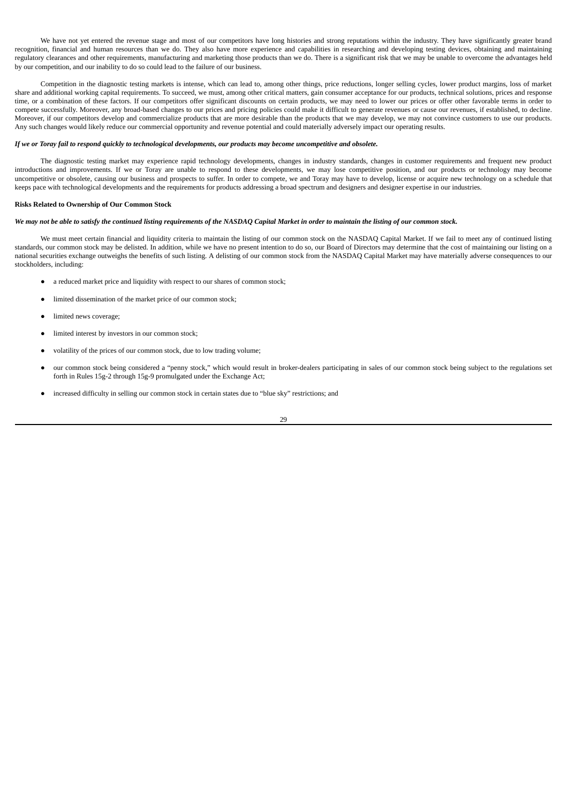We have not yet entered the revenue stage and most of our competitors have long histories and strong reputations within the industry. They have significantly greater brand recognition, financial and human resources than we do. They also have more experience and capabilities in researching and developing testing devices, obtaining and maintaining regulatory clearances and other requirements, manufacturing and marketing those products than we do. There is a significant risk that we may be unable to overcome the advantages held by our competition, and our inability to do so could lead to the failure of our business.

Competition in the diagnostic testing markets is intense, which can lead to, among other things, price reductions, longer selling cycles, lower product margins, loss of market share and additional working capital requirements. To succeed, we must, among other critical matters, gain consumer acceptance for our products, technical solutions, prices and response time, or a combination of these factors. If our competitors offer significant discounts on certain products, we may need to lower our prices or offer other favorable terms in order to compete successfully. Moreover, any broad-based changes to our prices and pricing policies could make it difficult to generate revenues or cause our revenues, if established, to decline. Moreover, if our competitors develop and commercialize products that are more desirable than the products that we may develop, we may not convince customers to use our products. Any such changes would likely reduce our commercial opportunity and revenue potential and could materially adversely impact our operating results.

## If we or Toray fail to respond quickly to technological developments, our products may become uncompetitive and obsolete.

The diagnostic testing market may experience rapid technology developments, changes in industry standards, changes in customer requirements and frequent new product introductions and improvements. If we or Toray are unable to respond to these developments, we may lose competitive position, and our products or technology may become uncompetitive or obsolete, causing our business and prospects to suffer. In order to compete, we and Toray may have to develop, license or acquire new technology on a schedule that keeps pace with technological developments and the requirements for products addressing a broad spectrum and designers and designer expertise in our industries.

## **Risks Related to Ownership of Our Common Stock**

## We may not be able to satisfy the continued listing requirements of the NASDAQ Capital Market in order to maintain the listing of our common stock.

We must meet certain financial and liquidity criteria to maintain the listing of our common stock on the NASDAO Capital Market. If we fail to meet any of continued listing standards, our common stock may be delisted. In addition, while we have no present intention to do so, our Board of Directors may determine that the cost of maintaining our listing on a national securities exchange outweighs the benefits of such listing. A delisting of our common stock from the NASDAQ Capital Market may have materially adverse consequences to our stockholders, including:

- a reduced market price and liquidity with respect to our shares of common stock;
- limited dissemination of the market price of our common stock;
- limited news coverage;
- limited interest by investors in our common stock;
- volatility of the prices of our common stock, due to low trading volume;
- our common stock being considered a "penny stock," which would result in broker-dealers participating in sales of our common stock being subject to the regulations set forth in Rules 15g-2 through 15g-9 promulgated under the Exchange Act;
- increased difficulty in selling our common stock in certain states due to "blue sky" restrictions; and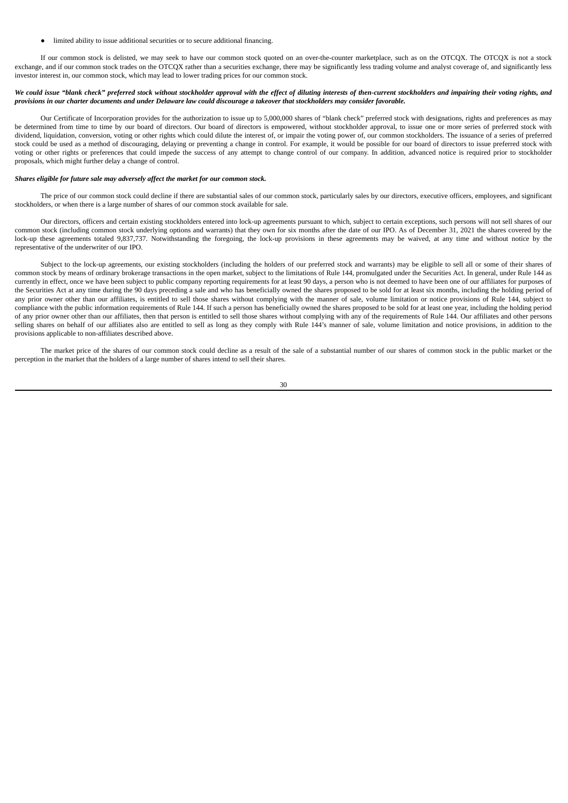limited ability to issue additional securities or to secure additional financing.

If our common stock is delisted, we may seek to have our common stock quoted on an over-the-counter marketplace, such as on the OTCQX. The OTCQX is not a stock exchange, and if our common stock trades on the OTCQX rather than a securities exchange, there may be significantly less trading volume and analyst coverage of, and significantly less investor interest in, our common stock, which may lead to lower trading prices for our common stock.

#### We could issue "blank check" preferred stock without stockholder approval with the effect of diluting interests of then-current stockholders and impairing their voting rights, and provisions in our charter documents and under Delaware law could discourage a takeover that stockholders may consider favorable.

Our Certificate of Incorporation provides for the authorization to issue up to 5,000,000 shares of "blank check" preferred stock with designations, rights and preferences as may be determined from time to time by our board of directors. Our board of directors is empowered, without stockholder approval, to issue one or more series of preferred stock with dividend, liquidation, conversion, voting or other rights which could dilute the interest of, or impair the voting power of, our common stockholders. The issuance of a series of preferred stock could be used as a method of discouraging, delaying or preventing a change in control. For example, it would be possible for our board of directors to issue preferred stock with voting or other rights or preferences that could impede the success of any attempt to change control of our company. In addition, advanced notice is required prior to stockholder proposals, which might further delay a change of control.

#### *Shares eligible for future sale may adversely affect the market for our common stock.*

The price of our common stock could decline if there are substantial sales of our common stock, particularly sales by our directors, executive officers, employees, and significant stockholders, or when there is a large number of shares of our common stock available for sale.

Our directors, officers and certain existing stockholders entered into lock-up agreements pursuant to which, subject to certain exceptions, such persons will not sell shares of our common stock (including common stock underlying options and warrants) that they own for six months after the date of our IPO. As of December 31, 2021 the shares covered by the lock-up these agreements totaled 9,837,737. Notwithstanding the foregoing, the lock-up provisions in these agreements may be waived, at any time and without notice by the representative of the underwriter of our IPO.

Subject to the lock-up agreements, our existing stockholders (including the holders of our preferred stock and warrants) may be eligible to sell all or some of their shares of common stock by means of ordinary brokerage transactions in the open market, subject to the limitations of Rule 144, promulgated under the Securities Act. In general, under Rule 144 as currently in effect, once we have been subject to public company reporting requirements for at least 90 days, a person who is not deemed to have been one of our affiliates for purposes of the Securities Act at any time during the 90 days preceding a sale and who has beneficially owned the shares proposed to be sold for at least six months, including the holding period of any prior owner other than our affiliates, is entitled to sell those shares without complying with the manner of sale, volume limitation or notice provisions of Rule 144, subject to compliance with the public information requirements of Rule 144. If such a person has beneficially owned the shares proposed to be sold for at least one year, including the holding period of any prior owner other than our affiliates, then that person is entitled to sell those shares without complying with any of the requirements of Rule 144. Our affiliates and other persons selling shares on behalf of our affiliates also are entitled to sell as long as they comply with Rule 144's manner of sale, volume limitation and notice provisions, in addition to the provisions applicable to non-affiliates described above.

The market price of the shares of our common stock could decline as a result of the sale of a substantial number of our shares of common stock in the public market or the perception in the market that the holders of a large number of shares intend to sell their shares.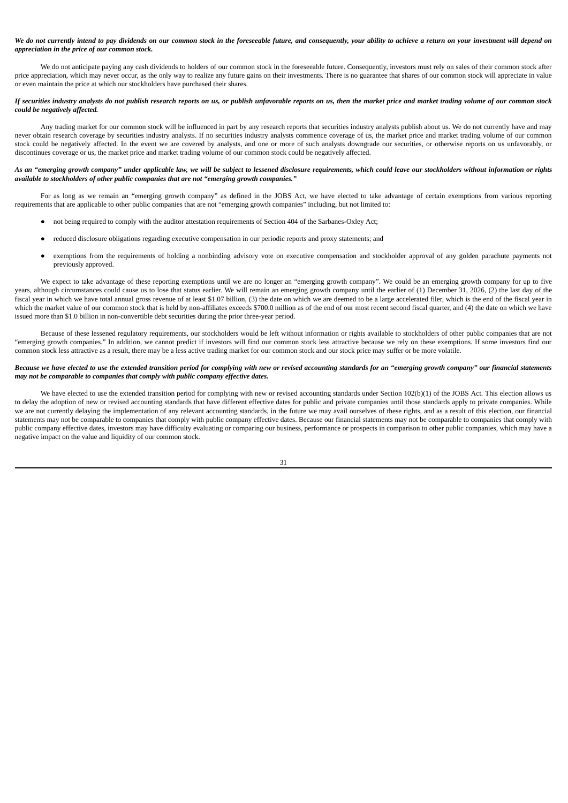# We do not currently intend to pay dividends on our common stock in the foreseeable future, and consequently, your ability to achieve a return on your investment will depend on *appreciation in the price of our common stock.*

We do not anticipate paying any cash dividends to holders of our common stock in the foreseeable future. Consequently, investors must rely on sales of their common stock after price appreciation, which may never occur, as the only way to realize any future gains on their investments. There is no guarantee that shares of our common stock will appreciate in value or even maintain the price at which our stockholders have purchased their shares.

## If securities industry analysts do not publish research reports on us, or publish unfavorable reports on us, then the market price and market trading volume of our common stock *could be negatively affected.*

Any trading market for our common stock will be influenced in part by any research reports that securities industry analysts publish about us. We do not currently have and may never obtain research coverage by securities industry analysts. If no securities industry analysts commence coverage of us, the market price and market trading volume of our common stock could be negatively affected. In the event we are covered by analysts, and one or more of such analysts downgrade our securities, or otherwise reports on us unfavorably, or discontinues coverage or us, the market price and market trading volume of our common stock could be negatively affected.

### As an "emerging growth company" under applicable law, we will be subject to lessened disclosure requirements, which could leave our stockholders without information or rights *available to stockholders of other public companies that are not "emerging growth companies."*

For as long as we remain an "emerging growth company" as defined in the JOBS Act, we have elected to take advantage of certain exemptions from various reporting requirements that are applicable to other public companies that are not "emerging growth companies" including, but not limited to:

- not being required to comply with the auditor attestation requirements of Section 404 of the Sarbanes-Oxley Act;
- reduced disclosure obligations regarding executive compensation in our periodic reports and proxy statements; and
- exemptions from the requirements of holding a nonbinding advisory vote on executive compensation and stockholder approval of any golden parachute payments not previously approved.

We expect to take advantage of these reporting exemptions until we are no longer an "emerging growth company". We could be an emerging growth company for up to five years, although circumstances could cause us to lose that status earlier. We will remain an emerging growth company until the earlier of (1) December 31, 2026, (2) the last day of the fiscal year in which we have total annual gross revenue of at least \$1.07 billion, (3) the date on which we are deemed to be a large accelerated filer, which is the end of the fiscal year in which the market value of our common stock that is held by non-affiliates exceeds \$700.0 million as of the end of our most recent second fiscal quarter, and (4) the date on which we have issued more than \$1.0 billion in non-convertible debt securities during the prior three-year period.

Because of these lessened regulatory requirements, our stockholders would be left without information or rights available to stockholders of other public companies that are not "emerging growth companies." In addition, we cannot predict if investors will find our common stock less attractive because we rely on these exemptions. If some investors find our common stock less attractive as a result, there may be a less active trading market for our common stock and our stock price may suffer or be more volatile.

## Because we have elected to use the extended transition period for complying with new or revised accounting standards for an "emerging growth company" our financial statements *may not be comparable to companies that comply with public company effective dates.*

We have elected to use the extended transition period for complying with new or revised accounting standards under Section 102(b)(1) of the JOBS Act. This election allows us to delay the adoption of new or revised accounting standards that have different effective dates for public and private companies until those standards apply to private companies. While we are not currently delaying the implementation of any relevant accounting standards, in the future we may avail ourselves of these rights, and as a result of this election, our financial statements may not be comparable to companies that comply with public company effective dates. Because our financial statements may not be comparable to companies that comply with public company effective dates, investors may have difficulty evaluating or comparing our business, performance or prospects in comparison to other public companies, which may have a negative impact on the value and liquidity of our common stock.

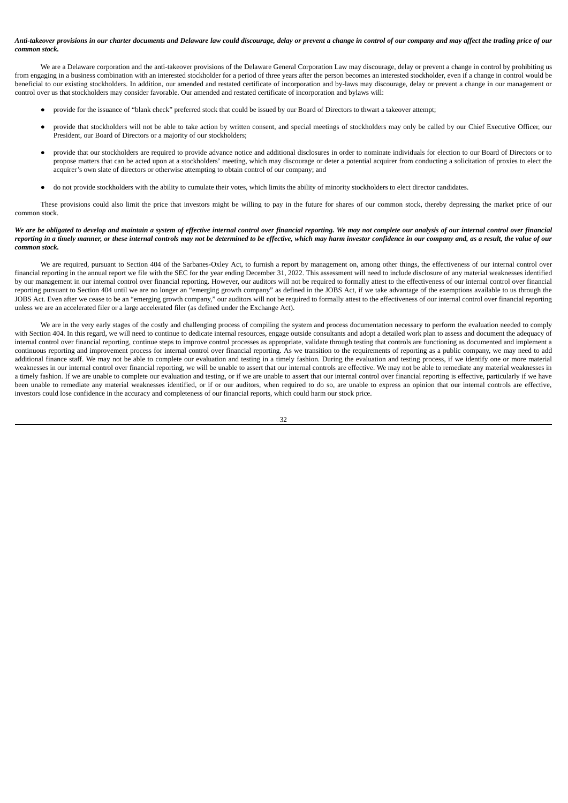# Anti-takeover provisions in our charter documents and Delaware law could discourage, delay or prevent a change in control of our company and may affect the trading price of our *common stock.*

We are a Delaware corporation and the anti-takeover provisions of the Delaware General Corporation Law may discourage, delay or prevent a change in control by prohibiting us from engaging in a business combination with an interested stockholder for a period of three years after the person becomes an interested stockholder, even if a change in control would be beneficial to our existing stockholders. In addition, our amended and restated certificate of incorporation and by-laws may discourage, delay or prevent a change in our management or control over us that stockholders may consider favorable. Our amended and restated certificate of incorporation and bylaws will:

- provide for the issuance of "blank check" preferred stock that could be issued by our Board of Directors to thwart a takeover attempt;
- provide that stockholders will not be able to take action by written consent, and special meetings of stockholders may only be called by our Chief Executive Officer, our President, our Board of Directors or a majority of our stockholders;
- provide that our stockholders are required to provide advance notice and additional disclosures in order to nominate individuals for election to our Board of Directors or to propose matters that can be acted upon at a stockholders' meeting, which may discourage or deter a potential acquirer from conducting a solicitation of proxies to elect the acquirer's own slate of directors or otherwise attempting to obtain control of our company; and
- do not provide stockholders with the ability to cumulate their votes, which limits the ability of minority stockholders to elect director candidates.

These provisions could also limit the price that investors might be willing to pay in the future for shares of our common stock, thereby depressing the market price of our common stock.

# We are be obligated to develop and maintain a system of effective internal control over financial reporting. We may not complete our analysis of our internal control over financial reporting in a timely manner, or these internal controls may not be determined to be effective, which may harm investor confidence in our company and, as a result, the value of our *common stock.*

We are required, pursuant to Section 404 of the Sarbanes-Oxley Act, to furnish a report by management on, among other things, the effectiveness of our internal control over financial reporting in the annual report we file with the SEC for the year ending December 31, 2022. This assessment will need to include disclosure of any material weaknesses identified by our management in our internal control over financial reporting. However, our auditors will not be required to formally attest to the effectiveness of our internal control over financial reporting pursuant to Section 404 until we are no longer an "emerging growth company" as defined in the JOBS Act, if we take advantage of the exemptions available to us through the JOBS Act. Even after we cease to be an "emerging growth company," our auditors will not be required to formally attest to the effectiveness of our internal control over financial reporting unless we are an accelerated filer or a large accelerated filer (as defined under the Exchange Act).

We are in the very early stages of the costly and challenging process of compiling the system and process documentation necessary to perform the evaluation needed to comply with Section 404. In this regard, we will need to continue to dedicate internal resources, engage outside consultants and adopt a detailed work plan to assess and document the adequacy of internal control over financial reporting, continue steps to improve control processes as appropriate, validate through testing that controls are functioning as documented and implement a continuous reporting and improvement process for internal control over financial reporting. As we transition to the requirements of reporting as a public company, we may need to add additional finance staff. We may not be able to complete our evaluation and testing in a timely fashion. During the evaluation and testing process, if we identify one or more material weaknesses in our internal control over financial reporting, we will be unable to assert that our internal controls are effective. We may not be able to remediate any material weaknesses in a timely fashion. If we are unable to complete our evaluation and testing, or if we are unable to assert that our internal control over financial reporting is effective, particularly if we have been unable to remediate any material weaknesses identified, or if or our auditors, when required to do so, are unable to express an opinion that our internal controls are effective, investors could lose confidence in the accuracy and completeness of our financial reports, which could harm our stock price.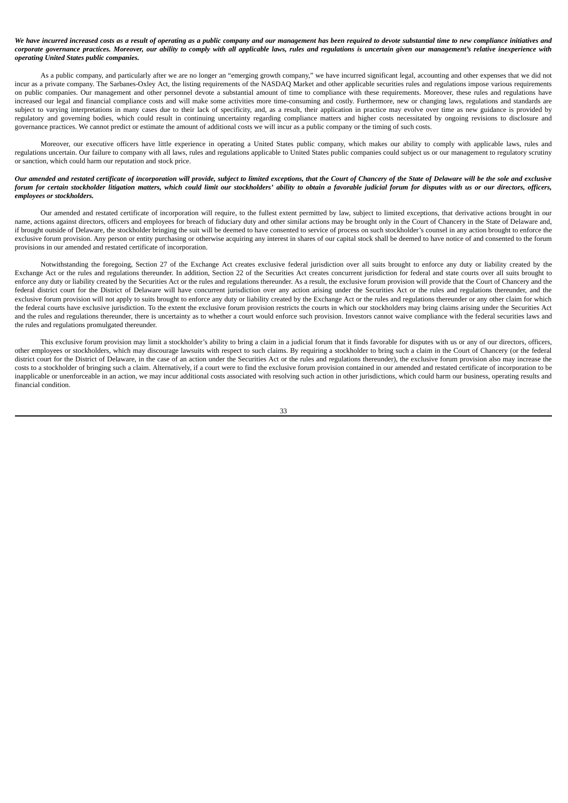# We have incurred increased costs as a result of operating as a public company and our management has been required to devote substantial time to new compliance initiatives and corporate governance practices. Moreover, our ability to comply with all applicable laws, rules and regulations is uncertain given our management's relative inexperience with *operating United States public companies.*

As a public company, and particularly after we are no longer an "emerging growth company," we have incurred significant legal, accounting and other expenses that we did not incur as a private company. The Sarbanes-Oxley Act, the listing requirements of the NASDAQ Market and other applicable securities rules and regulations impose various requirements on public companies. Our management and other personnel devote a substantial amount of time to compliance with these requirements. Moreover, these rules and regulations have increased our legal and financial compliance costs and will make some activities more time-consuming and costly. Furthermore, new or changing laws, regulations and standards are subject to varying interpretations in many cases due to their lack of specificity, and, as a result, their application in practice may evolve over time as new guidance is provided by regulatory and governing bodies, which could result in continuing uncertainty regarding compliance matters and higher costs necessitated by ongoing revisions to disclosure and governance practices. We cannot predict or estimate the amount of additional costs we will incur as a public company or the timing of such costs.

Moreover, our executive officers have little experience in operating a United States public company, which makes our ability to comply with applicable laws, rules and regulations uncertain. Our failure to company with all laws, rules and regulations applicable to United States public companies could subject us or our management to regulatory scrutiny or sanction, which could harm our reputation and stock price.

#### Our amended and restated certificate of incorporation will provide, subject to limited exceptions, that the Court of Chancery of the State of Delaware will be the sole and exclusive forum for certain stockholder litigation matters, which could limit our stockholders' ability to obtain a favorable judicial forum for disputes with us or our directors, officers, *employees or stockholders.*

Our amended and restated certificate of incorporation will require, to the fullest extent permitted by law, subject to limited exceptions, that derivative actions brought in our name, actions against directors, officers and employees for breach of fiduciary duty and other similar actions may be brought only in the Court of Chancery in the State of Delaware and, if brought outside of Delaware, the stockholder bringing the suit will be deemed to have consented to service of process on such stockholder's counsel in any action brought to enforce the exclusive forum provision. Any person or entity purchasing or otherwise acquiring any interest in shares of our capital stock shall be deemed to have notice of and consented to the forum provisions in our amended and restated certificate of incorporation.

Notwithstanding the foregoing, Section 27 of the Exchange Act creates exclusive federal jurisdiction over all suits brought to enforce any duty or liability created by the Exchange Act or the rules and regulations thereunder. In addition, Section 22 of the Securities Act creates concurrent jurisdiction for federal and state courts over all suits brought to enforce any duty or liability created by the Securities Act or the rules and regulations thereunder. As a result, the exclusive forum provision will provide that the Court of Chancery and the federal district court for the District of Delaware will have concurrent jurisdiction over any action arising under the Securities Act or the rules and regulations thereunder, and the exclusive forum provision will not apply to suits brought to enforce any duty or liability created by the Exchange Act or the rules and regulations thereunder or any other claim for which the federal courts have exclusive jurisdiction. To the extent the exclusive forum provision restricts the courts in which our stockholders may bring claims arising under the Securities Act and the rules and regulations thereunder, there is uncertainty as to whether a court would enforce such provision. Investors cannot waive compliance with the federal securities laws and the rules and regulations promulgated thereunder.

This exclusive forum provision may limit a stockholder's ability to bring a claim in a judicial forum that it finds favorable for disputes with us or any of our directors, officers, other employees or stockholders, which may discourage lawsuits with respect to such claims. By requiring a stockholder to bring such a claim in the Court of Chancery (or the federal district court for the District of Delaware, in the case of an action under the Securities Act or the rules and regulations thereunder), the exclusive forum provision also may increase the costs to a stockholder of bringing such a claim. Alternatively, if a court were to find the exclusive forum provision contained in our amended and restated certificate of incorporation to be inapplicable or unenforceable in an action, we may incur additional costs associated with resolving such action in other jurisdictions, which could harm our business, operating results and financial condition.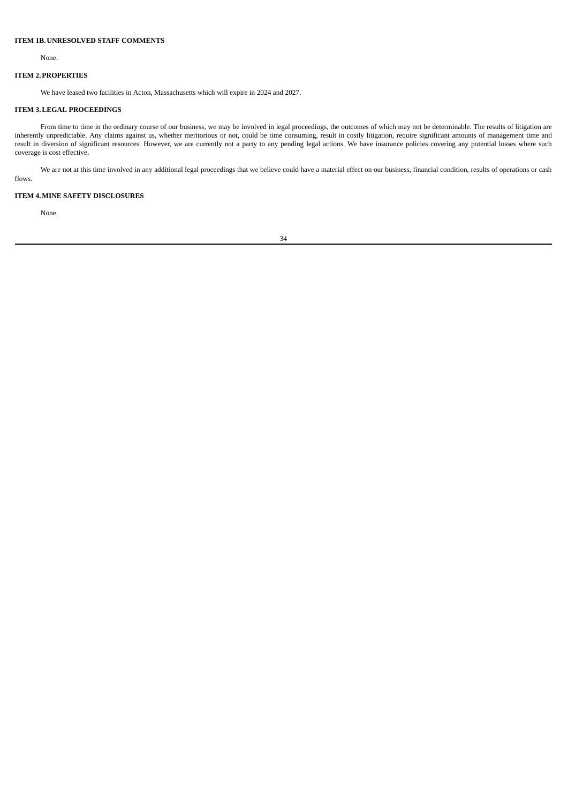## **ITEM 1B.UNRESOLVED STAFF COMMENTS**

None.

## **ITEM 2.PROPERTIES**

We have leased two facilities in Acton, Massachusetts which will expire in 2024 and 2027.

## **ITEM 3.LEGAL PROCEEDINGS**

From time to time in the ordinary course of our business, we may be involved in legal proceedings, the outcomes of which may not be determinable. The results of litigation are inherently unpredictable. Any claims against us, whether meritorious or not, could be time consuming, result in costly litigation, require significant amounts of management time and result in diversion of significant resources. However, we are currently not a party to any pending legal actions. We have insurance policies covering any potential losses where such coverage is cost effective.

We are not at this time involved in any additional legal proceedings that we believe could have a material effect on our business, financial condition, results of operations or cash flows.

### **ITEM 4.MINE SAFETY DISCLOSURES**

None.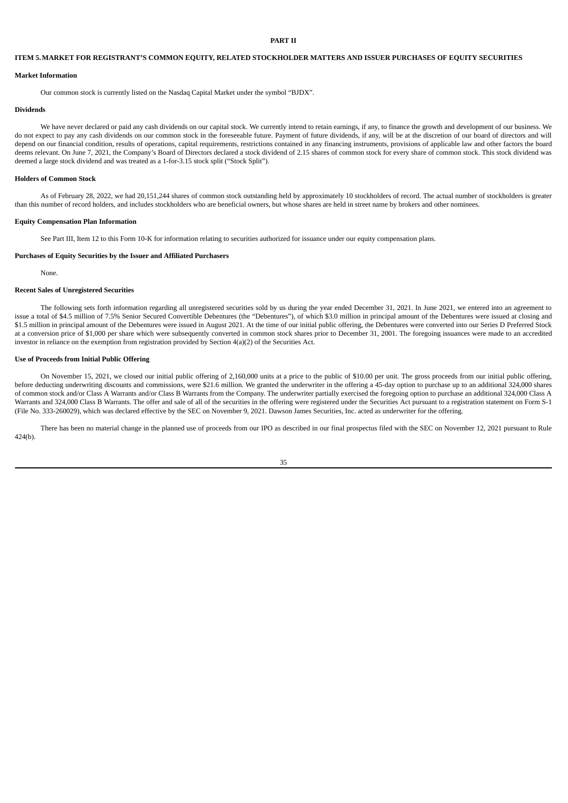#### **PART II**

## **ITEM 5.MARKET FOR REGISTRANT'S COMMON EQUITY, RELATED STOCKHOLDER MATTERS AND ISSUER PURCHASES OF EQUITY SECURITIES**

#### **Market Information**

Our common stock is currently listed on the Nasdaq Capital Market under the symbol "BJDX".

### **Dividends**

We have never declared or paid any cash dividends on our capital stock. We currently intend to retain earnings, if any, to finance the growth and development of our business. We do not expect to pay any cash dividends on our common stock in the foreseeable future. Payment of future dividends, if any, will be at the discretion of our board of directors and will depend on our financial condition, results of operations, capital requirements, restrictions contained in any financing instruments, provisions of applicable law and other factors the board deems relevant. On June 7, 2021, the Company's Board of Directors declared a stock dividend of 2.15 shares of common stock for every share of common stock. This stock dividend was deemed a large stock dividend and was treated as a 1-for-3.15 stock split ("Stock Split").

#### **Holders of Common Stock**

As of February 28, 2022, we had 20,151,244 shares of common stock outstanding held by approximately 10 stockholders of record. The actual number of stockholders is greater than this number of record holders, and includes stockholders who are beneficial owners, but whose shares are held in street name by brokers and other nominees.

#### **Equity Compensation Plan Information**

See Part III, Item 12 to this Form 10-K for information relating to securities authorized for issuance under our equity compensation plans.

### **Purchases of Equity Securities by the Issuer and Affiliated Purchasers**

None.

#### **Recent Sales of Unregistered Securities**

The following sets forth information regarding all unregistered securities sold by us during the year ended December 31, 2021. In June 2021, we entered into an agreement to issue a total of \$4.5 million of 7.5% Senior Secured Convertible Debentures (the "Debentures"), of which \$3.0 million in principal amount of the Debentures were issued at closing and \$1.5 million in principal amount of the Debentures were issued in August 2021. At the time of our initial public offering, the Debentures were converted into our Series D Preferred Stock at a conversion price of \$1,000 per share which were subsequently converted in common stock shares prior to December 31, 2001. The foregoing issuances were made to an accredited investor in reliance on the exemption from registration provided by Section 4(a)(2) of the Securities Act.

#### **Use of Proceeds from Initial Public Offering**

On November 15, 2021, we closed our initial public offering of 2,160,000 units at a price to the public of \$10.00 per unit. The gross proceeds from our initial public offering, before deducting underwriting discounts and commissions, were \$21.6 million. We granted the underwriter in the offering a 45-day option to purchase up to an additional 324,000 shares of common stock and/or Class A Warrants and/or Class B Warrants from the Company. The underwriter partially exercised the foregoing option to purchase an additional 324,000 Class A Warrants and 324,000 Class B Warrants. The offer and sale of all of the securities in the offering were registered under the Securities Act pursuant to a registration statement on Form S-1 (File No. 333-260029), which was declared effective by the SEC on November 9, 2021. Dawson James Securities, Inc. acted as underwriter for the offering.

There has been no material change in the planned use of proceeds from our IPO as described in our final prospectus filed with the SEC on November 12, 2021 pursuant to Rule 424(b).

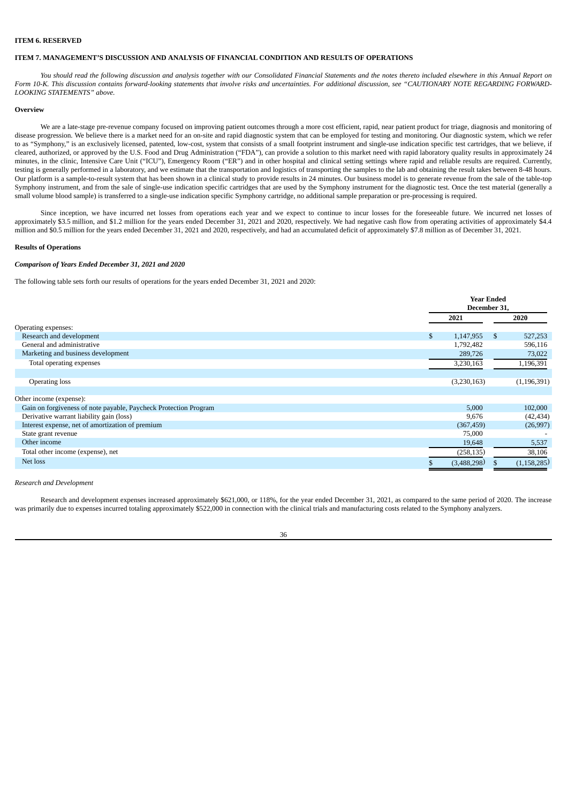## **ITEM 6. RESERVED**

### **ITEM 7. MANAGEMENT'S DISCUSSION AND ANALYSIS OF FINANCIAL CONDITION AND RESULTS OF OPERATIONS**

You should read the following discussion and analysis together with our Consolidated Financial Statements and the notes thereto included elsewhere in this Annual Report on Form 10-K. This discussion contains forward-looking statements that involve risks and uncertainties. For additional discussion, see "CAUTIONARY NOTE REGARDING FORWARD-*LOOKING STATEMENTS" above.*

### **Overview**

We are a late-stage pre-revenue company focused on improving patient outcomes through a more cost efficient, rapid, near patient product for triage, diagnosis and monitoring of disease progression. We believe there is a market need for an on-site and rapid diagnostic system that can be employed for testing and monitoring. Our diagnostic system, which we refer to as "Symphony," is an exclusively licensed, patented, low-cost, system that consists of a small footprint instrument and single-use indication specific test cartridges, that we believe, if cleared, authorized, or approved by the U.S. Food and Drug Administration ("FDA"), can provide a solution to this market need with rapid laboratory quality results in approximately 24 minutes, in the clinic, Intensive Care Unit ("ICU"), Emergency Room ("ER") and in other hospital and clinical setting settings where rapid and reliable results are required. Currently, testing is generally performed in a laboratory, and we estimate that the transportation and logistics of transporting the samples to the lab and obtaining the result takes between 8-48 hours. Our platform is a sample-to-result system that has been shown in a clinical study to provide results in 24 minutes. Our business model is to generate revenue from the sale of the table-top Symphony instrument, and from the sale of single-use indication specific cartridges that are used by the Symphony instrument for the diagnostic test. Once the test material (generally a small volume blood sample) is transferred to a single-use indication specific Symphony cartridge, no additional sample preparation or pre-processing is required.

Since inception, we have incurred net losses from operations each year and we expect to continue to incur losses for the foreseeable future. We incurred net losses of approximately \$3.5 million, and \$1.2 million for the years ended December 31, 2021 and 2020, respectively. We had negative cash flow from operating activities of approximately \$4.4 million and \$0.5 million for the years ended December 31, 2021 and 2020, respectively, and had an accumulated deficit of approximately \$7.8 million as of December 31, 2021.

## **Results of Operations**

## *Comparison of Years Ended December 31, 2021 and 2020*

The following table sets forth our results of operations for the years ended December 31, 2021 and 2020:

|                                                                  |                 | <b>Year Ended</b><br>December 31, |
|------------------------------------------------------------------|-----------------|-----------------------------------|
|                                                                  | 2021            | 2020                              |
| Operating expenses:                                              |                 |                                   |
| Research and development                                         | \$<br>1,147,955 | 527,253<br><sup>\$</sup>          |
| General and administrative                                       | 1,792,482       | 596,116                           |
| Marketing and business development                               | 289,726         | 73,022                            |
| Total operating expenses                                         | 3,230,163       | 1,196,391                         |
|                                                                  |                 |                                   |
| Operating loss                                                   | (3,230,163)     | (1, 196, 391)                     |
|                                                                  |                 |                                   |
| Other income (expense):                                          |                 |                                   |
| Gain on forgiveness of note payable, Paycheck Protection Program | 5,000           | 102,000                           |
| Derivative warrant liability gain (loss)                         | 9,676           | (42, 434)                         |
| Interest expense, net of amortization of premium                 | (367, 459)      | (26,997)                          |
| State grant revenue                                              | 75,000          |                                   |
| Other income                                                     | 19,648          | 5,537                             |
| Total other income (expense), net                                | (258, 135)      | 38,106                            |
| Net loss                                                         | (3,488,298)     | (1, 158, 285)                     |
|                                                                  |                 |                                   |

*Research and Development*

Research and development expenses increased approximately \$621,000, or 118%, for the year ended December 31, 2021, as compared to the same period of 2020. The increase was primarily due to expenses incurred totaling approximately \$522,000 in connection with the clinical trials and manufacturing costs related to the Symphony analyzers.

36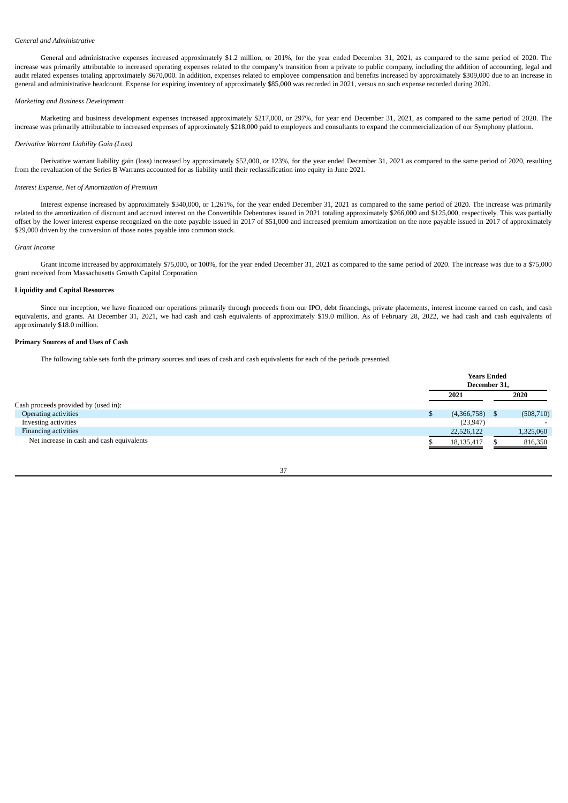#### *General and Administrative*

General and administrative expenses increased approximately \$1.2 million, or 201%, for the year ended December 31, 2021, as compared to the same period of 2020. The increase was primarily attributable to increased operating expenses related to the company's transition from a private to public company, including the addition of accounting, legal and audit related expenses totaling approximately \$670,000. In addition, expenses related to employee compensation and benefits increased by approximately \$309,000 due to an increase in general and administrative headcount. Expense for expiring inventory of approximately \$85,000 was recorded in 2021, versus no such expense recorded during 2020.

#### *Marketing and Business Development*

Marketing and business development expenses increased approximately \$217,000, or 297%, for year end December 31, 2021, as compared to the same period of 2020. The increase was primarily attributable to increased expenses of approximately \$218,000 paid to employees and consultants to expand the commercialization of our Symphony platform.

### *Derivative Warrant Liability Gain (Loss)*

Derivative warrant liability gain (loss) increased by approximately \$52,000, or 123%, for the year ended December 31, 2021 as compared to the same period of 2020, resulting from the revaluation of the Series B Warrants accounted for as liability until their reclassification into equity in June 2021.

# *Interest Expense, Net of Amortization of Premium*

Interest expense increased by approximately \$340,000, or 1,261%, for the year ended December 31, 2021 as compared to the same period of 2020. The increase was primarily related to the amortization of discount and accrued interest on the Convertible Debentures issued in 2021 totaling approximately \$266,000 and \$125,000, respectively. This was partially offset by the lower interest expense recognized on the note payable issued in 2017 of \$51,000 and increased premium amortization on the note payable issued in 2017 of approximately \$29,000 driven by the conversion of those notes payable into common stock.

### *Grant Income*

Grant income increased by approximately \$75,000, or 100%, for the year ended December 31, 2021 as compared to the same period of 2020. The increase was due to a \$75,000 grant received from Massachusetts Growth Capital Corporation

#### **Liquidity and Capital Resources**

Since our inception, we have financed our operations primarily through proceeds from our IPO, debt financings, private placements, interest income earned on cash, and cash equivalents, and grants. At December 31, 2021, we had cash and cash equivalents of approximately \$19.0 million. As of February 28, 2022, we had cash and cash equivalents of approximately \$18.0 million.

### **Primary Sources of and Uses of Cash**

The following table sets forth the primary sources and uses of cash and cash equivalents for each of the periods presented.

|                                           | <b>Years Ended</b><br>December 31, |            |
|-------------------------------------------|------------------------------------|------------|
|                                           | 2021                               | 2020       |
| Cash proceeds provided by (used in):      |                                    |            |
| <b>Operating activities</b>               | (4,366,758)                        | (508, 710) |
| Investing activities                      | (23, 947)                          |            |
| <b>Financing activities</b>               | 22,526,122                         | 1,325,060  |
| Net increase in cash and cash equivalents | 18,135,417                         | 816,350    |

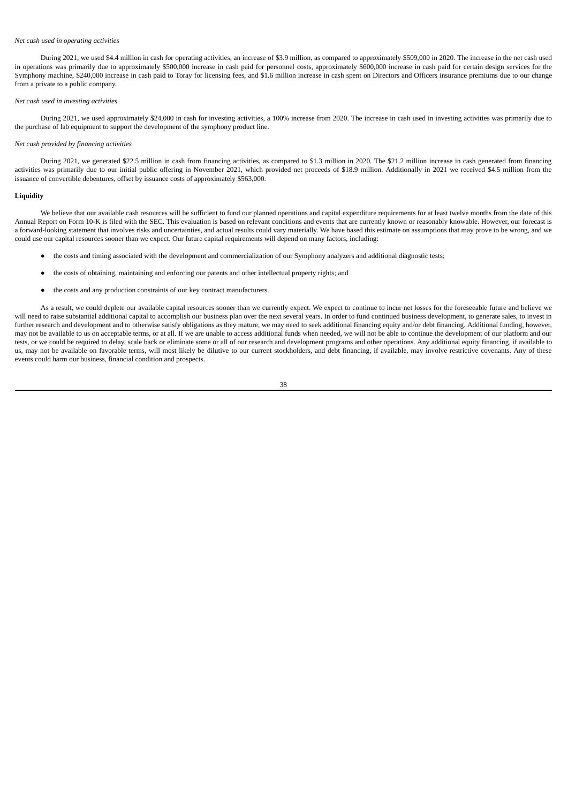#### *Net cash used in operating activities*

During 2021, we used \$4.4 million in cash for operating activities, an increase of \$3.9 million, as compared to approximately \$509,000 in 2020. The increase in the net cash used in operations was primarily due to approximately \$500,000 increase in cash paid for personnel costs, approximately \$600,000 increase in cash paid for certain design services for the Symphony machine, \$240,000 increase in cash paid to Toray for licensing fees, and \$1.6 million increase in cash spent on Directors and Officers insurance premiums due to our change from a private to a public company.

### *Net cash used in investing activities*

During 2021, we used approximately \$24,000 in cash for investing activities, a 100% increase from 2020. The increase in cash used in investing activities was primarily due to the purchase of lab equipment to support the development of the symphony product line.

### *Net cash provided by financing activities*

During 2021, we generated \$22.5 million in cash from financing activities, as compared to \$1.3 million in 2020. The \$21.2 million increase in cash generated from financing activities was primarily due to our initial public offering in November 2021, which provided net proceeds of \$18.9 million. Additionally in 2021 we received \$4.5 million from the issuance of convertible debentures, offset by issuance costs of approximately \$563,000.

#### **Liquidity**

We believe that our available cash resources will be sufficient to fund our planned operations and capital expenditure requirements for at least twelve months from the date of this Annual Report on Form 10-K is filed with the SEC. This evaluation is based on relevant conditions and events that are currently known or reasonably knowable. However, our forecast is a forward-looking statement that involves risks and uncertainties, and actual results could vary materially. We have based this estimate on assumptions that may prove to be wrong, and we could use our capital resources sooner than we expect. Our future capital requirements will depend on many factors, including:

- the costs and timing associated with the development and commercialization of our Symphony analyzers and additional diagnostic tests;
- the costs of obtaining, maintaining and enforcing our patents and other intellectual property rights; and
- the costs and any production constraints of our key contract manufacturers.

As a result, we could deplete our available capital resources sooner than we currently expect. We expect to continue to incur net losses for the foreseeable future and believe we will need to raise substantial additional capital to accomplish our business plan over the next several years. In order to fund continued business development, to generate sales, to invest in further research and development and to otherwise satisfy obligations as they mature, we may need to seek additional financing equity and/or debt financing. Additional funding, however, may not be available to us on acceptable terms, or at all. If we are unable to access additional funds when needed, we will not be able to continue the development of our platform and our tests, or we could be required to delay, scale back or eliminate some or all of our research and development programs and other operations. Any additional equity financing, if available to us, may not be available on favorable terms, will most likely be dilutive to our current stockholders, and debt financing, if available, may involve restrictive covenants. Any of these events could harm our business, financial condition and prospects.

38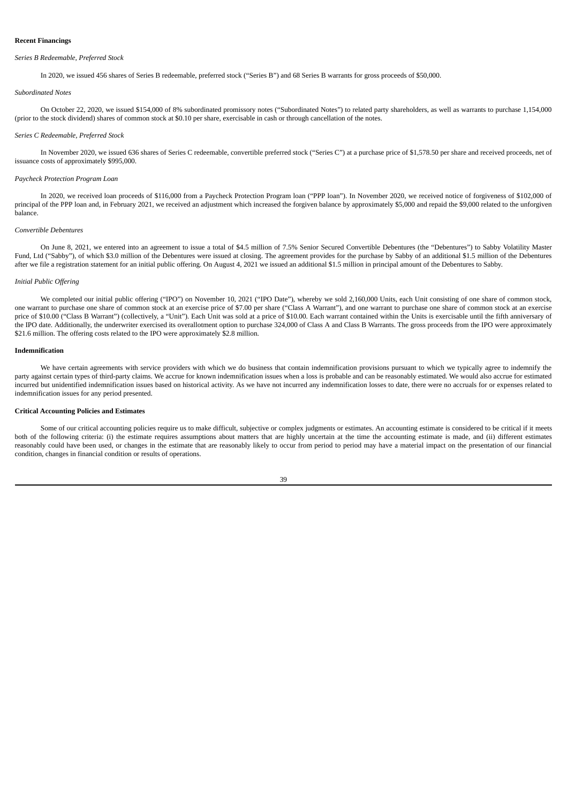### **Recent Financings**

### *Series B Redeemable, Preferred Stock*

In 2020, we issued 456 shares of Series B redeemable, preferred stock ("Series B") and 68 Series B warrants for gross proceeds of \$50,000.

## *Subordinated Notes*

On October 22, 2020, we issued \$154,000 of 8% subordinated promissory notes ("Subordinated Notes") to related party shareholders, as well as warrants to purchase 1,154,000 (prior to the stock dividend) shares of common stock at \$0.10 per share, exercisable in cash or through cancellation of the notes.

#### *Series C Redeemable, Preferred Stock*

In November 2020, we issued 636 shares of Series C redeemable, convertible preferred stock ("Series C") at a purchase price of \$1,578.50 per share and received proceeds, net of issuance costs of approximately \$995,000.

#### *Paycheck Protection Program Loan*

In 2020, we received loan proceeds of \$116,000 from a Paycheck Protection Program loan ("PPP loan"). In November 2020, we received notice of forgiveness of \$102,000 of principal of the PPP loan and, in February 2021, we received an adjustment which increased the forgiven balance by approximately \$5,000 and repaid the \$9,000 related to the unforgiven balance.

### *Convertible Debentures*

On June 8, 2021, we entered into an agreement to issue a total of \$4.5 million of 7.5% Senior Secured Convertible Debentures (the "Debentures") to Sabby Volatility Master Fund, Ltd ("Sabby"), of which \$3.0 million of the Debentures were issued at closing. The agreement provides for the purchase by Sabby of an additional \$1.5 million of the Debentures after we file a registration statement for an initial public offering. On August 4, 2021 we issued an additional \$1.5 million in principal amount of the Debentures to Sabby.

#### *Initial Public Offering*

We completed our initial public offering ("IPO") on November 10, 2021 ("IPO Date"), whereby we sold 2,160,000 Units, each Unit consisting of one share of common stock, one warrant to purchase one share of common stock at an exercise price of \$7.00 per share ("Class A Warrant"), and one warrant to purchase one share of common stock at an exercise price of \$10.00 ("Class B Warrant") (collectively, a "Unit"). Each Unit was sold at a price of \$10.00. Each warrant contained within the Units is exercisable until the fifth anniversary of the IPO date. Additionally, the underwriter exercised its overallotment option to purchase 324,000 of Class A and Class B Warrants. The gross proceeds from the IPO were approximately \$21.6 million. The offering costs related to the IPO were approximately \$2.8 million.

## **Indemnification**

We have certain agreements with service providers with which we do business that contain indemnification provisions pursuant to which we typically agree to indemnify the party against certain types of third-party claims. We accrue for known indemnification issues when a loss is probable and can be reasonably estimated. We would also accrue for estimated incurred but unidentified indemnification issues based on historical activity. As we have not incurred any indemnification losses to date, there were no accruals for or expenses related to indemnification issues for any period presented.

### **Critical Accounting Policies and Estimates**

Some of our critical accounting policies require us to make difficult, subjective or complex judgments or estimates. An accounting estimate is considered to be critical if it meets both of the following criteria: (i) the estimate requires assumptions about matters that are highly uncertain at the time the accounting estimate is made, and (ii) different estimates reasonably could have been used, or changes in the estimate that are reasonably likely to occur from period to period may have a material impact on the presentation of our financial condition, changes in financial condition or results of operations.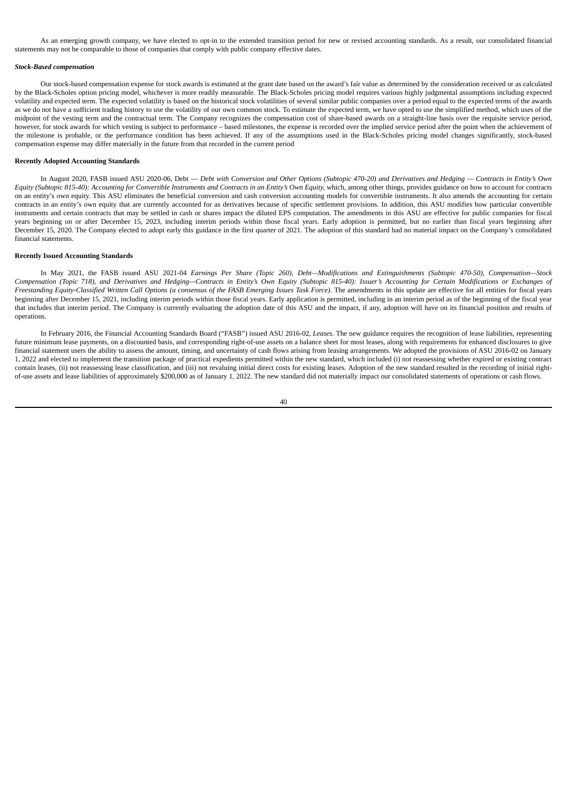As an emerging growth company, we have elected to opt-in to the extended transition period for new or revised accounting standards. As a result, our consolidated financial statements may not be comparable to those of companies that comply with public company effective dates.

## *Stock-Based compensation*

Our stock-based compensation expense for stock awards is estimated at the grant date based on the award's fair value as determined by the consideration received or as calculated by the Black-Scholes option pricing model, whichever is more readily measurable. The Black-Scholes pricing model requires various highly judgmental assumptions including expected volatility and expected term. The expected volatility is based on the historical stock volatilities of several similar public companies over a period equal to the expected terms of the awards as we do not have a sufficient trading history to use the volatility of our own common stock. To estimate the expected term, we have opted to use the simplified method, which uses of the midpoint of the vesting term and the contractual term. The Company recognizes the compensation cost of share-based awards on a straight-line basis over the requisite service period, however, for stock awards for which vesting is subject to performance – based milestones, the expense is recorded over the implied service period after the point when the achievement of the milestone is probable, or the performance condition has been achieved. If any of the assumptions used in the Black-Scholes pricing model changes significantly, stock-based compensation expense may differ materially in the future from that recorded in the current period

## **Recently Adopted Accounting Standards**

In August 2020, FASB issued ASU 2020-06, Debt - Debt with Conversion and Other Options (Subtopic 470-20) and Derivatives and Hedging - Contracts in Entity's Own Equity (Subtopic 815-40): Accounting for Convertible Instruments and Contracts in an Entity's Own Equity, which, among other things, provides guidance on how to account for contracts on an entity's own equity. This ASU eliminates the beneficial conversion and cash conversion accounting models for convertible instruments. It also amends the accounting for certain contracts in an entity's own equity that are currently accounted for as derivatives because of specific settlement provisions. In addition, this ASU modifies how particular convertible instruments and certain contracts that may be settled in cash or shares impact the diluted EPS computation. The amendments in this ASU are effective for public companies for fiscal years beginning on or after December 15, 2023, including interim periods within those fiscal years. Early adoption is permitted, but no earlier than fiscal years beginning after December 15, 2020. The Company elected to adopt early this guidance in the first quarter of 2021. The adoption of this standard had no material impact on the Company's consolidated financial statements.

### **Recently Issued Accounting Standards**

In May 2021, the FASB issued ASU 2021-04 Earnings Per Share (Topic 260), Debt-Modifications and Extinguishments (Subtopic 470-50), Compensation-Stock Compensation (Topic 718), and Derivatives and Hedaina-Contracts in Entity's Own Equity (Subtopic 815-40); Issuer's Accounting for Certain Modifications or Exchanges of Freestanding Equity-Classified Written Call Options (a consensus of the FASB Emerging Issues Task Force). The amendments in this update are effective for all entities for fiscal years beginning after December 15, 2021, including interim periods within those fiscal years. Early application is permitted, including in an interim period as of the beginning of the fiscal year that includes that interim period. The Company is currently evaluating the adoption date of this ASU and the impact, if any, adoption will have on its financial position and results of operations.

In February 2016, the Financial Accounting Standards Board ("FASB") issued ASU 2016-02, *Leases.* The new guidance requires the recognition of lease liabilities, representing future minimum lease payments, on a discounted basis, and corresponding right-of-use assets on a balance sheet for most leases, along with requirements for enhanced disclosures to give financial statement users the ability to assess the amount, timing, and uncertainty of cash flows arising from leasing arrangements. We adopted the provisions of ASU 2016-02 on January 1, 2022 and elected to implement the transition package of practical expedients permitted within the new standard, which included (i) not reassessing whether expired or existing contract contain leases, (ii) not reassessing lease classification, and (iii) not revaluing initial direct costs for existing leases. Adoption of the new standard resulted in the recording of initial rightof-use assets and lease liabilities of approximately \$200,000 as of January 1, 2022. The new standard did not materially impact our consolidated statements of operations or cash flows.

 $40$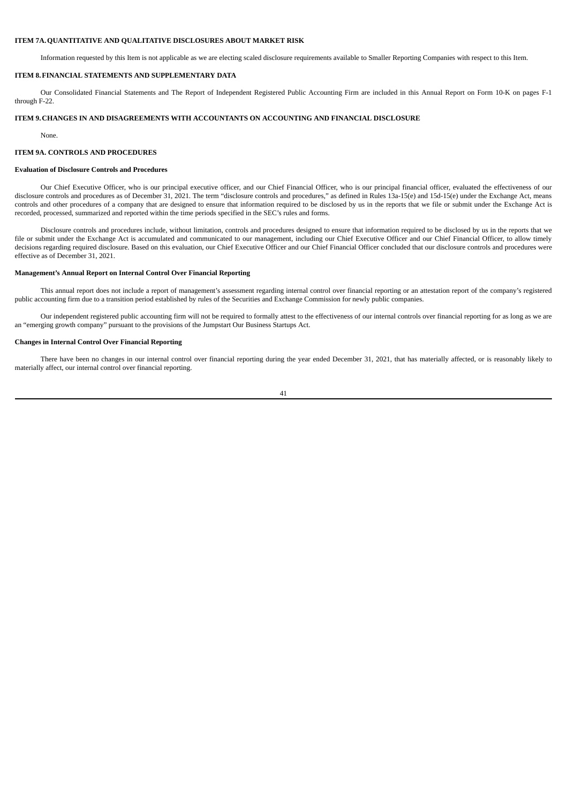## **ITEM 7A.QUANTITATIVE AND QUALITATIVE DISCLOSURES ABOUT MARKET RISK**

Information requested by this Item is not applicable as we are electing scaled disclosure requirements available to Smaller Reporting Companies with respect to this Item.

### **ITEM 8.FINANCIAL STATEMENTS AND SUPPLEMENTARY DATA**

Our Consolidated Financial Statements and The Report of Independent Registered Public Accounting Firm are included in this Annual Report on Form 10-K on pages F-1 through F-22.

### **ITEM 9.CHANGES IN AND DISAGREEMENTS WITH ACCOUNTANTS ON ACCOUNTING AND FINANCIAL DISCLOSURE**

None.

## **ITEM 9A. CONTROLS AND PROCEDURES**

#### **Evaluation of Disclosure Controls and Procedures**

Our Chief Executive Officer, who is our principal executive officer, and our Chief Financial Officer, who is our principal financial officer, evaluated the effectiveness of our disclosure controls and procedures as of December 31, 2021. The term "disclosure controls and procedures," as defined in Rules 13a-15(e) and 15d-15(e) under the Exchange Act, means controls and other procedures of a company that are designed to ensure that information required to be disclosed by us in the reports that we file or submit under the Exchange Act is recorded, processed, summarized and reported within the time periods specified in the SEC's rules and forms.

Disclosure controls and procedures include, without limitation, controls and procedures designed to ensure that information required to be disclosed by us in the reports that we file or submit under the Exchange Act is accumulated and communicated to our management, including our Chief Executive Officer and our Chief Financial Officer, to allow timely decisions regarding required disclosure. Based on this evaluation, our Chief Executive Officer and our Chief Financial Officer concluded that our disclosure controls and procedures were effective as of December 31, 2021.

### **Management's Annual Report on Internal Control Over Financial Reporting**

This annual report does not include a report of management's assessment regarding internal control over financial reporting or an attestation report of the company's registered public accounting firm due to a transition period established by rules of the Securities and Exchange Commission for newly public companies.

Our independent registered public accounting firm will not be required to formally attest to the effectiveness of our internal controls over financial reporting for as long as we are an "emerging growth company" pursuant to the provisions of the Jumpstart Our Business Startups Act.

## **Changes in Internal Control Over Financial Reporting**

There have been no changes in our internal control over financial reporting during the year ended December 31, 2021, that has materially affected, or is reasonably likely to materially affect, our internal control over financial reporting.

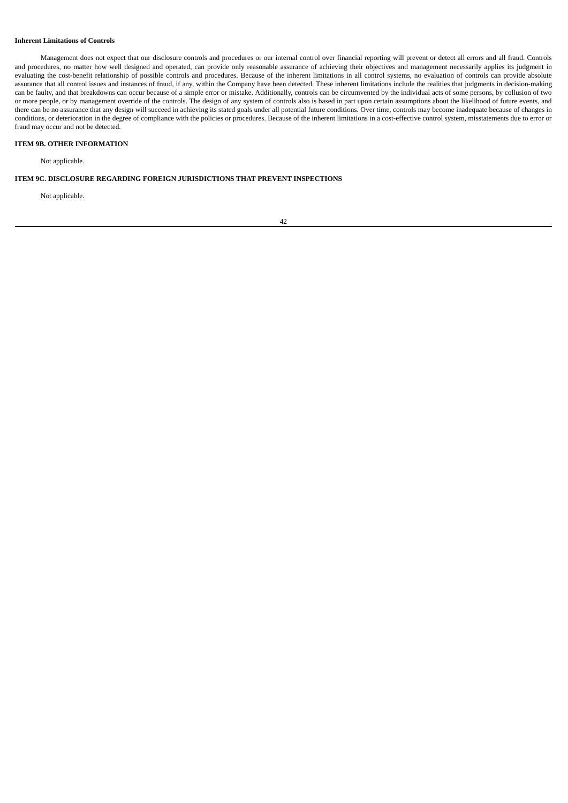### **Inherent Limitations of Controls**

Management does not expect that our disclosure controls and procedures or our internal control over financial reporting will prevent or detect all errors and all fraud. Controls and procedures, no matter how well designed and operated, can provide only reasonable assurance of achieving their objectives and management necessarily applies its judgment in evaluating the cost-benefit relationship of possible controls and procedures. Because of the inherent limitations in all control systems, no evaluation of controls can provide absolute assurance that all control issues and instances of fraud, if any, within the Company have been detected. These inherent limitations include the realities that judgments in decision-making can be faulty, and that breakdowns can occur because of a simple error or mistake. Additionally, controls can be circumvented by the individual acts of some persons, by collusion of two or more people, or by management override of the controls. The design of any system of controls also is based in part upon certain assumptions about the likelihood of future events, and there can be no assurance that any design will succeed in achieving its stated goals under all potential future conditions. Over time, controls may become inadequate because of changes in conditions, or deterioration in the degree of compliance with the policies or procedures. Because of the inherent limitations in a cost-effective control system, misstatements due to error or fraud may occur and not be detected.

### **ITEM 9B. OTHER INFORMATION**

Not applicable.

## **ITEM 9C. DISCLOSURE REGARDING FOREIGN JURISDICTIONS THAT PREVENT INSPECTIONS**

Not applicable.

42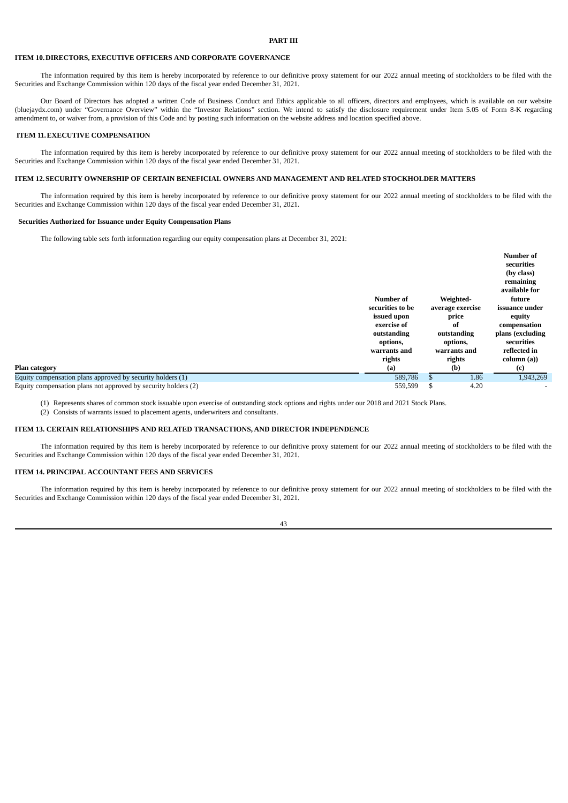#### **PART III**

### **ITEM 10.DIRECTORS, EXECUTIVE OFFICERS AND CORPORATE GOVERNANCE**

The information required by this item is hereby incorporated by reference to our definitive proxy statement for our 2022 annual meeting of stockholders to be filed with the Securities and Exchange Commission within 120 days of the fiscal year ended December 31, 2021.

Our Board of Directors has adopted a written Code of Business Conduct and Ethics applicable to all officers, directors and employees, which is available on our website (bluejaydx.com) under "Governance Overview" within the "Investor Relations" section. We intend to satisfy the disclosure requirement under Item 5.05 of Form 8-K regarding amendment to, or waiver from, a provision of this Code and by posting such information on the website address and location specified above.

#### **ITEM 11.EXECUTIVE COMPENSATION**

The information required by this item is hereby incorporated by reference to our definitive proxy statement for our 2022 annual meeting of stockholders to be filed with the Securities and Exchange Commission within 120 days of the fiscal year ended December 31, 2021.

#### **ITEM 12.SECURITY OWNERSHIP OF CERTAIN BENEFICIAL OWNERS AND MANAGEMENT AND RELATED STOCKHOLDER MATTERS**

The information required by this item is hereby incorporated by reference to our definitive proxy statement for our 2022 annual meeting of stockholders to be filed with the Securities and Exchange Commission within 120 days of the fiscal year ended December 31, 2021.

#### **Securities Authorized for Issuance under Equity Compensation Plans**

The following table sets forth information regarding our equity compensation plans at December 31, 2021:

|                                                                |                  |                  | Number of<br>securities<br>(by class)<br>remaining<br>available for |
|----------------------------------------------------------------|------------------|------------------|---------------------------------------------------------------------|
|                                                                | Number of        | Weighted-        | future                                                              |
|                                                                | securities to be | average exercise | issuance under                                                      |
|                                                                | issued upon      | price            | equity                                                              |
|                                                                | exercise of      | of               | compensation                                                        |
|                                                                | outstanding      | outstanding      | plans (excluding                                                    |
|                                                                | options,         | options,         | securities                                                          |
|                                                                | warrants and     | warrants and     | reflected in                                                        |
|                                                                | rights           | rights           | column (a))                                                         |
| Plan category                                                  | (a)              | (b)              | (c)                                                                 |
| Equity compensation plans approved by security holders (1)     | 589,786          | 1.86             | 1,943,269                                                           |
| Equity compensation plans not approved by security holders (2) | 559,599          | 4.20             |                                                                     |

(1) Represents shares of common stock issuable upon exercise of outstanding stock options and rights under our 2018 and 2021 Stock Plans.

(2) Consists of warrants issued to placement agents, underwriters and consultants.

### **ITEM 13. CERTAIN RELATIONSHIPS AND RELATED TRANSACTIONS, AND DIRECTOR INDEPENDENCE**

The information required by this item is hereby incorporated by reference to our definitive proxy statement for our 2022 annual meeting of stockholders to be filed with the Securities and Exchange Commission within 120 days of the fiscal year ended December 31, 2021.

### **ITEM 14. PRINCIPAL ACCOUNTANT FEES AND SERVICES**

The information required by this item is hereby incorporated by reference to our definitive proxy statement for our 2022 annual meeting of stockholders to be filed with the Securities and Exchange Commission within 120 days of the fiscal year ended December 31, 2021.

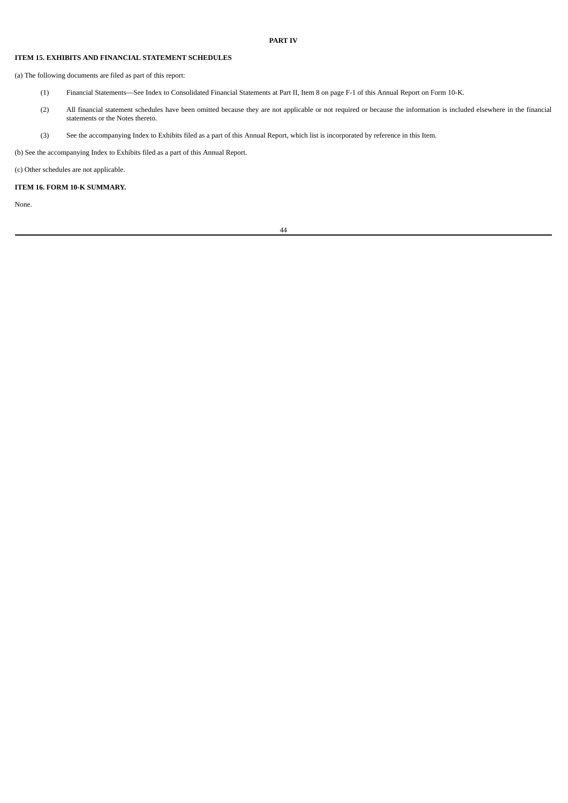## **PART IV**

# **ITEM 15. EXHIBITS AND FINANCIAL STATEMENT SCHEDULES**

(a) The following documents are filed as part of this report:

- (1) Financial Statements—See Index to Consolidated Financial Statements at Part II, Item 8 on page F-1 of this Annual Report on Form 10-K.
- (2) All financial statement schedules have been omitted because they are not applicable or not required or because the information is included elsewhere in the financial statements or the Notes thereto.
- (3) See the accompanying Index to Exhibits filed as a part of this Annual Report, which list is incorporated by reference in this Item.

(b) See the accompanying Index to Exhibits filed as a part of this Annual Report.

(c) Other schedules are not applicable.

# **ITEM 16. FORM 10-K SUMMARY.**

None.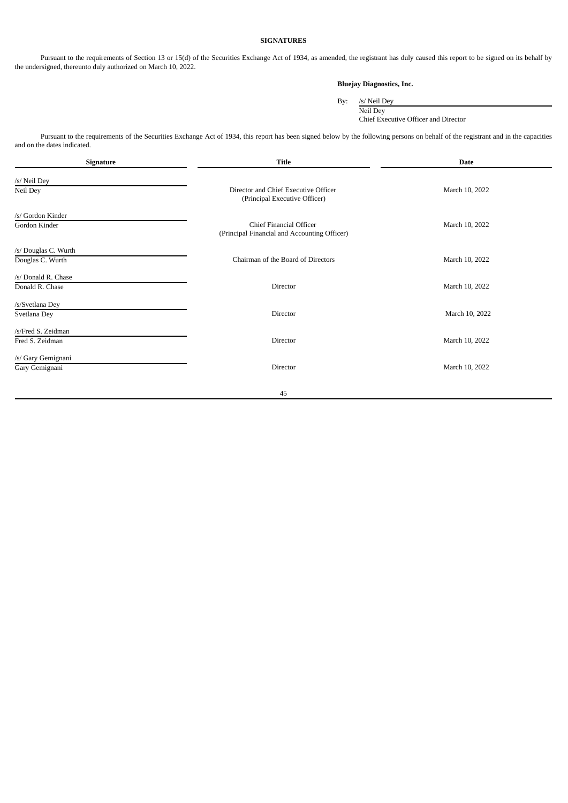# **SIGNATURES**

Pursuant to the requirements of Section 13 or 15(d) of the Securities Exchange Act of 1934, as amended, the registrant has duly caused this report to be signed on its behalf by the undersigned, thereunto duly authorized on March 10, 2022.

# **Bluejay Diagnostics, Inc.**

By: /s/ Neil Dey Neil Dey

Chief Executive Officer and Director

Pursuant to the requirements of the Securities Exchange Act of 1934, this report has been signed below by the following persons on behalf of the registrant and in the capacities and on the dates indicated.

| Signature            | <b>Title</b>                                                            | Date           |
|----------------------|-------------------------------------------------------------------------|----------------|
| /s/ Neil Dey         |                                                                         |                |
| Neil Dey             | Director and Chief Executive Officer<br>(Principal Executive Officer)   | March 10, 2022 |
| /s/ Gordon Kinder    |                                                                         |                |
| Gordon Kinder        | Chief Financial Officer<br>(Principal Financial and Accounting Officer) | March 10, 2022 |
| /s/ Douglas C. Wurth |                                                                         |                |
| Douglas C. Wurth     | Chairman of the Board of Directors                                      | March 10, 2022 |
| /s/ Donald R. Chase  |                                                                         |                |
| Donald R. Chase      | Director                                                                | March 10, 2022 |
| /s/Svetlana Dey      |                                                                         |                |
| Svetlana Dey         | Director                                                                | March 10, 2022 |
| /s/Fred S. Zeidman   |                                                                         |                |
| Fred S. Zeidman      | Director                                                                | March 10, 2022 |
| /s/ Gary Gemignani   |                                                                         |                |
| Gary Gemignani       | Director                                                                | March 10, 2022 |
|                      |                                                                         |                |
|                      | 45                                                                      |                |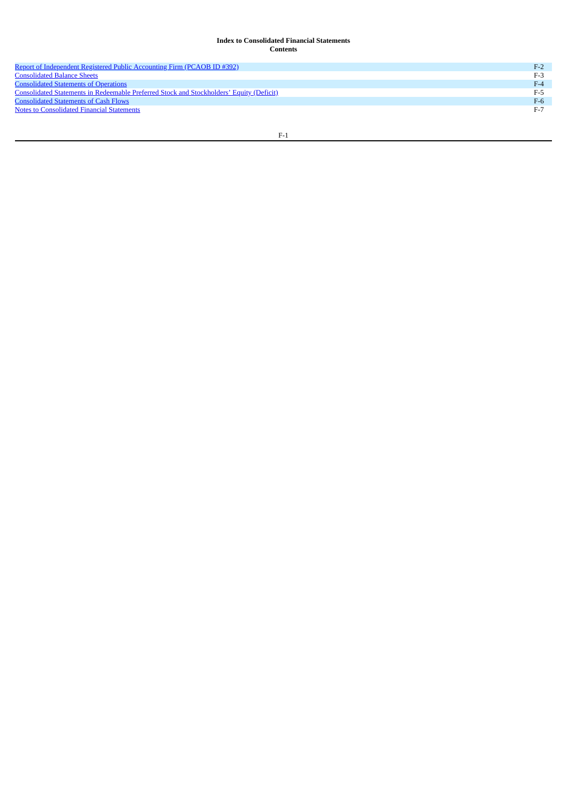## **Index to Consolidated Financial Statements Contents**

| Report of Independent Registered Public Accounting Firm (PCAOB ID #392)                         | $F-2$   |
|-------------------------------------------------------------------------------------------------|---------|
| <b>Consolidated Balance Sheets</b>                                                              | $F-3$   |
| <b>Consolidated Statements of Operations</b>                                                    | $F - A$ |
| <b>Consolidated Statements in Redeemable Preferred Stock and Stockholders' Equity (Deficit)</b> | F-5     |
| <b>Consolidated Statements of Cash Flows</b>                                                    | $F-6$   |
| <b>Notes to Consolidated Financial Statements</b>                                               | $F-7$   |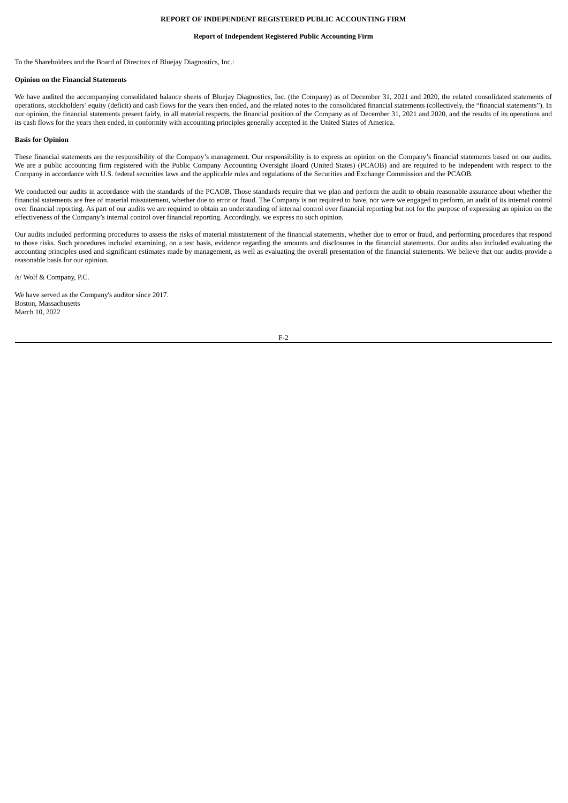# **REPORT OF INDEPENDENT REGISTERED PUBLIC ACCOUNTING FIRM**

#### **Report of Independent Registered Public Accounting Firm**

<span id="page-49-0"></span>To the Shareholders and the Board of Directors of Bluejay Diagnostics, Inc.:

### **Opinion on the Financial Statements**

We have audited the accompanying consolidated balance sheets of Bluejay Diagnostics, Inc. (the Company) as of December 31, 2021 and 2020, the related consolidated statements of operations, stockholders' equity (deficit) and cash flows for the years then ended, and the related notes to the consolidated financial statements (collectively, the "financial statements"). In our opinion, the financial statements present fairly, in all material respects, the financial position of the Company as of December 31, 2021 and 2020, and the results of its operations and its cash flows for the years then ended, in conformity with accounting principles generally accepted in the United States of America.

#### **Basis for Opinion**

These financial statements are the responsibility of the Company's management. Our responsibility is to express an opinion on the Company's financial statements based on our audits. We are a public accounting firm registered with the Public Company Accounting Oversight Board (United States) (PCAOB) and are required to be independent with respect to the Company in accordance with U.S. federal securities laws and the applicable rules and regulations of the Securities and Exchange Commission and the PCAOB.

We conducted our audits in accordance with the standards of the PCAOB. Those standards require that we plan and perform the audit to obtain reasonable assurance about whether the financial statements are free of material misstatement, whether due to error or fraud. The Company is not required to have, nor were we engaged to perform, an audit of its internal control over financial reporting. As part of our audits we are required to obtain an understanding of internal control over financial reporting but not for the purpose of expressing an opinion on the effectiveness of the Company's internal control over financial reporting. Accordingly, we express no such opinion.

Our audits included performing procedures to assess the risks of material misstatement of the financial statements, whether due to error or fraud, and performing procedures that respond to those risks. Such procedures included examining, on a test basis, evidence regarding the amounts and disclosures in the financial statements. Our audits also included evaluating the accounting principles used and significant estimates made by management, as well as evaluating the overall presentation of the financial statements. We believe that our audits provide a reasonable basis for our opinion.

/s/ Wolf & Company, P.C.

We have served as the Company's auditor since 2017. Boston, Massachusetts March 10, 2022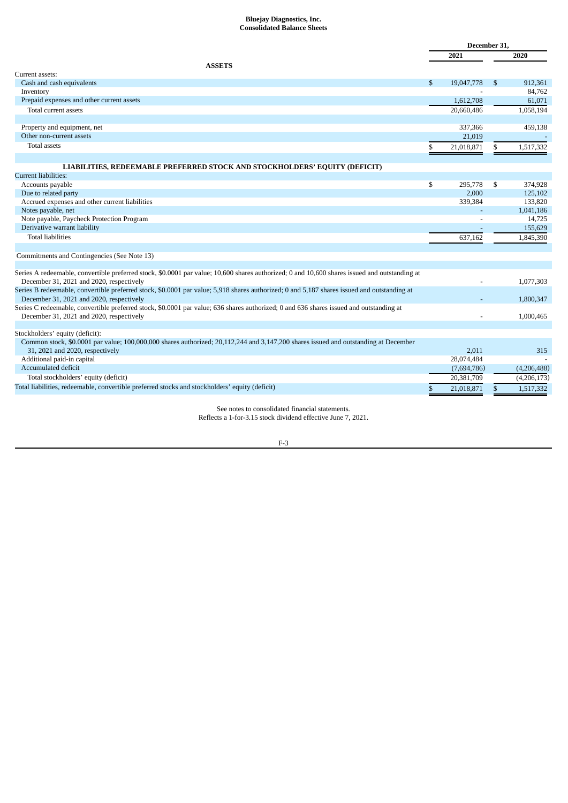#### **Bluejay Diagnostics, Inc. Consolidated Balance Sheets**

<span id="page-50-0"></span>

|                                                                                                                                               | December 31. |             |    |             |  |  |
|-----------------------------------------------------------------------------------------------------------------------------------------------|--------------|-------------|----|-------------|--|--|
|                                                                                                                                               |              | 2021        |    | 2020        |  |  |
| <b>ASSETS</b>                                                                                                                                 |              |             |    |             |  |  |
| Current assets:                                                                                                                               |              |             |    |             |  |  |
| Cash and cash equivalents                                                                                                                     | $\mathbb{S}$ | 19,047,778  | \$ | 912,361     |  |  |
| Inventory                                                                                                                                     |              |             |    | 84,762      |  |  |
| Prepaid expenses and other current assets                                                                                                     |              | 1,612,708   |    | 61,071      |  |  |
| Total current assets                                                                                                                          |              | 20,660,486  |    | 1,058,194   |  |  |
| Property and equipment, net                                                                                                                   |              | 337,366     |    | 459,138     |  |  |
| Other non-current assets                                                                                                                      |              | 21,019      |    |             |  |  |
| Total assets                                                                                                                                  | \$           | 21,018,871  | \$ | 1,517,332   |  |  |
|                                                                                                                                               |              |             |    |             |  |  |
| LIABILITIES, REDEEMABLE PREFERRED STOCK AND STOCKHOLDERS' EQUITY (DEFICIT)                                                                    |              |             |    |             |  |  |
| <b>Current liabilities:</b>                                                                                                                   |              |             |    |             |  |  |
| Accounts payable                                                                                                                              | \$           | 295,778     | \$ | 374.928     |  |  |
| Due to related party                                                                                                                          |              | 2,000       |    | 125,102     |  |  |
| Accrued expenses and other current liabilities                                                                                                |              | 339,384     |    | 133,820     |  |  |
| Notes payable, net                                                                                                                            |              |             |    | 1,041,186   |  |  |
| Note payable, Paycheck Protection Program                                                                                                     |              |             |    | 14,725      |  |  |
| Derivative warrant liability                                                                                                                  |              |             |    | 155,629     |  |  |
| <b>Total liabilities</b>                                                                                                                      |              | 637,162     |    | 1,845,390   |  |  |
| Commitments and Contingencies (See Note 13)                                                                                                   |              |             |    |             |  |  |
|                                                                                                                                               |              |             |    |             |  |  |
| Series A redeemable, convertible preferred stock, \$0.0001 par value; 10,600 shares authorized; 0 and 10,600 shares issued and outstanding at |              |             |    |             |  |  |
| December 31, 2021 and 2020, respectively                                                                                                      |              |             |    | 1,077,303   |  |  |
| Series B redeemable, convertible preferred stock, \$0.0001 par value; 5,918 shares authorized; 0 and 5,187 shares issued and outstanding at   |              |             |    |             |  |  |
| December 31, 2021 and 2020, respectively                                                                                                      |              |             |    | 1,800,347   |  |  |
| Series C redeemable, convertible preferred stock, \$0.0001 par value; 636 shares authorized; 0 and 636 shares issued and outstanding at       |              |             |    |             |  |  |
| December 31, 2021 and 2020, respectively                                                                                                      |              |             |    | 1,000,465   |  |  |
|                                                                                                                                               |              |             |    |             |  |  |
| Stockholders' equity (deficit):                                                                                                               |              |             |    |             |  |  |
| Common stock, \$0.0001 par value; 100,000,000 shares authorized; 20,112,244 and 3,147,200 shares issued and outstanding at December           |              |             |    |             |  |  |
| 31, 2021 and 2020, respectively                                                                                                               |              | 2,011       |    | 315         |  |  |
| Additional paid-in capital                                                                                                                    |              | 28,074,484  |    |             |  |  |
| Accumulated deficit                                                                                                                           |              | (7,694,786) |    | (4,206,488) |  |  |
| Total stockholders' equity (deficit)                                                                                                          |              | 20,381,709  |    | (4,206,173) |  |  |
| Total liabilities, redeemable, convertible preferred stocks and stockholders' equity (deficit)                                                | \$           | 21,018,871  | \$ | 1,517,332   |  |  |

See notes to consolidated financial statements.

Reflects a 1-for-3.15 stock dividend effective June 7, 2021.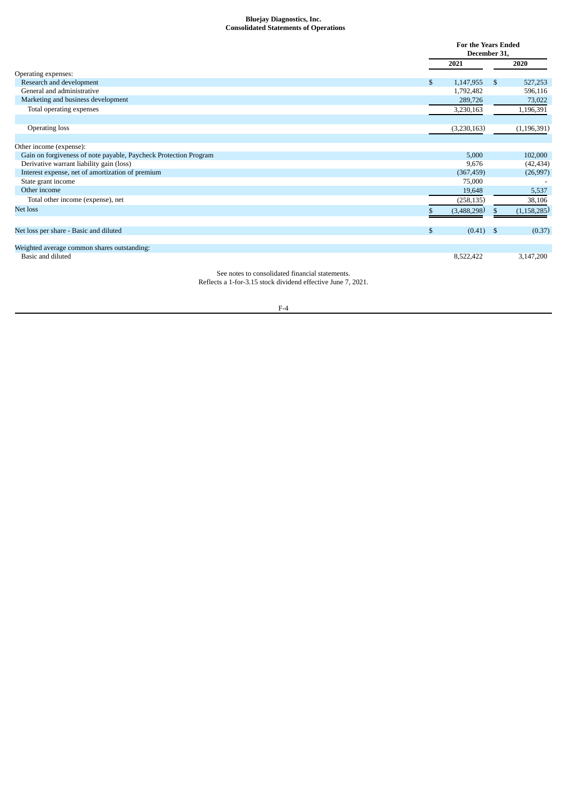#### **Bluejay Diagnostics, Inc. Consolidated Statements of Operations**

<span id="page-51-0"></span>

|                                                                  |              | <b>For the Years Ended</b><br>December 31, |    |               |
|------------------------------------------------------------------|--------------|--------------------------------------------|----|---------------|
|                                                                  |              | 2021                                       |    | 2020          |
| Operating expenses:                                              |              |                                            |    |               |
| Research and development                                         | <sup>S</sup> | 1,147,955                                  | -S | 527,253       |
| General and administrative                                       |              | 1,792,482                                  |    | 596,116       |
| Marketing and business development                               |              | 289,726                                    |    | 73,022        |
| Total operating expenses                                         |              | 3,230,163                                  |    | 1,196,391     |
| Operating loss                                                   |              | (3,230,163)                                |    | (1, 196, 391) |
| Other income (expense):                                          |              |                                            |    |               |
| Gain on forgiveness of note payable, Paycheck Protection Program |              | 5,000                                      |    | 102,000       |
| Derivative warrant liability gain (loss)                         |              | 9,676                                      |    | (42, 434)     |
| Interest expense, net of amortization of premium                 |              | (367, 459)                                 |    | (26,997)      |
| State grant income                                               |              | 75,000                                     |    |               |
| Other income                                                     |              | 19,648                                     |    | 5,537         |
| Total other income (expense), net                                |              | (258, 135)                                 |    | 38,106        |
| Net loss                                                         |              | (3,488,298)                                |    | (1, 158, 285) |
| Net loss per share - Basic and diluted                           | \$           | $(0.41)$ \$                                |    | (0.37)        |
|                                                                  |              |                                            |    |               |
| Weighted average common shares outstanding:                      |              |                                            |    |               |
| Basic and diluted                                                |              | 8,522,422                                  |    | 3,147,200     |

See notes to consolidated financial statements. Reflects a 1-for-3.15 stock dividend effective June 7, 2021.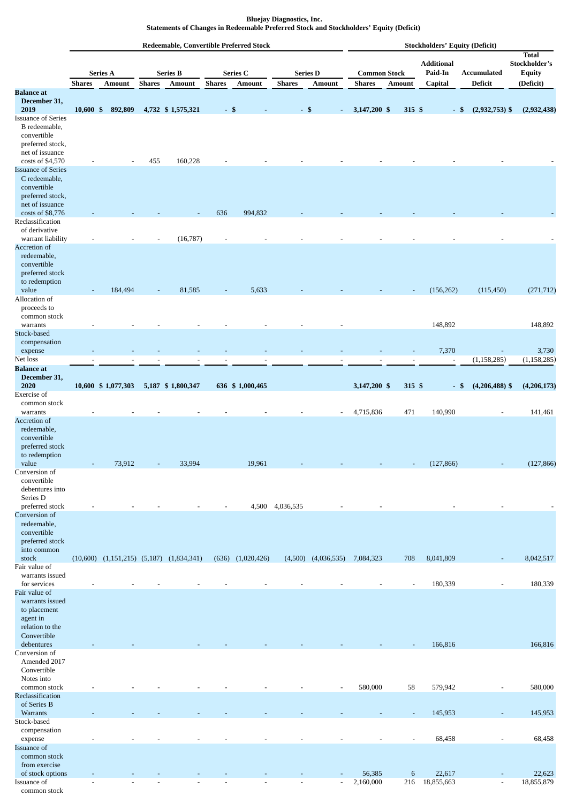### **Bluejay Diagnostics, Inc. Statements of Changes in Redeemable Preferred Stock and Stockholders' Equity (Deficit)**

<span id="page-52-0"></span>

|                                                                                                   |                      |                     |               | <b>Redeemable, Convertible Preferred Stock</b>   |               |                       |                 |                         | <b>Stockholders' Equity (Deficit)</b> |                   |                              |                          |                                                |
|---------------------------------------------------------------------------------------------------|----------------------|---------------------|---------------|--------------------------------------------------|---------------|-----------------------|-----------------|-------------------------|---------------------------------------|-------------------|------------------------------|--------------------------|------------------------------------------------|
|                                                                                                   |                      | <b>Series A</b>     |               | <b>Series B</b>                                  |               | <b>Series C</b>       | <b>Series D</b> |                         | <b>Common Stock</b>                   |                   | <b>Additional</b><br>Paid-In | <b>Accumulated</b>       | <b>Total</b><br>Stockholder's<br><b>Equity</b> |
| <b>Balance</b> at                                                                                 | <b>Shares</b>        | <b>Amount</b>       | <b>Shares</b> | <b>Amount</b>                                    | <b>Shares</b> | <b>Amount</b>         | <b>Shares</b>   | <b>Amount</b>           | <b>Shares</b>                         | Amount            | Capital                      | <b>Deficit</b>           | (Deficit)                                      |
| December 31,                                                                                      |                      |                     |               |                                                  |               |                       |                 |                         |                                       |                   |                              |                          |                                                |
| 2019                                                                                              | $10,600 \text{ }$ \$ | 892,809             |               | 4,732 \$ 1,575,321                               | - \$          |                       | - \$            | $\blacksquare$          | 3,147,200 \$                          | 315 \$            |                              | $(2,932,753)$ \$<br>- \$ | (2,932,438)                                    |
| <b>Issuance of Series</b><br>B redeemable,<br>convertible<br>preferred stock,                     |                      |                     |               |                                                  |               |                       |                 |                         |                                       |                   |                              |                          |                                                |
| net of issuance<br>costs of \$4,570                                                               |                      |                     | 455           | 160,228                                          |               |                       |                 |                         |                                       |                   |                              |                          |                                                |
| <b>Issuance of Series</b><br>C redeemable,<br>convertible<br>preferred stock,<br>net of issuance  |                      |                     |               |                                                  |               |                       |                 |                         |                                       |                   |                              |                          |                                                |
| costs of \$8,776<br>Reclassification                                                              |                      |                     |               |                                                  | 636           | 994,832               |                 |                         |                                       |                   |                              |                          |                                                |
| of derivative<br>warrant liability                                                                |                      |                     |               | (16,787)                                         |               |                       |                 |                         |                                       |                   |                              |                          |                                                |
| Accretion of<br>redeemable,<br>convertible<br>preferred stock<br>to redemption<br>value           |                      | 184,494             |               | 81,585                                           |               | 5,633                 |                 |                         |                                       |                   | (156, 262)                   | (115, 450)               | (271, 712)                                     |
| Allocation of                                                                                     |                      |                     |               |                                                  |               |                       |                 |                         |                                       |                   |                              |                          |                                                |
| proceeds to<br>common stock<br>warrants                                                           |                      |                     |               |                                                  |               |                       |                 |                         |                                       |                   | 148,892                      |                          | 148,892                                        |
| Stock-based<br>compensation                                                                       |                      |                     |               |                                                  |               |                       |                 |                         |                                       |                   |                              |                          |                                                |
| expense                                                                                           |                      |                     |               |                                                  |               |                       |                 |                         |                                       |                   | 7,370                        |                          | 3,730                                          |
| Net loss                                                                                          |                      |                     |               |                                                  |               |                       |                 |                         |                                       |                   | $\overline{\phantom{a}}$     | (1, 158, 285)            | (1, 158, 285)                                  |
| <b>Balance</b> at<br>December 31,<br>2020                                                         |                      | 10,600 \$ 1,077,303 |               | 5,187 \$ 1,800,347                               |               | 636 \$1,000,465       |                 |                         | 3,147,200 \$                          | 315 \$            | - \$                         | $(4,206,488)$ \$         | (4,206,173)                                    |
| Exercise of<br>common stock                                                                       |                      |                     |               |                                                  |               |                       |                 |                         |                                       |                   |                              |                          |                                                |
| warrants<br><b>Accretion of</b><br>redeemable,<br>convertible<br>preferred stock<br>to redemption |                      |                     |               |                                                  |               |                       |                 |                         | 4,715,836                             | 471               | 140,990                      |                          | 141,461                                        |
| value<br>Conversion of                                                                            |                      | 73,912              |               | 33,994                                           |               | 19,961                |                 |                         |                                       |                   | (127, 866)                   |                          | (127, 866)                                     |
| convertible<br>debentures into<br>Series D<br>preferred stock                                     |                      |                     |               |                                                  |               | 4,500                 | 4,036,535       |                         |                                       |                   |                              |                          |                                                |
| Conversion of<br>redeemable,<br>convertible<br>preferred stock<br>into common                     |                      |                     |               |                                                  |               |                       |                 |                         |                                       |                   |                              |                          |                                                |
| stock<br>Fair value of                                                                            |                      |                     |               | $(10,600)$ $(1,151,215)$ $(5,187)$ $(1,834,341)$ |               | $(636)$ $(1,020,426)$ |                 | $(4,500)$ $(4,036,535)$ | 7,084,323                             | 708               | 8,041,809                    |                          | 8,042,517                                      |
| warrants issued                                                                                   |                      |                     |               |                                                  |               |                       |                 |                         |                                       |                   |                              |                          |                                                |
| for services<br>Fair value of                                                                     |                      |                     |               |                                                  |               |                       |                 |                         |                                       |                   | 180,339                      |                          | 180,339                                        |
| warrants issued<br>to placement<br>agent in<br>relation to the<br>Convertible                     |                      |                     |               |                                                  |               |                       |                 |                         |                                       |                   |                              |                          |                                                |
| debentures<br>Conversion of<br>Amended 2017<br>Convertible                                        |                      |                     |               |                                                  |               |                       |                 |                         |                                       |                   | 166,816                      |                          | 166,816                                        |
| Notes into<br>common stock<br>Reclassification                                                    |                      |                     |               |                                                  |               |                       |                 |                         | 580,000                               | 58                | 579,942                      |                          | 580,000                                        |
| of Series B<br>Warrants                                                                           |                      |                     |               |                                                  |               |                       |                 |                         |                                       |                   | 145,953                      |                          | 145,953                                        |
| Stock-based                                                                                       |                      |                     |               |                                                  |               |                       |                 |                         |                                       |                   |                              |                          |                                                |
| compensation<br>expense<br>Issuance of                                                            |                      |                     |               |                                                  |               |                       |                 |                         |                                       |                   | 68,458                       |                          | 68,458                                         |
| common stock<br>from exercise                                                                     |                      |                     |               |                                                  |               |                       |                 |                         |                                       |                   |                              |                          |                                                |
| of stock options<br>Issuance of<br>common stock                                                   |                      |                     |               |                                                  |               |                       |                 |                         | 56,385<br>2,160,000                   | $\sqrt{6}$<br>216 | 22,617<br>18,855,663         |                          | 22,623<br>18,855,879                           |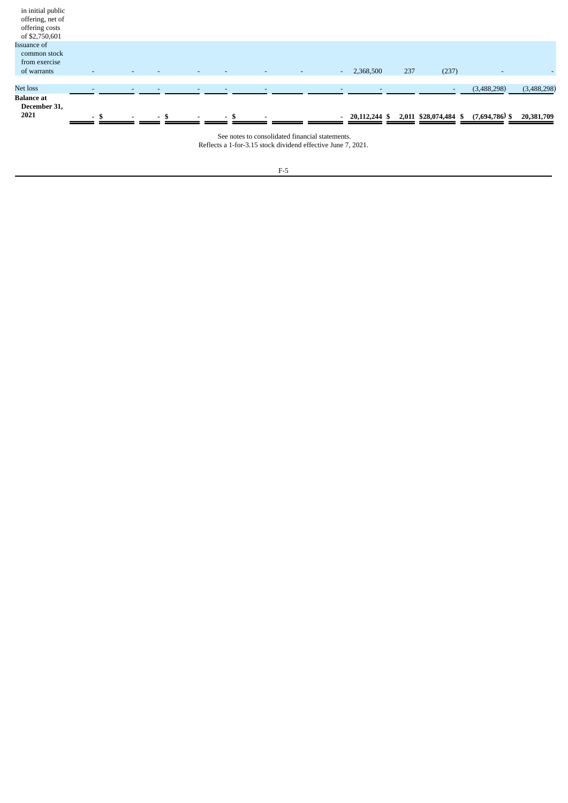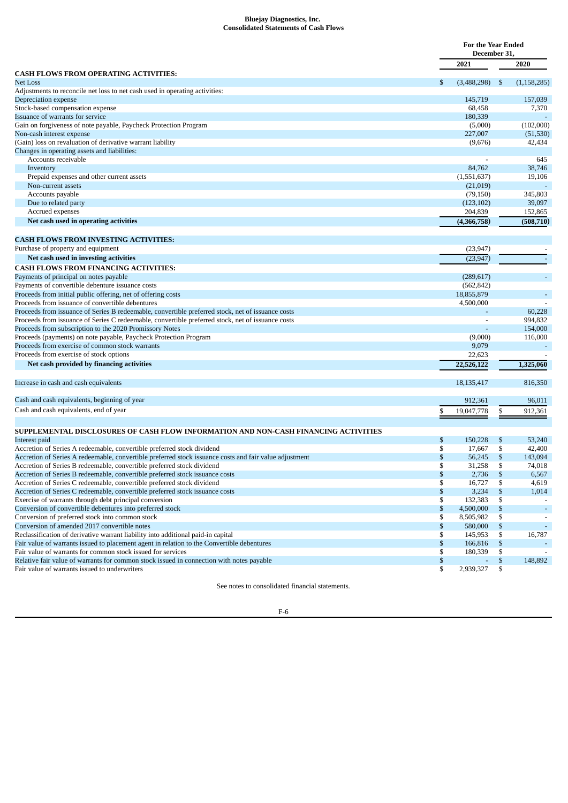#### **Bluejay Diagnostics, Inc. Consolidated Statements of Cash Flows**

<span id="page-54-0"></span>

|                                                                                                        | For the Year Ended<br>December 31, |             |    |                          |
|--------------------------------------------------------------------------------------------------------|------------------------------------|-------------|----|--------------------------|
|                                                                                                        |                                    | 2021        |    | 2020                     |
| <b>CASH FLOWS FROM OPERATING ACTIVITIES:</b>                                                           |                                    |             |    |                          |
| Net Loss                                                                                               | \$                                 | (3,488,298) | -S | (1, 158, 285)            |
| Adjustments to reconcile net loss to net cash used in operating activities:                            |                                    |             |    |                          |
| Depreciation expense                                                                                   |                                    | 145,719     |    | 157,039                  |
| Stock-based compensation expense                                                                       |                                    | 68,458      |    | 7,370                    |
| Issuance of warrants for service                                                                       |                                    | 180,339     |    |                          |
| Gain on forgiveness of note payable, Paycheck Protection Program                                       |                                    | (5,000)     |    | (102,000)                |
| Non-cash interest expense                                                                              |                                    | 227,007     |    | (51, 530)                |
| (Gain) loss on revaluation of derivative warrant liability                                             |                                    | (9,676)     |    | 42,434                   |
| Changes in operating assets and liabilities:                                                           |                                    |             |    |                          |
| Accounts receivable                                                                                    |                                    |             |    | 645                      |
| Inventory                                                                                              |                                    | 84.762      |    | 38,746                   |
| Prepaid expenses and other current assets                                                              |                                    | (1,551,637) |    | 19,106                   |
| Non-current assets                                                                                     |                                    | (21, 019)   |    |                          |
| Accounts payable                                                                                       |                                    | (79, 150)   |    | 345,803                  |
| Due to related party                                                                                   |                                    | (123, 102)  |    | 39,097                   |
| Accrued expenses                                                                                       |                                    | 204,839     |    | 152,865                  |
| Net cash used in operating activities                                                                  |                                    | (4,366,758) |    | (508, 710)               |
| <b>CASH FLOWS FROM INVESTING ACTIVITIES:</b>                                                           |                                    |             |    |                          |
| Purchase of property and equipment                                                                     |                                    | (23, 947)   |    |                          |
| Net cash used in investing activities                                                                  |                                    | (23, 947)   |    |                          |
| <b>CASH FLOWS FROM FINANCING ACTIVITIES:</b>                                                           |                                    |             |    |                          |
| Payments of principal on notes payable                                                                 |                                    | (289, 617)  |    |                          |
| Payments of convertible debenture issuance costs                                                       |                                    | (562, 842)  |    |                          |
| Proceeds from initial public offering, net of offering costs                                           |                                    | 18,855,879  |    |                          |
| Proceeds from issuance of convertible debentures                                                       |                                    | 4,500,000   |    |                          |
| Proceeds from issuance of Series B redeemable, convertible preferred stock, net of issuance costs      |                                    |             |    | 60,228                   |
| Proceeds from issuance of Series C redeemable, convertible preferred stock, net of issuance costs      |                                    |             |    | 994,832                  |
| Proceeds from subscription to the 2020 Promissory Notes                                                |                                    |             |    | 154,000                  |
| Proceeds (payments) on note payable, Paycheck Protection Program                                       |                                    | (9,000)     |    | 116,000                  |
| Proceeds from exercise of common stock warrants                                                        |                                    | 9,079       |    |                          |
| Proceeds from exercise of stock options                                                                |                                    | 22,623      |    |                          |
| Net cash provided by financing activities                                                              |                                    | 22,526,122  |    | 1,325,060                |
|                                                                                                        |                                    |             |    |                          |
| Increase in cash and cash equivalents                                                                  |                                    | 18,135,417  |    | 816,350                  |
| Cash and cash equivalents, beginning of year                                                           |                                    | 912,361     |    | 96,011                   |
| Cash and cash equivalents, end of year                                                                 | \$                                 | 19,047,778  | \$ | 912,361                  |
| SUPPLEMENTAL DISCLOSURES OF CASH FLOW INFORMATION AND NON-CASH FINANCING ACTIVITIES                    |                                    |             |    |                          |
| Interest paid                                                                                          | \$                                 | 150,228     | \$ | 53,240                   |
| Accretion of Series A redeemable, convertible preferred stock dividend                                 | \$                                 | 17,667      | \$ | 42,400                   |
| Accretion of Series A redeemable, convertible preferred stock issuance costs and fair value adjustment | \$                                 | 56,245      | \$ | 143,094                  |
| Accretion of Series B redeemable, convertible preferred stock dividend                                 | \$                                 | 31,258      | \$ | 74,018                   |
| Accretion of Series B redeemable, convertible preferred stock issuance costs                           | \$                                 | 2,736       | \$ | 6,567                    |
| Accretion of Series C redeemable, convertible preferred stock dividend                                 | \$                                 | 16,727      | \$ | 4,619                    |
| Accretion of Series C redeemable, convertible preferred stock issuance costs                           | \$                                 | 3,234       | \$ | 1,014                    |
| Exercise of warrants through debt principal conversion                                                 | \$                                 | 132,383     | \$ |                          |
| Conversion of convertible debentures into preferred stock                                              | \$                                 | 4,500,000   | \$ | $\overline{\phantom{a}}$ |
| Conversion of preferred stock into common stock                                                        | \$                                 | 8,505,982   | \$ |                          |
| Conversion of amended 2017 convertible notes                                                           | \$                                 | 580,000     | \$ |                          |
| Reclassification of derivative warrant liability into additional paid-in capital                       | \$                                 | 145,953     | \$ | 16,787                   |
| Fair value of warrants issued to placement agent in relation to the Convertible debentures             | \$                                 | 166,816     | \$ |                          |
| Fair value of warrants for common stock issued for services                                            | \$                                 | 180,339     | \$ |                          |
| Relative fair value of warrants for common stock issued in connection with notes payable               | \$                                 |             | \$ | 148,892                  |
| Fair value of warrants issued to underwriters                                                          | \$                                 | 2,939,327   | \$ |                          |

See notes to consolidated financial statements.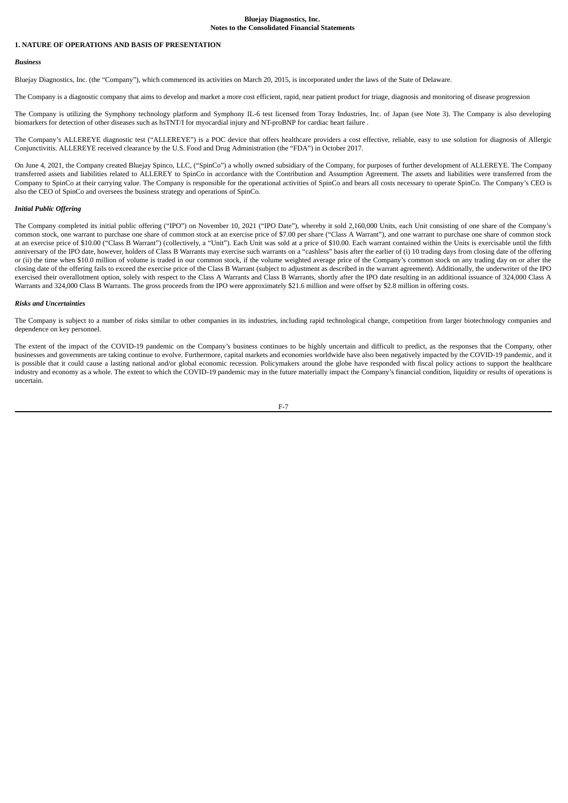### **Bluejay Diagnostics, Inc. Notes to the Consolidated Financial Statements**

## <span id="page-55-0"></span>**1. NATURE OF OPERATIONS AND BASIS OF PRESENTATION**

#### *Business*

Bluejay Diagnostics, Inc. (the "Company"), which commenced its activities on March 20, 2015, is incorporated under the laws of the State of Delaware.

The Company is a diagnostic company that aims to develop and market a more cost efficient, rapid, near patient product for triage, diagnosis and monitoring of disease progression

The Company is utilizing the Symphony technology platform and Symphony IL-6 test licensed from Toray Industries, Inc. of Japan (see Note 3). The Company is also developing biomarkers for detection of other diseases such as hsTNT/I for myocardial injury and NT-proBNP for cardiac heart failure .

The Company's ALLEREYE diagnostic test ("ALLEREYE") is a POC device that offers healthcare providers a cost effective, reliable, easy to use solution for diagnosis of Allergic Conjunctivitis. ALLEREYE received clearance by the U.S. Food and Drug Administration (the "FDA") in October 2017.

On June 4, 2021, the Company created Bluejay Spinco, LLC, ("SpinCo") a wholly owned subsidiary of the Company, for purposes of further development of ALLEREYE. The Company transferred assets and liabilities related to ALLEREY to SpinCo in accordance with the Contribution and Assumption Agreement. The assets and liabilities were transferred from the Company to SpinCo at their carrying value. The Company is responsible for the operational activities of SpinCo and bears all costs necessary to operate SpinCo. The Company's CEO is also the CEO of SpinCo and oversees the business strategy and operations of SpinCo.

#### *Initial Public Offering*

The Company completed its initial public offering ("IPO") on November 10, 2021 ("IPO Date"), whereby it sold 2,160,000 Units, each Unit consisting of one share of the Company's common stock, one warrant to purchase one share of common stock at an exercise price of \$7.00 per share ("Class A Warrant"), and one warrant to purchase one share of common stock at an exercise price of \$10.00 ("Class B Warrant") (collectively, a "Unit"). Each Unit was sold at a price of \$10.00. Each warrant contained within the Units is exercisable until the fifth anniversary of the IPO date, however, holders of Class B Warrants may exercise such warrants on a "cashless" basis after the earlier of (i) 10 trading days from closing date of the offering or (ii) the time when \$10.0 million of volume is traded in our common stock, if the volume weighted average price of the Company's common stock on any trading day on or after the closing date of the offering fails to exceed the exercise price of the Class B Warrant (subject to adjustment as described in the warrant agreement). Additionally, the underwriter of the IPO exercised their overallotment option, solely with respect to the Class A Warrants and Class B Warrants, shortly after the IPO date resulting in an additional issuance of 324,000 Class A Warrants and 324,000 Class B Warrants. The gross proceeds from the IPO were approximately \$21.6 million and were offset by \$2.8 million in offering costs.

### *Risks and Uncertainties*

The Company is subject to a number of risks similar to other companies in its industries, including rapid technological change, competition from larger biotechnology companies and dependence on key personnel.

The extent of the impact of the COVID-19 pandemic on the Company's business continues to be highly uncertain and difficult to predict, as the responses that the Company, other businesses and governments are taking continue to evolve. Furthermore, capital markets and economies worldwide have also been negatively impacted by the COVID-19 pandemic, and it is possible that it could cause a lasting national and/or global economic recession. Policymakers around the globe have responded with fiscal policy actions to support the healthcare industry and economy as a whole. The extent to which the COVID-19 pandemic may in the future materially impact the Company's financial condition, liquidity or results of operations is uncertain.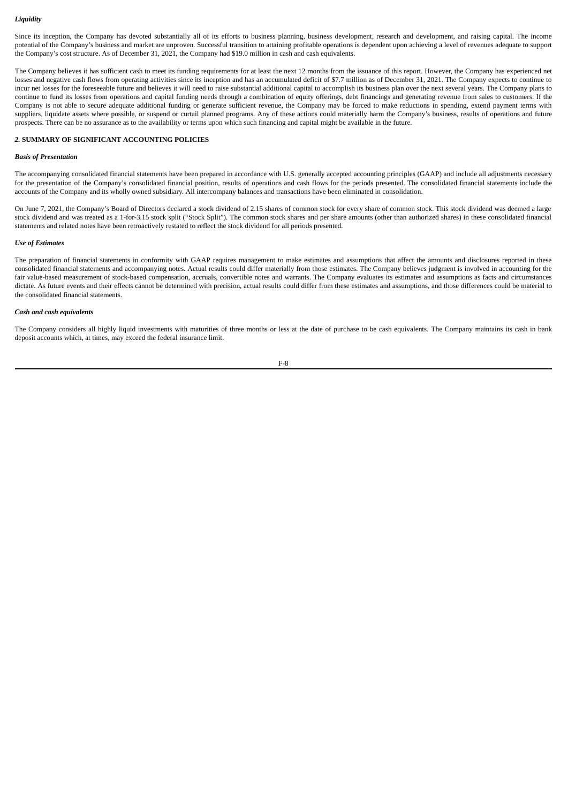### *Liquidity*

Since its inception, the Company has devoted substantially all of its efforts to business planning, business development, research and development, and raising capital. The income potential of the Company's business and market are unproven. Successful transition to attaining profitable operations is dependent upon achieving a level of revenues adequate to support the Company's cost structure. As of December 31, 2021, the Company had \$19.0 million in cash and cash equivalents.

The Company believes it has sufficient cash to meet its funding requirements for at least the next 12 months from the issuance of this report. However, the Company has experienced net losses and negative cash flows from operating activities since its inception and has an accumulated deficit of \$7.7 million as of December 31, 2021. The Company expects to continue to incur net losses for the foreseeable future and believes it will need to raise substantial additional capital to accomplish its business plan over the next several years. The Company plans to continue to fund its losses from operations and capital funding needs through a combination of equity offerings, debt financings and generating revenue from sales to customers. If the Company is not able to secure adequate additional funding or generate sufficient revenue, the Company may be forced to make reductions in spending, extend payment terms with suppliers, liquidate assets where possible, or suspend or curtail planned programs. Any of these actions could materially harm the Company's business, results of operations and future prospects. There can be no assurance as to the availability or terms upon which such financing and capital might be available in the future.

## *2.* **SUMMARY OF SIGNIFICANT ACCOUNTING POLICIES**

#### *Basis of Presentation*

The accompanying consolidated financial statements have been prepared in accordance with U.S. generally accepted accounting principles (GAAP) and include all adjustments necessary for the presentation of the Company's consolidated financial position, results of operations and cash flows for the periods presented. The consolidated financial statements include the accounts of the Company and its wholly owned subsidiary. All intercompany balances and transactions have been eliminated in consolidation.

On June 7, 2021, the Company's Board of Directors declared a stock dividend of 2.15 shares of common stock for every share of common stock. This stock dividend was deemed a large stock dividend and was treated as a 1-for-3.15 stock split ("Stock Split"). The common stock shares and per share amounts (other than authorized shares) in these consolidated financial statements and related notes have been retroactively restated to reflect the stock dividend for all periods presented.

#### *Use of Estimates*

The preparation of financial statements in conformity with GAAP requires management to make estimates and assumptions that affect the amounts and disclosures reported in these consolidated financial statements and accompanying notes. Actual results could differ materially from those estimates. The Company believes judgment is involved in accounting for the fair value-based measurement of stock-based compensation, accruals, convertible notes and warrants. The Company evaluates its estimates and assumptions as facts and circumstances dictate. As future events and their effects cannot be determined with precision, actual results could differ from these estimates and assumptions, and those differences could be material to the consolidated financial statements.

#### *Cash and cash equivalents*

The Company considers all highly liquid investments with maturities of three months or less at the date of purchase to be cash equivalents. The Company maintains its cash in bank deposit accounts which, at times, may exceed the federal insurance limit.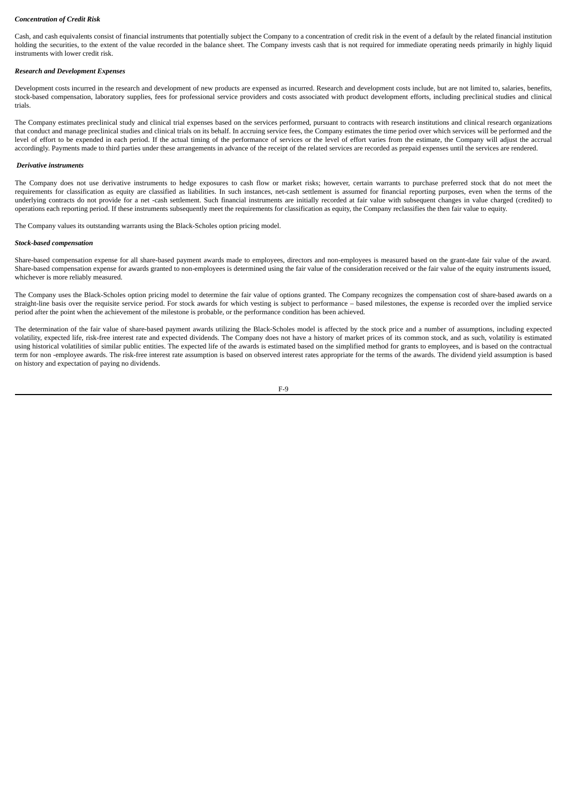### *Concentration of Credit Risk*

Cash, and cash equivalents consist of financial instruments that potentially subject the Company to a concentration of credit risk in the event of a default by the related financial institution holding the securities, to the extent of the value recorded in the balance sheet. The Company invests cash that is not required for immediate operating needs primarily in highly liquid instruments with lower credit risk.

#### *Research and Development Expenses*

Development costs incurred in the research and development of new products are expensed as incurred. Research and development costs include, but are not limited to, salaries, benefits, stock-based compensation, laboratory supplies, fees for professional service providers and costs associated with product development efforts, including preclinical studies and clinical trials.

The Company estimates preclinical study and clinical trial expenses based on the services performed, pursuant to contracts with research institutions and clinical research organizations that conduct and manage preclinical studies and clinical trials on its behalf. In accruing service fees, the Company estimates the time period over which services will be performed and the level of effort to be expended in each period. If the actual timing of the performance of services or the level of effort varies from the estimate, the Company will adjust the accrual accordingly. Payments made to third parties under these arrangements in advance of the receipt of the related services are recorded as prepaid expenses until the services are rendered.

#### *Derivative instruments*

The Company does not use derivative instruments to hedge exposures to cash flow or market risks; however, certain warrants to purchase preferred stock that do not meet the requirements for classification as equity are classified as liabilities. In such instances, net-cash settlement is assumed for financial reporting purposes, even when the terms of the underlying contracts do not provide for a net -cash settlement. Such financial instruments are initially recorded at fair value with subsequent changes in value charged (credited) to operations each reporting period. If these instruments subsequently meet the requirements for classification as equity, the Company reclassifies the then fair value to equity.

The Company values its outstanding warrants using the Black-Scholes option pricing model.

#### *Stock-based compensation*

Share-based compensation expense for all share-based payment awards made to employees, directors and non-employees is measured based on the grant-date fair value of the award. Share-based compensation expense for awards granted to non-employees is determined using the fair value of the consideration received or the fair value of the equity instruments issued whichever is more reliably measured.

The Company uses the Black-Scholes option pricing model to determine the fair value of options granted. The Company recognizes the compensation cost of share-based awards on a straight-line basis over the requisite service period. For stock awards for which vesting is subject to performance – based milestones, the expense is recorded over the implied service period after the point when the achievement of the milestone is probable, or the performance condition has been achieved.

The determination of the fair value of share-based payment awards utilizing the Black-Scholes model is affected by the stock price and a number of assumptions, including expected volatility, expected life, risk-free interest rate and expected dividends. The Company does not have a history of market prices of its common stock, and as such, volatility is estimated using historical volatilities of similar public entities. The expected life of the awards is estimated based on the simplified method for grants to employees, and is based on the contractual term for non -employee awards. The risk-free interest rate assumption is based on observed interest rates appropriate for the terms of the awards. The dividend yield assumption is based on history and expectation of paying no dividends.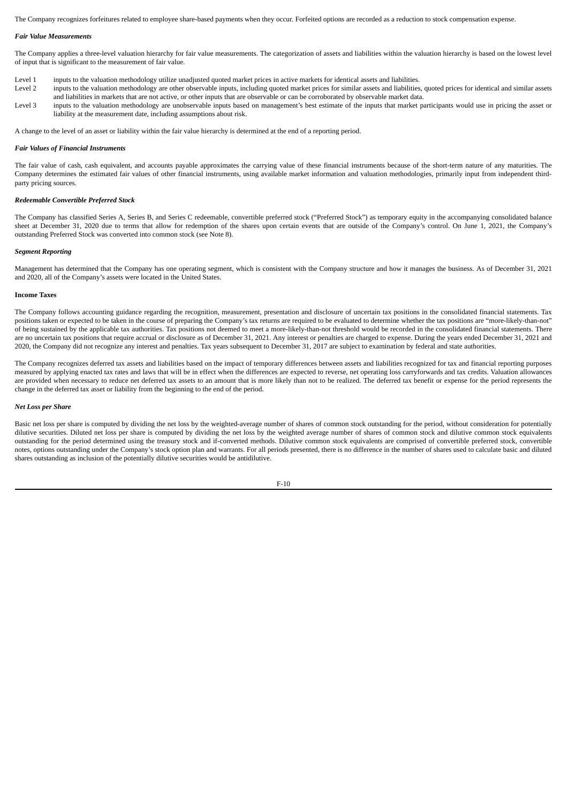The Company recognizes forfeitures related to employee share-based payments when they occur. Forfeited options are recorded as a reduction to stock compensation expense.

#### *Fair Value Measurements*

The Company applies a three-level valuation hierarchy for fair value measurements. The categorization of assets and liabilities within the valuation hierarchy is based on the lowest level of input that is significant to the measurement of fair value.

- Level 1 inputs to the valuation methodology utilize unadjusted quoted market prices in active markets for identical assets and liabilities.
- Level 2 inputs to the valuation methodology are other observable inputs, including quoted market prices for similar assets and liabilities, quoted prices for identical and similar assets and liabilities in markets that are not active, or other inputs that are observable or can be corroborated by observable market data.
- Level 3 inputs to the valuation methodology are unobservable inputs based on management's best estimate of the inputs that market participants would use in pricing the asset or liability at the measurement date, including assumptions about risk.

A change to the level of an asset or liability within the fair value hierarchy is determined at the end of a reporting period.

#### *Fair Values of Financial Instruments*

The fair value of cash, cash equivalent, and accounts payable approximates the carrying value of these financial instruments because of the short-term nature of any maturities. The Company determines the estimated fair values of other financial instruments, using available market information and valuation methodologies, primarily input from independent thirdparty pricing sources.

#### *Redeemable Convertible Preferred Stock*

The Company has classified Series A, Series B, and Series C redeemable, convertible preferred stock ("Preferred Stock") as temporary equity in the accompanying consolidated balance sheet at December 31, 2020 due to terms that allow for redemption of the shares upon certain events that are outside of the Company's control. On June 1, 2021, the Company's outstanding Preferred Stock was converted into common stock (see Note 8).

#### *Segment Reporting*

Management has determined that the Company has one operating segment, which is consistent with the Company structure and how it manages the business. As of December 31, 2021 and 2020, all of the Company's assets were located in the United States.

#### **Income Taxes**

The Company follows accounting guidance regarding the recognition, measurement, presentation and disclosure of uncertain tax positions in the consolidated financial statements. Tax positions taken or expected to be taken in the course of preparing the Company's tax returns are required to be evaluated to determine whether the tax positions are "more-likely-than-not" of being sustained by the applicable tax authorities. Tax positions not deemed to meet a more-likely-than-not threshold would be recorded in the consolidated financial statements. There are no uncertain tax positions that require accrual or disclosure as of December 31, 2021. Any interest or penalties are charged to expense. During the years ended December 31, 2021 and 2020, the Company did not recognize any interest and penalties. Tax years subsequent to December 31, 2017 are subject to examination by federal and state authorities.

The Company recognizes deferred tax assets and liabilities based on the impact of temporary differences between assets and liabilities recognized for tax and financial reporting purposes measured by applying enacted tax rates and laws that will be in effect when the differences are expected to reverse, net operating loss carryforwards and tax credits. Valuation allowances are provided when necessary to reduce net deferred tax assets to an amount that is more likely than not to be realized. The deferred tax benefit or expense for the period represents the change in the deferred tax asset or liability from the beginning to the end of the period.

#### *Net Loss per Share*

Basic net loss per share is computed by dividing the net loss by the weighted-average number of shares of common stock outstanding for the period, without consideration for potentially dilutive securities. Diluted net loss per share is computed by dividing the net loss by the weighted average number of shares of common stock and dilutive common stock equivalents outstanding for the period determined using the treasury stock and if-converted methods. Dilutive common stock equivalents are comprised of convertible preferred stock, convertible notes, options outstanding under the Company's stock option plan and warrants. For all periods presented, there is no difference in the number of shares used to calculate basic and diluted shares outstanding as inclusion of the potentially dilutive securities would be antidilutive.

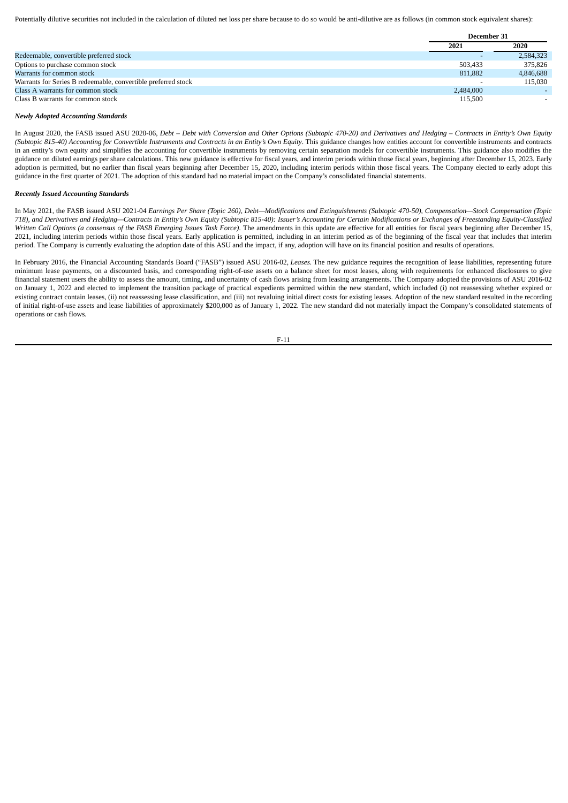Potentially dilutive securities not included in the calculation of diluted net loss per share because to do so would be anti-dilutive are as follows (in common stock equivalent shares):

|                                                               | December 31 |           |
|---------------------------------------------------------------|-------------|-----------|
|                                                               | 2021        | 2020      |
| Redeemable, convertible preferred stock                       |             | 2,584,323 |
| Options to purchase common stock                              | 503,433     | 375.826   |
| Warrants for common stock                                     | 811,882     | 4,846,688 |
| Warrants for Series B redeemable, convertible preferred stock |             | 115,030   |
| Class A warrants for common stock                             | 2,484,000   |           |
| Class B warrants for common stock                             | 115,500     |           |

### *Newly Adopted Accounting Standards*

In August 2020, the FASB issued ASU 2020-06, Debt - Debt with Conversion and Other Options (Subtopic 470-20) and Derivatives and Hedging - Contracts in Entity's Own Equity (Subtopic 815-40) Accounting for Convertible Instruments and Contracts in an Entity's Own Equity. This guidance changes how entities account for convertible instruments and contracts in an entity's own equity and simplifies the accounting for convertible instruments by removing certain separation models for convertible instruments. This guidance also modifies the guidance on diluted earnings per share calculations. This new guidance is effective for fiscal years, and interim periods within those fiscal years, beginning after December 15, 2023. Early adoption is permitted, but no earlier than fiscal years beginning after December 15, 2020, including interim periods within those fiscal years. The Company elected to early adopt this guidance in the first quarter of 2021. The adoption of this standard had no material impact on the Company's consolidated financial statements.

### *Recently Issued Accounting Standards*

In May 2021, the FASB issued ASU 2021-04 Earnings Per Share (Topic 260), Debt-Modifications and Extinguishments (Subtopic 470-50), Compensation-Stock Compensation (Topic 718), and Derivatives and Hedging-Contracts in Entity's Own Equity (Subtopic 815-40): Issuer's Accounting for Certain Modifications or Exchanges of Freestanding Equity-Classified Written Call Options (a consensus of the FASB Emerging Issues Task Force). The amendments in this update are effective for all entities for fiscal vears beginning after December 15. 2021, including interim periods within those fiscal years. Early application is permitted, including in an interim period as of the beginning of the fiscal year that includes that interim period. The Company is currently evaluating the adoption date of this ASU and the impact, if any, adoption will have on its financial position and results of operations.

In February 2016, the Financial Accounting Standards Board ("FASB") issued ASU 2016-02, *Leases.* The new guidance requires the recognition of lease liabilities, representing future minimum lease payments, on a discounted basis, and corresponding right-of-use assets on a balance sheet for most leases, along with requirements for enhanced disclosures to give financial statement users the ability to assess the amount, timing, and uncertainty of cash flows arising from leasing arrangements. The Company adopted the provisions of ASU 2016-02 on January 1, 2022 and elected to implement the transition package of practical expedients permitted within the new standard, which included (i) not reassessing whether expired or existing contract contain leases, (ii) not reassessing lease classification, and (iii) not revaluing initial direct costs for existing leases. Adoption of the new standard resulted in the recording of initial right-of-use assets and lease liabilities of approximately \$200,000 as of January 1, 2022. The new standard did not materially impact the Company's consolidated statements of operations or cash flows.

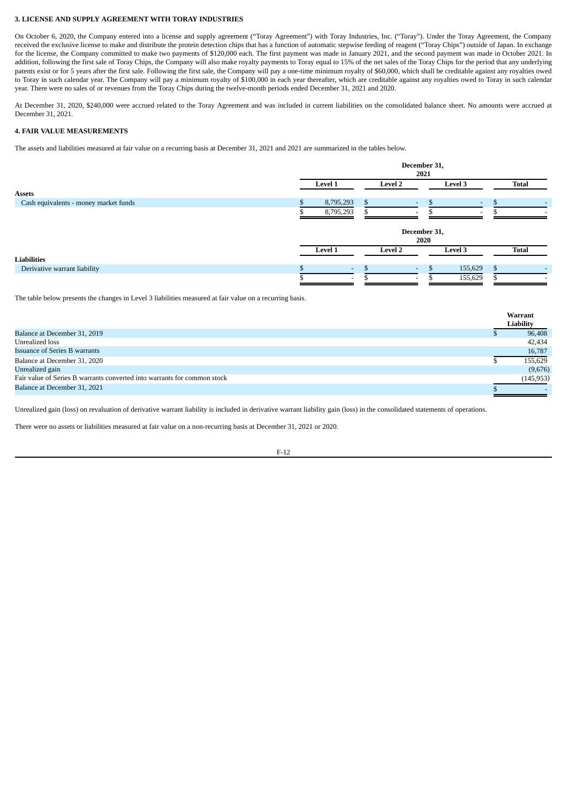## **3. LICENSE AND SUPPLY AGREEMENT WITH TORAY INDUSTRIES**

On October 6, 2020, the Company entered into a license and supply agreement ("Toray Agreement") with Toray Industries, Inc. ("Toray"). Under the Toray Agreement, the Company received the exclusive license to make and distribute the protein detection chips that has a function of automatic stepwise feeding of reagent ("Toray Chips") outside of Japan. In exchange for the license, the Company committed to make two payments of \$120,000 each. The first payment was made in January 2021, and the second payment was made in October 2021. In addition, following the first sale of Toray Chips, the Company will also make royalty payments to Toray equal to 15% of the net sales of the Toray Chips for the period that any underlying patents exist or for 5 years after the first sale. Following the first sale, the Company will pay a one-time minimum royalty of \$60,000, which shall be creditable against any royalties owed to Toray in such calendar year. The Company will pay a minimum royalty of \$100,000 in each year thereafter, which are creditable against any royalties owed to Toray in such calendar year. There were no sales of or revenues from the Toray Chips during the twelve-month periods ended December 31, 2021 and 2020.

At December 31, 2020, \$240,000 were accrued related to the Toray Agreement and was included in current liabilities on the consolidated balance sheet. No amounts were accrued at December 31, 2021.

# **4. FAIR VALUE MEASUREMENTS**

The assets and liabilities measured at fair value on a recurring basis at December 31, 2021 and 2021 are summarized in the tables below.

|                                       |                          |                          | December 31,<br>2021 |                                           |
|---------------------------------------|--------------------------|--------------------------|----------------------|-------------------------------------------|
|                                       | <b>Level 1</b>           | <b>Level 2</b>           | <b>Level 3</b>       | <b>Total</b>                              |
| <b>Assets</b>                         |                          |                          |                      |                                           |
| Cash equivalents - money market funds | 8,795,293                | \$                       | $\sim$<br>$\sim$     | $\overline{\phantom{0}}$                  |
|                                       | 8,795,293                | $\overline{\phantom{a}}$ |                      |                                           |
|                                       |                          |                          | December 31,<br>2020 |                                           |
|                                       | <b>Level 1</b>           | <b>Level 2</b>           | Level 3              | <b>Total</b>                              |
| <b>Liabilities</b>                    |                          |                          |                      |                                           |
| Derivative warrant liability          | $\sim$                   |                          | 155,629<br>$\sim$    | <sup>\$</sup><br>$\overline{\phantom{0}}$ |
|                                       | $\overline{\phantom{a}}$ | $\overline{\phantom{a}}$ | 155,629              | $\overline{\phantom{a}}$                  |

The table below presents the changes in Level 3 liabilities measured at fair value on a recurring basis.

|                                                                          | Warrant    |
|--------------------------------------------------------------------------|------------|
|                                                                          | Liability  |
| Balance at December 31, 2019                                             | 96,408     |
| Unrealized loss                                                          | 42,434     |
| <b>Issuance of Series B warrants</b>                                     | 16,787     |
| Balance at December 31, 2020                                             | 155,629    |
| Unrealized gain                                                          | (9,676)    |
| Fair value of Series B warrants converted into warrants for common stock | (145, 953) |
| Balance at December 31, 2021                                             |            |

Unrealized gain (loss) on revaluation of derivative warrant liability is included in derivative warrant liability gain (loss) in the consolidated statements of operations.

There were no assets or liabilities measured at fair value on a non-recurring basis at December 31, 2021 or 2020.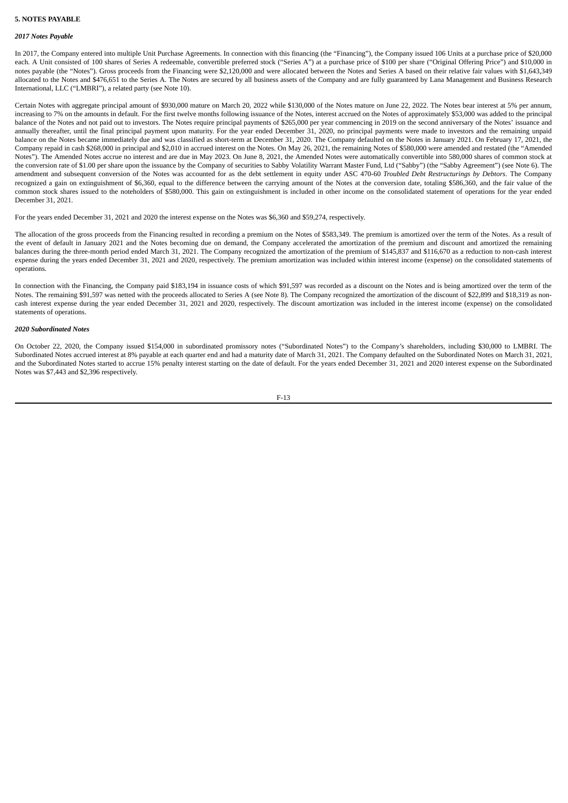### **5. NOTES PAYABLE**

### *2017 Notes Payable*

In 2017, the Company entered into multiple Unit Purchase Agreements. In connection with this financing (the "Financing"), the Company issued 106 Units at a purchase price of \$20,000 each. A Unit consisted of 100 shares of Series A redeemable, convertible preferred stock ("Series A") at a purchase price of \$100 per share ("Original Offering Price") and \$10,000 in notes payable (the "Notes"). Gross proceeds from the Financing were \$2,120,000 and were allocated between the Notes and Series A based on their relative fair values with \$1,643,349 allocated to the Notes and \$476,651 to the Series A. The Notes are secured by all business assets of the Company and are fully guaranteed by Lana Management and Business Research International, LLC ("LMBRI"), a related party (see Note 10).

Certain Notes with aggregate principal amount of \$930,000 mature on March 20, 2022 while \$130,000 of the Notes mature on June 22, 2022. The Notes bear interest at 5% per annum, increasing to 7% on the amounts in default. For the first twelve months following issuance of the Notes, interest accrued on the Notes of approximately \$53,000 was added to the principal balance of the Notes and not paid out to investors. The Notes require principal payments of \$265,000 per year commencing in 2019 on the second anniversary of the Notes' issuance and annually thereafter, until the final principal payment upon maturity. For the year ended December 31, 2020, no principal payments were made to investors and the remaining unpaid balance on the Notes became immediately due and was classified as short-term at December 31, 2020. The Company defaulted on the Notes in January 2021. On February 17, 2021, the Company repaid in cash \$268,000 in principal and \$2,010 in accrued interest on the Notes. On May 26, 2021, the remaining Notes of \$580,000 were amended and restated (the "Amended Notes"). The Amended Notes accrue no interest and are due in May 2023. On June 8, 2021, the Amended Notes were automatically convertible into 580,000 shares of common stock at the conversion rate of \$1.00 per share upon the issuance by the Company of securities to Sabby Volatility Warrant Master Fund, Ltd ("Sabby") (the "Sabby Agreement") (see Note 6). The amendment and subsequent conversion of the Notes was accounted for as the debt settlement in equity under ASC 470-60 *Troubled Debt Restructurings by Debtors*. The Company recognized a gain on extinguishment of \$6,360, equal to the difference between the carrying amount of the Notes at the conversion date, totaling \$586,360, and the fair value of the common stock shares issued to the noteholders of \$580,000. This gain on extinguishment is included in other income on the consolidated statement of operations for the year ended December 31, 2021.

For the years ended December 31, 2021 and 2020 the interest expense on the Notes was \$6,360 and \$59,274, respectively.

The allocation of the gross proceeds from the Financing resulted in recording a premium on the Notes of \$583,349. The premium is amortized over the term of the Notes. As a result of the event of default in January 2021 and the Notes becoming due on demand, the Company accelerated the amortization of the premium and discount and amortized the remaining balances during the three-month period ended March 31, 2021. The Company recognized the amortization of the premium of \$145,837 and \$116,670 as a reduction to non-cash interest expense during the years ended December 31, 2021 and 2020, respectively. The premium amortization was included within interest income (expense) on the consolidated statements of operations.

In connection with the Financing, the Company paid \$183,194 in issuance costs of which \$91,597 was recorded as a discount on the Notes and is being amortized over the term of the Notes. The remaining \$91,597 was netted with the proceeds allocated to Series A (see Note 8). The Company recognized the amortization of the discount of \$22,899 and \$18,319 as noncash interest expense during the year ended December 31, 2021 and 2020, respectively. The discount amortization was included in the interest income (expense) on the consolidated statements of operations.

### *2020 Subordinated Notes*

On October 22, 2020, the Company issued \$154,000 in subordinated promissory notes ("Subordinated Notes") to the Company's shareholders, including \$30,000 to LMBRI. The Subordinated Notes accrued interest at 8% payable at each quarter end and had a maturity date of March 31, 2021. The Company defaulted on the Subordinated Notes on March 31, 2021, and the Subordinated Notes started to accrue 15% penalty interest starting on the date of default. For the years ended December 31, 2021 and 2020 interest expense on the Subordinated Notes was \$7,443 and \$2,396 respectively.

$$
F-13
$$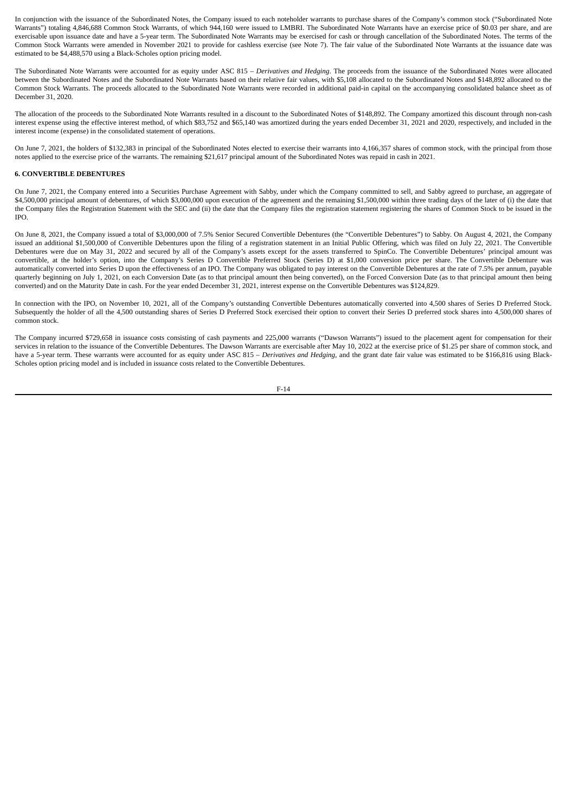In conjunction with the issuance of the Subordinated Notes, the Company issued to each noteholder warrants to purchase shares of the Company's common stock ("Subordinated Note Warrants") totaling 4,846,688 Common Stock Warrants, of which 944,160 were issued to LMBRI. The Subordinated Note Warrants have an exercise price of \$0.03 per share, and are exercisable upon issuance date and have a 5-year term. The Subordinated Note Warrants may be exercised for cash or through cancellation of the Subordinated Notes. The terms of the Common Stock Warrants were amended in November 2021 to provide for cashless exercise (see Note 7). The fair value of the Subordinated Note Warrants at the issuance date was estimated to be \$4,488,570 using a Black-Scholes option pricing model.

The Subordinated Note Warrants were accounted for as equity under ASC 815 – *Derivatives and Hedging*. The proceeds from the issuance of the Subordinated Notes were allocated between the Subordinated Notes and the Subordinated Note Warrants based on their relative fair values, with \$5,108 allocated to the Subordinated Notes and \$148,892 allocated to the Common Stock Warrants. The proceeds allocated to the Subordinated Note Warrants were recorded in additional paid-in capital on the accompanying consolidated balance sheet as of December 31, 2020.

The allocation of the proceeds to the Subordinated Note Warrants resulted in a discount to the Subordinated Notes of \$148,892. The Company amortized this discount through non-cash interest expense using the effective interest method, of which \$83,752 and \$65,140 was amortized during the years ended December 31, 2021 and 2020, respectively, and included in the interest income (expense) in the consolidated statement of operations.

On June 7, 2021, the holders of \$132,383 in principal of the Subordinated Notes elected to exercise their warrants into 4,166,357 shares of common stock, with the principal from those notes applied to the exercise price of the warrants. The remaining \$21,617 principal amount of the Subordinated Notes was repaid in cash in 2021.

### **6. CONVERTIBLE DEBENTURES**

On June 7, 2021, the Company entered into a Securities Purchase Agreement with Sabby, under which the Company committed to sell, and Sabby agreed to purchase, an aggregate of \$4,500,000 principal amount of debentures, of which \$3,000,000 upon execution of the agreement and the remaining \$1,500,000 within three trading days of the later of (i) the date that the Company files the Registration Statement with the SEC and (ii) the date that the Company files the registration statement registering the shares of Common Stock to be issued in the IPO.

On June 8, 2021, the Company issued a total of \$3,000,000 of 7.5% Senior Secured Convertible Debentures (the "Convertible Debentures") to Sabby. On August 4, 2021, the Company issued an additional \$1,500,000 of Convertible Debentures upon the filing of a registration statement in an Initial Public Offering, which was filed on July 22, 2021. The Convertible Debentures were due on May 31, 2022 and secured by all of the Company's assets except for the assets transferred to SpinCo. The Convertible Debentures' principal amount was convertible, at the holder's option, into the Company's Series D Convertible Preferred Stock (Series D) at \$1,000 conversion price per share. The Convertible Debenture was automatically converted into Series D upon the effectiveness of an IPO. The Company was obligated to pay interest on the Convertible Debentures at the rate of 7.5% per annum, payable quarterly beginning on July 1, 2021, on each Conversion Date (as to that principal amount then being converted), on the Forced Conversion Date (as to that principal amount then being converted) and on the Maturity Date in cash. For the year ended December 31, 2021, interest expense on the Convertible Debentures was \$124,829.

In connection with the IPO, on November 10, 2021, all of the Company's outstanding Convertible Debentures automatically converted into 4,500 shares of Series D Preferred Stock. Subsequently the holder of all the 4,500 outstanding shares of Series D Preferred Stock exercised their option to convert their Series D preferred stock shares into 4,500,000 shares of common stock.

The Company incurred \$729,658 in issuance costs consisting of cash payments and 225,000 warrants ("Dawson Warrants") issued to the placement agent for compensation for their services in relation to the issuance of the Convertible Debentures. The Dawson Warrants are exercisable after May 10, 2022 at the exercise price of \$1.25 per share of common stock, and have a 5-year term. These warrants were accounted for as equity under ASC 815 – *Derivatives and Hedging*, and the grant date fair value was estimated to be \$166,816 using Black-Scholes option pricing model and is included in issuance costs related to the Convertible Debentures.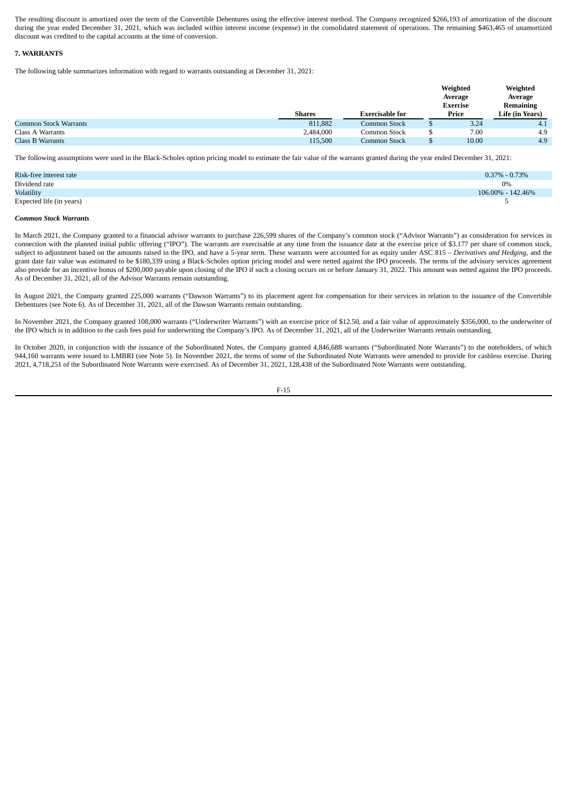The resulting discount is amortized over the term of the Convertible Debentures using the effective interest method. The Company recognized \$266,193 of amortization of the discount during the year ended December 31, 2021, which was included within interest income (expense) in the consolidated statement of operations. The remaining \$463,465 of unamortized discount was credited to the capital accounts at the time of conversion.

### **7. WARRANTS**

The following table summarizes information with regard to warrants outstanding at December 31, 2021:

|                       |               |                        | Weighted        | Weighted        |
|-----------------------|---------------|------------------------|-----------------|-----------------|
|                       |               |                        | Average         | Average         |
|                       |               |                        | <b>Exercise</b> | Remaining       |
|                       | <b>Shares</b> | <b>Exercisable for</b> | Price           | Life (in Years) |
| Common Stock Warrants | 811,882       | Common Stock           | 3.24            | 4.1             |
| Class A Warrants      | 2,484,000     | Common Stock           | 7.00            | 4.9             |
| Class B Warrants      | 115,500       | Common Stock           | 10.00           | 4.9             |
|                       |               |                        |                 |                 |

The following assumptions were used in the Black-Scholes option pricing model to estimate the fair value of the warrants granted during the year ended December 31, 2021:

| Risk-free interest rate  | $0.37\% - 0.73\%$ |
|--------------------------|-------------------|
| Dividend rate            | 0%                |
| Volatility               | 106.00% - 142.46% |
| Expected life (in years) |                   |

#### *Common Stock Warrants*

In March 2021, the Company granted to a financial advisor warrants to purchase 226,599 shares of the Company's common stock ("Advisor Warrants") as consideration for services in connection with the planned initial public offering ("IPO"). The warrants are exercisable at any time from the issuance date at the exercise price of \$3.177 per share of common stock, subject to adjustment based on the amounts raised in the IPO, and have a 5-year term. These warrants were accounted for as equity under ASC 815 – *Derivatives and Hedging*, and the grant date fair value was estimated to be \$180,339 using a Black-Scholes option pricing model and were netted against the IPO proceeds. The terms of the advisory services agreement also provide for an incentive bonus of \$200,000 payable upon closing of the IPO if such a closing occurs on or before January 31, 2022. This amount was netted against the IPO proceeds. As of December 31, 2021, all of the Advisor Warrants remain outstanding.

In August 2021, the Company granted 225,000 warrants ("Dawson Warrants") to its placement agent for compensation for their services in relation to the issuance of the Convertible Debentures (see Note 6). As of December 31, 2021, all of the Dawson Warrants remain outstanding.

In November 2021, the Company granted 108,000 warrants ("Underwriter Warrants") with an exercise price of \$12.50, and a fair value of approximately \$356,000, to the underwriter of the IPO which is in addition to the cash fees paid for underwriting the Company's IPO. As of December 31, 2021, all of the Underwriter Warrants remain outstanding.

In October 2020, in conjunction with the issuance of the Subordinated Notes, the Company granted 4,846,688 warrants ("Subordinated Note Warrants") to the noteholders, of which 944,160 warrants were issued to LMBRI (see Note 5). In November 2021, the terms of some of the Subordinated Note Warrants were amended to provide for cashless exercise. During 2021, 4,718,251 of the Subordinated Note Warrants were exercised. As of December 31, 2021, 128,438 of the Subordinated Note Warrants were outstanding.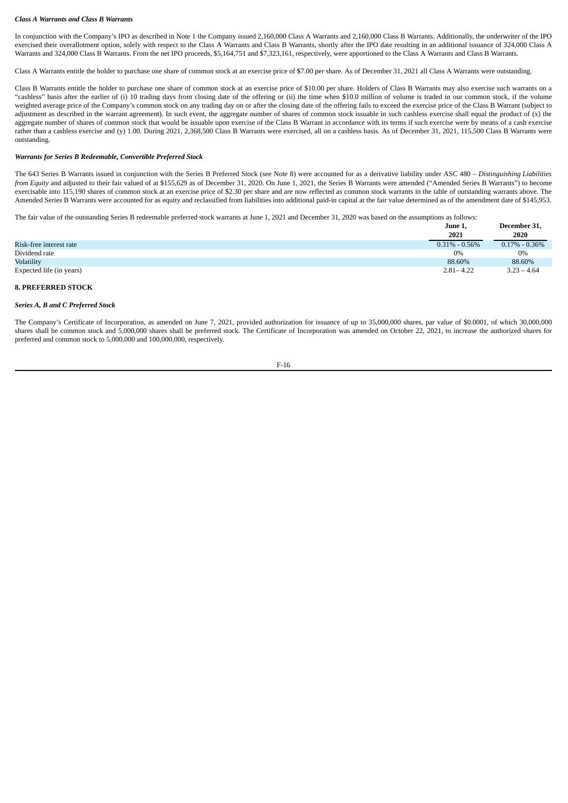### *Class A Warrants and Class B Warrants*

In conjunction with the Company's IPO as described in Note 1 the Company issued 2,160,000 Class A Warrants and 2,160,000 Class B Warrants. Additionally, the underwriter of the IPO exercised their overallotment option, solely with respect to the Class A Warrants and Class B Warrants, shortly after the IPO date resulting in an additional issuance of 324,000 Class A Warrants and 324,000 Class B Warrants. From the net IPO proceeds, \$5,164,751 and \$7,323,161, respectively, were apportioned to the Class A Warrants and Class B Warrants.

Class A Warrants entitle the holder to purchase one share of common stock at an exercise price of \$7.00 per share. As of December 31, 2021 all Class A Warrants were outstanding.

Class B Warrants entitle the holder to purchase one share of common stock at an exercise price of \$10.00 per share. Holders of Class B Warrants may also exercise such warrants on a "cashless" basis after the earlier of (i) 10 trading days from closing date of the offering or (ii) the time when \$10.0 million of volume is traded in our common stock, if the volume weighted average price of the Company's common stock on any trading day on or after the closing date of the offering fails to exceed the exercise price of the Class B Warrant (subject to adjustment as described in the warrant agreement). In such event, the aggregate number of shares of common stock issuable in such cashless exercise shall equal the product of  $(x)$  the aggregate number of shares of common stock that would be issuable upon exercise of the Class B Warrant in accordance with its terms if such exercise were by means of a cash exercise rather than a cashless exercise and (y) 1.00. During 2021, 2,368,500 Class B Warrants were exercised, all on a cashless basis. As of December 31, 2021, 115,500 Class B Warrants were outstanding.

#### *Warrants for Series B Redeemable, Convertible Preferred Stock*

The 643 Series B Warrants issued in conjunction with the Series B Preferred Stock (see Note 8) were accounted for as a derivative liability under ASC 480 – *Distinguishing Liabilities from Equity* and adjusted to their fair valued of at \$155,629 as of December 31, 2020. On June 1, 2021, the Series B Warrants were amended ("Amended Series B Warrants") to become exercisable into 115,190 shares of common stock at an exercise price of \$2.30 per share and are now reflected as common stock warrants in the table of outstanding warrants above. The Amended Series B Warrants were accounted for as equity and reclassified from liabilities into additional paid-in capital at the fair value determined as of the amendment date of \$145,953.

The fair value of the outstanding Series B redeemable preferred stock warrants at June 1, 2021 and December 31, 2020 was based on the assumptions as follows:

|                          | June 1,           | December 31,      |
|--------------------------|-------------------|-------------------|
|                          | 2021              | 2020              |
| Risk-free interest rate  | $0.31\% - 0.56\%$ | $0.17\% - 0.36\%$ |
| Dividend rate            | $0\%$             | 0%                |
| <b>Volatility</b>        | 88.60%            | 88.60%            |
| Expected life (in years) | $2.81 - 4.22$     | $3.23 - 4.64$     |

## **8. PREFERRED STOCK**

### *Series A, B and C Preferred Stock*

The Company's Certificate of Incorporation, as amended on June 7, 2021, provided authorization for issuance of up to 35,000,000 shares, par value of \$0.0001, of which 30,000,000 shares shall be common stock and 5,000,000 shares shall be preferred stock. The Certificate of Incorporation was amended on October 22, 2021, to increase the authorized shares for preferred and common stock to 5,000,000 and 100,000,000, respectively.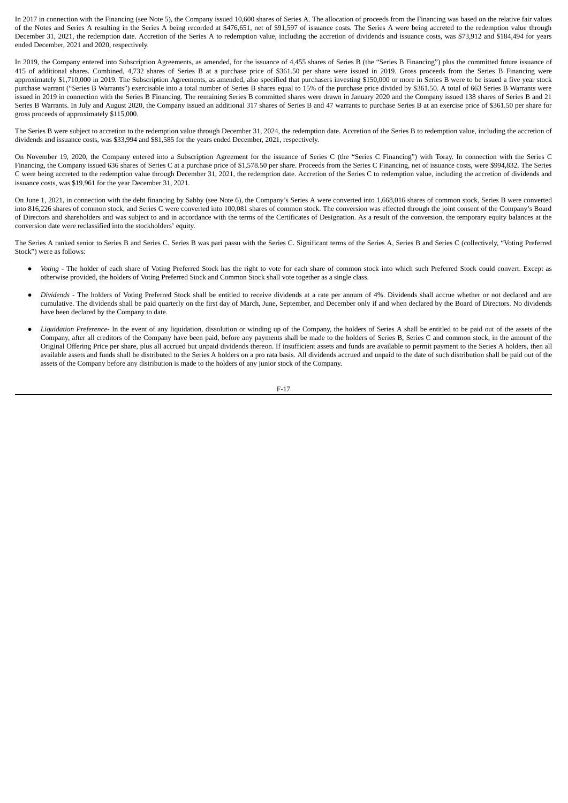In 2017 in connection with the Financing (see Note 5), the Company issued 10,600 shares of Series A. The allocation of proceeds from the Financing was based on the relative fair values of the Notes and Series A resulting in the Series A being recorded at \$476,651, net of \$91,597 of issuance costs. The Series A were being accreted to the redemption value through December 31, 2021, the redemption date. Accretion of the Series A to redemption value, including the accretion of dividends and issuance costs, was \$73,912 and \$184,494 for years ended December, 2021 and 2020, respectively.

In 2019, the Company entered into Subscription Agreements, as amended, for the issuance of 4,455 shares of Series B (the "Series B Financing") plus the committed future issuance of 415 of additional shares. Combined, 4,732 shares of Series B at a purchase price of \$361.50 per share were issued in 2019. Gross proceeds from the Series B Financing were approximately \$1,710,000 in 2019. The Subscription Agreements, as amended, also specified that purchasers investing \$150,000 or more in Series B were to be issued a five year stock purchase warrant ("Series B Warrants") exercisable into a total number of Series B shares equal to 15% of the purchase price divided by \$361.50. A total of 663 Series B Warrants were issued in 2019 in connection with the Series B Financing. The remaining Series B committed shares were drawn in January 2020 and the Company issued 138 shares of Series B and 21 Series B Warrants. In July and August 2020, the Company issued an additional 317 shares of Series B and 47 warrants to purchase Series B at an exercise price of \$361.50 per share for gross proceeds of approximately \$115,000.

The Series B were subject to accretion to the redemption value through December 31, 2024, the redemption date. Accretion of the Series B to redemption value, including the accretion of dividends and issuance costs, was \$33,994 and \$81,585 for the years ended December, 2021, respectively.

On November 19, 2020, the Company entered into a Subscription Agreement for the issuance of Series C (the "Series C Financing") with Toray. In connection with the Series C Financing, the Company issued 636 shares of Series C at a purchase price of \$1,578.50 per share. Proceeds from the Series C Financing, net of issuance costs, were \$994,832. The Series C were being accreted to the redemption value through December 31, 2021, the redemption date. Accretion of the Series C to redemption value, including the accretion of dividends and issuance costs, was \$19,961 for the year December 31, 2021.

On June 1, 2021, in connection with the debt financing by Sabby (see Note 6), the Company's Series A were converted into 1,668,016 shares of common stock, Series B were converted into 816,226 shares of common stock, and Series C were converted into 100,081 shares of common stock. The conversion was effected through the joint consent of the Company's Board of Directors and shareholders and was subject to and in accordance with the terms of the Certificates of Designation. As a result of the conversion, the temporary equity balances at the conversion date were reclassified into the stockholders' equity.

The Series A ranked senior to Series B and Series C. Series B was pari passu with the Series C. Significant terms of the Series A, Series B and Series C (collectively, "Voting Preferred Stock") were as follows:

- *Voting* The holder of each share of Voting Preferred Stock has the right to vote for each share of common stock into which such Preferred Stock could convert. Except as otherwise provided, the holders of Voting Preferred Stock and Common Stock shall vote together as a single class.
- *Dividends -* The holders of Voting Preferred Stock shall be entitled to receive dividends at a rate per annum of 4%. Dividends shall accrue whether or not declared and are cumulative. The dividends shall be paid quarterly on the first day of March, June, September, and December only if and when declared by the Board of Directors. No dividends have been declared by the Company to date.
- Liquidation Preference- In the event of any liquidation, dissolution or winding up of the Company, the holders of Series A shall be entitled to be paid out of the assets of the Company, after all creditors of the Company have been paid, before any payments shall be made to the holders of Series B, Series C and common stock, in the amount of the Original Offering Price per share, plus all accrued but unpaid dividends thereon. If insufficient assets and funds are available to permit payment to the Series A holders, then all available assets and funds shall be distributed to the Series A holders on a pro rata basis. All dividends accrued and unpaid to the date of such distribution shall be paid out of the assets of the Company before any distribution is made to the holders of any junior stock of the Company.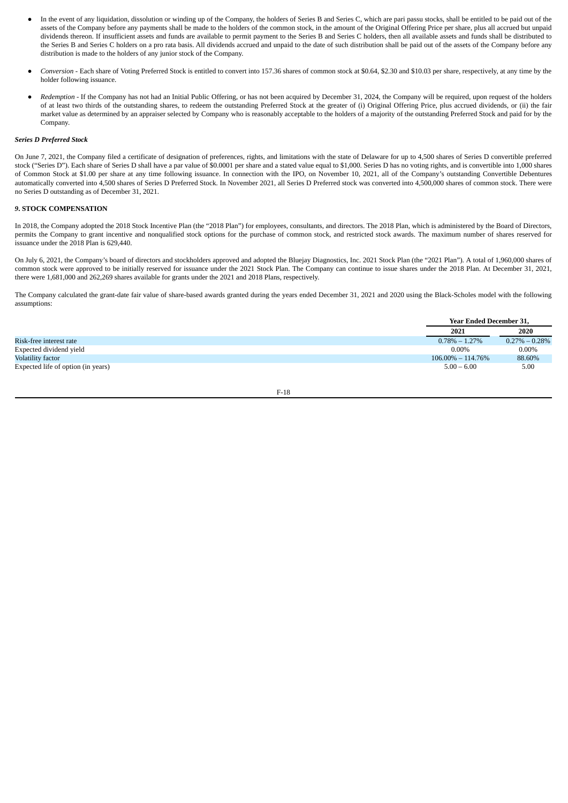- In the event of any liquidation, dissolution or winding up of the Company, the holders of Series B and Series C, which are pari passu stocks, shall be entitled to be paid out of the assets of the Company before any payments shall be made to the holders of the common stock, in the amount of the Original Offering Price per share, plus all accrued but unpaid dividends thereon. If insufficient assets and funds are available to permit payment to the Series B and Series C holders, then all available assets and funds shall be distributed to the Series B and Series C holders on a pro rata basis. All dividends accrued and unpaid to the date of such distribution shall be paid out of the assets of the Company before any distribution is made to the holders of any junior stock of the Company.
- *Conversion -* Each share of Voting Preferred Stock is entitled to convert into 157.36 shares of common stock at \$0.64, \$2.30 and \$10.03 per share, respectively, at any time by the holder following issuance.
- Redemption If the Company has not had an Initial Public Offering, or has not been acquired by December 31, 2024, the Company will be required, upon request of the holders of at least two thirds of the outstanding shares, to redeem the outstanding Preferred Stock at the greater of (i) Original Offering Price, plus accrued dividends, or (ii) the fair market value as determined by an appraiser selected by Company who is reasonably acceptable to the holders of a majority of the outstanding Preferred Stock and paid for by the Company.

## *Series D Preferred Stock*

On June 7, 2021, the Company filed a certificate of designation of preferences, rights, and limitations with the state of Delaware for up to 4,500 shares of Series D convertible preferred stock ("Series D"). Each share of Series D shall have a par value of \$0.0001 per share and a stated value equal to \$1,000. Series D has no voting rights, and is convertible into 1,000 shares of Common Stock at \$1.00 per share at any time following issuance. In connection with the IPO, on November 10, 2021, all of the Company's outstanding Convertible Debentures automatically converted into 4,500 shares of Series D Preferred Stock. In November 2021, all Series D Preferred stock was converted into 4,500,000 shares of common stock. There were no Series D outstanding as of December 31, 2021.

## *9***. STOCK COMPENSATION**

In 2018, the Company adopted the 2018 Stock Incentive Plan (the "2018 Plan") for employees, consultants, and directors. The 2018 Plan, which is administered by the Board of Directors, permits the Company to grant incentive and nonqualified stock options for the purchase of common stock, and restricted stock awards. The maximum number of shares reserved for issuance under the 2018 Plan is 629,440.

On July 6, 2021, the Company's board of directors and stockholders approved and adopted the Bluejay Diagnostics, Inc. 2021 Stock Plan (the "2021 Plan"). A total of 1,960,000 shares of common stock were approved to be initially reserved for issuance under the 2021 Stock Plan. The Company can continue to issue shares under the 2018 Plan. At December 31, 2021, there were 1,681,000 and 262,269 shares available for grants under the 2021 and 2018 Plans, respectively.

The Company calculated the grant-date fair value of share-based awards granted during the years ended December 31, 2021 and 2020 using the Black-Scholes model with the following assumptions:

|                                    |                       | <b>Year Ended December 31.</b> |
|------------------------------------|-----------------------|--------------------------------|
|                                    | 2021                  | 2020                           |
| Risk-free interest rate            | $0.78\% - 1.27\%$     | $0.27\% - 0.28\%$              |
| Expected dividend vield            | $0.00\%$              | $0.00\%$                       |
| <b>Volatility factor</b>           | $106.00\% - 114.76\%$ | 88.60%                         |
| Expected life of option (in years) | $5.00 - 6.00$         | 5.00                           |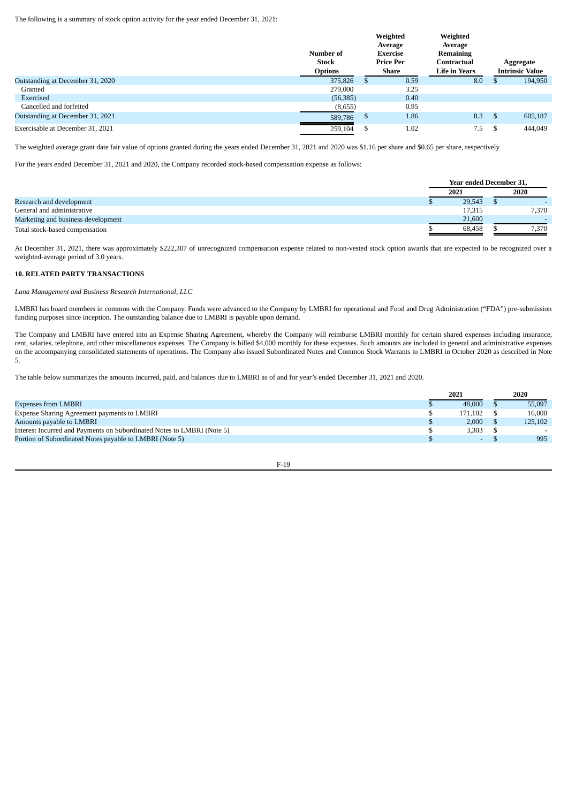The following is a summary of stock option activity for the year ended December 31, 2021:

|                                  | Number of<br><b>Stock</b><br><b>Options</b> |    | Weighted<br>Average<br><b>Exercise</b><br><b>Price Per</b><br>Share | Weighted<br>Average<br>Remaining<br>Contractual<br><b>Life in Years</b> |   | Aggregate<br><b>Intrinsic Value</b> |
|----------------------------------|---------------------------------------------|----|---------------------------------------------------------------------|-------------------------------------------------------------------------|---|-------------------------------------|
| Outstanding at December 31, 2020 | 375,826                                     |    | 0.59                                                                | 8.0                                                                     |   | 194,950                             |
| Granted                          | 279,000                                     |    | 3.25                                                                |                                                                         |   |                                     |
| Exercised                        | (56, 385)                                   |    | 0.40                                                                |                                                                         |   |                                     |
| Cancelled and forfeited          | (8,655)                                     |    | 0.95                                                                |                                                                         |   |                                     |
| Outstanding at December 31, 2021 | 589,786                                     | ۰D | 1.86                                                                | 8.3                                                                     | S | 605,187                             |
| Exercisable at December 31, 2021 | 259,104                                     |    | 1.02                                                                | 7.5                                                                     |   | 444,049                             |

The weighted average grant date fair value of options granted during the years ended December 31, 2021 and 2020 was \$1.16 per share and \$0.65 per share, respectively

For the years ended December 31, 2021 and 2020, the Company recorded stock-based compensation expense as follows:

|                                    | Year ended December 31. |        |  |       |
|------------------------------------|-------------------------|--------|--|-------|
|                                    |                         | 2021   |  | 2020  |
| Research and development           |                         | 29,543 |  |       |
| General and administrative         |                         | 17,315 |  | 7,370 |
| Marketing and business development |                         | 21,600 |  |       |
| Total stock-based compensation     |                         | 68.458 |  | 7.370 |

At December 31, 2021, there was approximately \$222,307 of unrecognized compensation expense related to non-vested stock option awards that are expected to be recognized over a weighted-average period of 3.0 years.

## **10. RELATED PARTY TRANSACTIONS**

*Lana Management and Business Research International, LLC*

LMBRI has board members in common with the Company. Funds were advanced to the Company by LMBRI for operational and Food and Drug Administration ("FDA") pre-submission funding purposes since inception. The outstanding balance due to LMBRI is payable upon demand.

The Company and LMBRI have entered into an Expense Sharing Agreement, whereby the Company will reimburse LMBRI monthly for certain shared expenses including insurance, rent, salaries, telephone, and other miscellaneous expenses. The Company is billed \$4,000 monthly for these expenses. Such amounts are included in general and administrative expenses on the accompanying consolidated statements of operations. The Company also issued Subordinated Notes and Common Stock Warrants to LMBRI in October 2020 as described in Note 5.

The table below summarizes the amounts incurred, paid, and balances due to LMBRI as of and for year's ended December 31, 2021 and 2020.

|                                                                        | 2021    | 2020    |
|------------------------------------------------------------------------|---------|---------|
| <b>Expenses from LMBRI</b>                                             | 48,000  | 55,097  |
| Expense Sharing Agreement payments to LMBRI                            | 171.102 | 16.000  |
| Amounts payable to LMBRI                                               | 2.000   | 125,102 |
| Interest Incurred and Payments on Subordinated Notes to LMBRI (Note 5) | 3.303   |         |
| Portion of Subordinated Notes payable to LMBRI (Note 5)                | $\sim$  | 995     |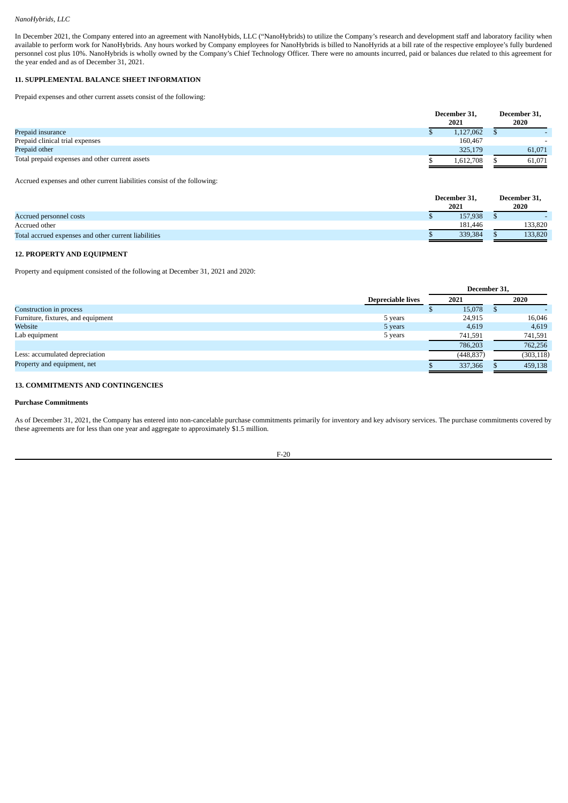# *NanoHybrids, LLC*

In December 2021, the Company entered into an agreement with NanoHybids, LLC ("NanoHybrids) to utilize the Company's research and development staff and laboratory facility when available to perform work for NanoHybrids. Any hours worked by Company employees for NanoHybrids is billed to NanoHyrids at a bill rate of the respective employee's fully burdened personnel cost plus 10%. NanoHybrids is wholly owned by the Company's Chief Technology Officer. There were no amounts incurred, paid or balances due related to this agreement for the year ended and as of December 31, 2021.

# **11. SUPPLEMENTAL BALANCE SHEET INFORMATION**

Prepaid expenses and other current assets consist of the following:

|                                                 | December 31,<br>2021 | December 31,<br>2020 |
|-------------------------------------------------|----------------------|----------------------|
| Prepaid insurance                               | 1,127,062            |                      |
| Prepaid clinical trial expenses                 | 160,467              |                      |
| Prepaid other                                   | 325,179              | 61,071               |
| Total prepaid expenses and other current assets | 1,612,708            | 61,071               |

Accrued expenses and other current liabilities consist of the following:

|                                                      | December 31,<br>2021 | December 31,<br>2020 |
|------------------------------------------------------|----------------------|----------------------|
| Accrued personnel costs                              | 157,938              |                      |
| Accrued other                                        | 181.446              | 133.820              |
| Total accrued expenses and other current liabilities | 339,384              | 133.820              |

### **12. PROPERTY AND EQUIPMENT**

Property and equipment consisted of the following at December 31, 2021 and 2020:

|                                    |                          |  |            | December 31, |            |  |
|------------------------------------|--------------------------|--|------------|--------------|------------|--|
|                                    | <b>Depreciable lives</b> |  | 2021       |              | 2020       |  |
| Construction in process            |                          |  | 15,078     |              |            |  |
| Furniture, fixtures, and equipment | 5 years                  |  | 24,915     |              | 16,046     |  |
| Website                            | 5 years                  |  | 4,619      |              | 4,619      |  |
| Lab equipment                      | 5 years                  |  | 741,591    |              | 741,591    |  |
|                                    |                          |  | 786,203    |              | 762,256    |  |
| Less: accumulated depreciation     |                          |  | (448, 837) |              | (303, 118) |  |
| Property and equipment, net        |                          |  | 337,366    |              | 459,138    |  |

## **13. COMMITMENTS AND CONTINGENCIES**

## **Purchase Commitments**

As of December 31, 2021, the Company has entered into non-cancelable purchase commitments primarily for inventory and key advisory services. The purchase commitments covered by these agreements are for less than one year and aggregate to approximately \$1.5 million.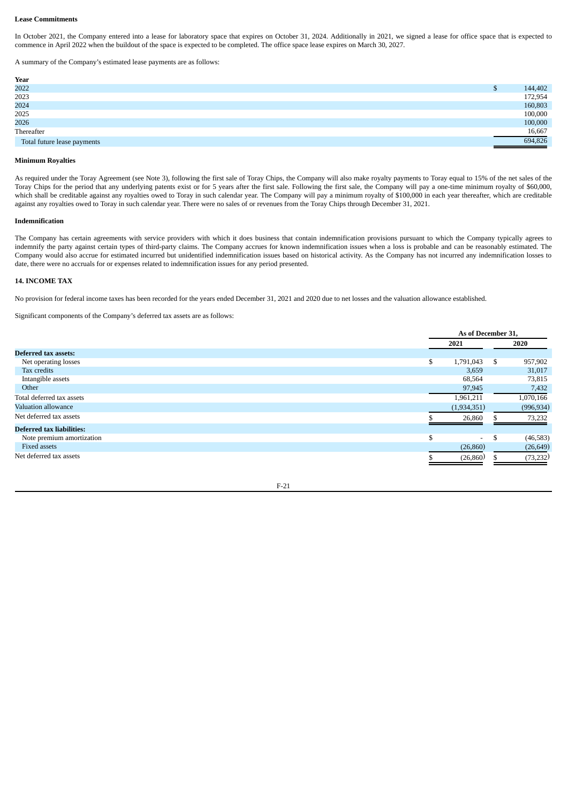#### **Lease Commitments**

In October 2021, the Company entered into a lease for laboratory space that expires on October 31, 2024. Additionally in 2021, we signed a lease for office space that is expected to commence in April 2022 when the buildout of the space is expected to be completed. The office space lease expires on March 30, 2027.

A summary of the Company's estimated lease payments are as follows:

| Year                        |         |
|-----------------------------|---------|
| 2022                        | 144,402 |
| 2023                        | 172,954 |
| 2024                        | 160,803 |
| 2025                        | 100,000 |
| 2026                        | 100,000 |
| Thereafter                  | 16,667  |
| Total future lease payments | 694,826 |

## **Minimum Royalties**

As required under the Toray Agreement (see Note 3), following the first sale of Toray Chips, the Company will also make royalty payments to Toray equal to 15% of the net sales of the Toray Chips for the period that any underlying patents exist or for 5 years after the first sale. Following the first sale, the Company will pay a one-time minimum royalty of \$60,000, which shall be creditable against any royalties owed to Toray in such calendar year. The Company will pay a minimum royalty of \$100,000 in each year thereafter, which are creditable against any royalties owed to Toray in such calendar year. There were no sales of or revenues from the Toray Chips through December 31, 2021.

#### **Indemnification**

The Company has certain agreements with service providers with which it does business that contain indemnification provisions pursuant to which the Company typically agrees to indemnify the party against certain types of third-party claims. The Company accrues for known indemnification issues when a loss is probable and can be reasonably estimated. The Company would also accrue for estimated incurred but unidentified indemnification issues based on historical activity. As the Company has not incurred any indemnification losses to date, there were no accruals for or expenses related to indemnification issues for any period presented.

## **14. INCOME TAX**

No provision for federal income taxes has been recorded for the years ended December 31, 2021 and 2020 due to net losses and the valuation allowance established.

Significant components of the Company's deferred tax assets are as follows:

|                                  | As of December 31,                   |            |  |  |
|----------------------------------|--------------------------------------|------------|--|--|
|                                  | 2021                                 | 2020       |  |  |
| Deferred tax assets:             |                                      |            |  |  |
| Net operating losses             | \$<br>1,791,043<br>S                 | 957,902    |  |  |
| Tax credits                      | 3,659                                | 31,017     |  |  |
| Intangible assets                | 68,564                               | 73,815     |  |  |
| Other                            | 97,945                               | 7,432      |  |  |
| Total deferred tax assets        | 1,961,211                            | 1,070,166  |  |  |
| Valuation allowance              | (1,934,351)                          | (996, 934) |  |  |
| Net deferred tax assets          | 26,860                               | 73,232     |  |  |
| <b>Deferred tax liabilities:</b> |                                      |            |  |  |
| Note premium amortization        | \$<br>\$<br>$\overline{\phantom{a}}$ | (46,583)   |  |  |
| Fixed assets                     | (26, 860)                            | (26, 649)  |  |  |
| Net deferred tax assets          | (26, 860)                            | (73, 232)  |  |  |

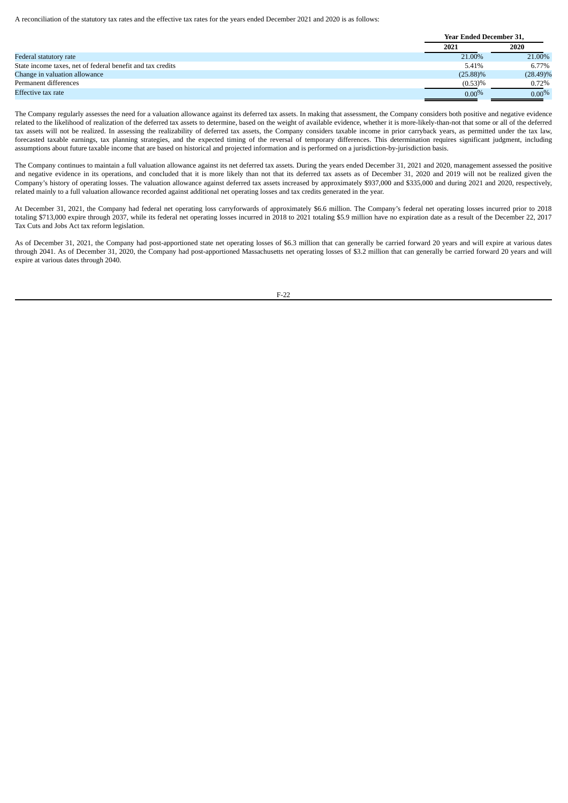A reconciliation of the statutory tax rates and the effective tax rates for the years ended December 2021 and 2020 is as follows:

|                                                            | <b>Year Ended December 31,</b> |             |
|------------------------------------------------------------|--------------------------------|-------------|
|                                                            | 2021                           | 2020        |
| Federal statutory rate                                     | 21.00%                         | 21.00%      |
| State income taxes, net of federal benefit and tax credits | 5.41%                          | 6.77%       |
| Change in valuation allowance                              | $(25.88)\%$                    | $(28.49)\%$ |
| Permanent differences                                      | (0.53)%                        | 0.72%       |
| Effective tax rate                                         | $0.00\%$                       | $0.00\%$    |

The Company regularly assesses the need for a valuation allowance against its deferred tax assets. In making that assessment, the Company considers both positive and negative evidence related to the likelihood of realization of the deferred tax assets to determine, based on the weight of available evidence, whether it is more-likely-than-not that some or all of the deferred tax assets will not be realized. In assessing the realizability of deferred tax assets, the Company considers taxable income in prior carryback years, as permitted under the tax law, forecasted taxable earnings, tax planning strategies, and the expected timing of the reversal of temporary differences. This determination requires significant judgment, including assumptions about future taxable income that are based on historical and projected information and is performed on a jurisdiction-by-jurisdiction basis.

The Company continues to maintain a full valuation allowance against its net deferred tax assets. During the years ended December 31, 2021 and 2020, management assessed the positive and negative evidence in its operations, and concluded that it is more likely than not that its deferred tax assets as of December 31, 2020 and 2019 will not be realized given the Company's history of operating losses. The valuation allowance against deferred tax assets increased by approximately \$937,000 and \$335,000 and during 2021 and 2020, respectively, related mainly to a full valuation allowance recorded against additional net operating losses and tax credits generated in the year.

At December 31, 2021, the Company had federal net operating loss carryforwards of approximately \$6.6 million. The Company's federal net operating losses incurred prior to 2018 totaling \$713,000 expire through 2037, while its federal net operating losses incurred in 2018 to 2021 totaling \$5.9 million have no expiration date as a result of the December 22, 2017 Tax Cuts and Jobs Act tax reform legislation.

As of December 31, 2021, the Company had post-apportioned state net operating losses of \$6.3 million that can generally be carried forward 20 years and will expire at various dates through 2041. As of December 31, 2020, the Company had post-apportioned Massachusetts net operating losses of \$3.2 million that can generally be carried forward 20 years and will expire at various dates through 2040.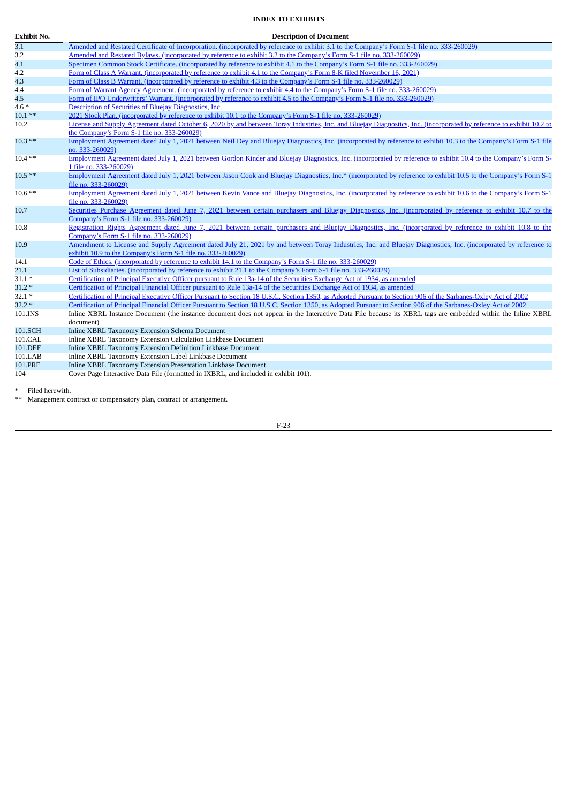# **INDEX TO EXHIBITS**

| Exhibit No. | <b>Description of Document</b>                                                                                                                                                      |
|-------------|-------------------------------------------------------------------------------------------------------------------------------------------------------------------------------------|
| 3.1         | Amended and Restated Certificate of Incorporation. (incorporated by reference to exhibit 3.1 to the Company's Form S-1 file no. 333-260029)                                         |
| 3.2         | Amended and Restated Bylaws, (incorporated by reference to exhibit 3.2 to the Company's Form S-1 file no. 333-260029)                                                               |
| 4.1         | Specimen Common Stock Certificate. (incorporated by reference to exhibit 4.1 to the Company's Form S-1 file no. 333-260029)                                                         |
| 4.2         | Form of Class A Warrant. (incorporated by reference to exhibit 4.1 to the Company's Form 8-K filed November 16, 2021)                                                               |
| 4.3         | Form of Class B Warrant. (incorporated by reference to exhibit 4.3 to the Company's Form S-1 file no. 333-260029)                                                                   |
| 4.4         | Form of Warrant Agency Agreement, (incorporated by reference to exhibit 4.4 to the Company's Form S-1 file no. 333-260029)                                                          |
| 4.5         | Form of IPO Underwriters' Warrant. (incorporated by reference to exhibit 4.5 to the Company's Form S-1 file no. 333-260029)                                                         |
| $4.6*$      | Description of Securities of Bluejay Diagnostics, Inc.                                                                                                                              |
| $10.1**$    | 2021 Stock Plan. (incorporated by reference to exhibit 10.1 to the Company's Form S-1 file no. 333-260029)                                                                          |
| 10.2        | License and Supply Agreement dated October 6, 2020 by and between Toray Industries, Inc. and Bluejay Diagnostics, Inc. (incorporated by reference to exhibit 10.2 to                |
|             | the Company's Form S-1 file no. 333-260029)                                                                                                                                         |
| $10.3**$    | Employment Agreement dated July 1, 2021 between Neil Dey and Bluejay Diagnostics, Inc. (incorporated by reference to exhibit 10.3 to the Company's Form S-1 file<br>no. 333-260029) |
| $10.4**$    | Employment Agreement dated July 1, 2021 between Gordon Kinder and Bluejay Diagnostics, Inc. (incorporated by reference to exhibit 10.4 to the Company's Form S-                     |
|             | 1 file no. 333-260029)                                                                                                                                                              |
| $10.5**$    | Employment Agreement dated July 1, 2021 between Jason Cook and Bluejay Diagnostics, Inc.* (incorporated by reference to exhibit 10.5 to the Company's Form S-1                      |
|             | file no. 333-260029)                                                                                                                                                                |
| $10.6$ **   | Employment Agreement dated July 1, 2021 between Kevin Vance and Bluejay Diagnostics, Inc. (incorporated by reference to exhibit 10.6 to the Company's Form S-1                      |
|             | file no. 333-260029)                                                                                                                                                                |
| 10.7        | Securities Purchase Agreement dated June 7, 2021 between certain purchasers and Bluejay Diagnostics, Inc. (incorporated by reference to exhibit 10.7 to the                         |
|             | Company's Form S-1 file no. 333-260029)                                                                                                                                             |
| 10.8        | Registration Rights Agreement dated June 7, 2021 between certain purchasers and Bluejay Diagnostics, Inc. (incorporated by reference to exhibit 10.8 to the                         |
|             | Company's Form S-1 file no. 333-260029)                                                                                                                                             |
| 10.9        | Amendment to License and Supply Agreement dated July 21, 2021 by and between Toray Industries, Inc. and Bluejay Diagnostics, Inc. (incorporated by reference to                     |
|             | exhibit 10.9 to the Company's Form S-1 file no. 333-260029)                                                                                                                         |
| 14.1        | Code of Ethics. (incorporated by reference to exhibit 14.1 to the Company's Form S-1 file no. 333-260029)                                                                           |
| 21.1        | List of Subsidiaries. (incorporated by reference to exhibit 21.1 to the Company's Form S-1 file no. 333-260029)                                                                     |
| $31.1*$     | Certification of Principal Executive Officer pursuant to Rule 13a-14 of the Securities Exchange Act of 1934, as amended                                                             |
| $31.2*$     | Certification of Principal Financial Officer pursuant to Rule 13a-14 of the Securities Exchange Act of 1934, as amended                                                             |
| $32.1*$     | Certification of Principal Executive Officer Pursuant to Section 18 U.S.C. Section 1350, as Adopted Pursuant to Section 906 of the Sarbanes-Oxley Act of 2002                       |
| $32.2*$     | Certification of Principal Financial Officer Pursuant to Section 18 U.S.C. Section 1350, as Adopted Pursuant to Section 906 of the Sarbanes-Oxley Act of 2002                       |
| 101.INS     | Inline XBRL Instance Document (the instance document does not appear in the Interactive Data File because its XBRL tags are embedded within the Inline XBRL                         |
|             | document)                                                                                                                                                                           |
| 101.SCH     | Inline XBRL Taxonomy Extension Schema Document                                                                                                                                      |
| 101.CAL     | Inline XBRL Taxonomy Extension Calculation Linkbase Document                                                                                                                        |
| 101.DEF     | Inline XBRL Taxonomy Extension Definition Linkbase Document                                                                                                                         |
| 101.LAB     | Inline XBRL Taxonomy Extension Label Linkbase Document                                                                                                                              |
| 101.PRE     | Inline XBRL Taxonomy Extension Presentation Linkbase Document                                                                                                                       |
| 104         | Cover Page Interactive Data File (formatted in IXBRL, and included in exhibit 101).                                                                                                 |
|             |                                                                                                                                                                                     |

\* Filed herewith.

\*\* Management contract or compensatory plan, contract or arrangement.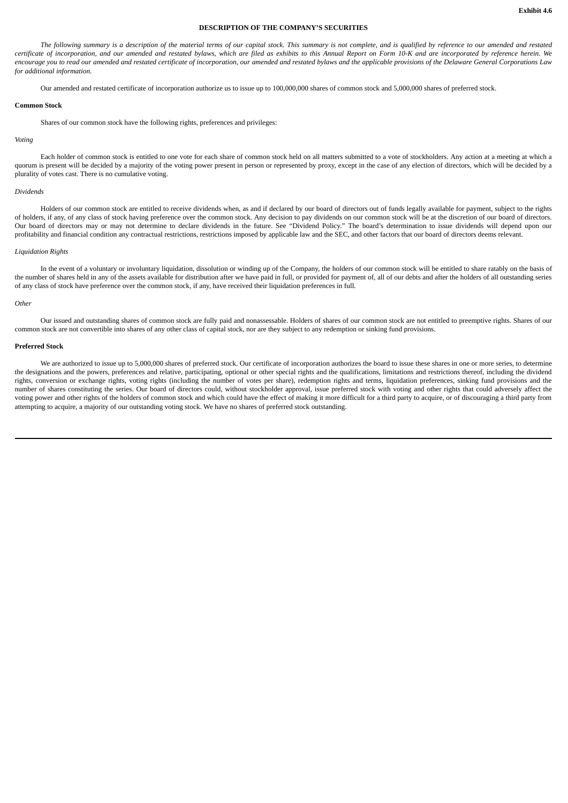# **DESCRIPTION OF THE COMPANY'S SECURITIES**

The following summary is a description of the material terms of our capital stock. This summary is not complete, and is qualified by reference to our amended and restated certificate of incorporation, and our amended and restated bylaws, which are filed as exhibits to this Annual Report on Form 10-K and are incorporated by reference herein. We encourage you to read our amended and restated certificate of incorporation, our amended and restated bylaws and the applicable provisions of the Delaware General Corporations Law *for additional information.*

Our amended and restated certificate of incorporation authorize us to issue up to 100,000,000 shares of common stock and 5,000,000 shares of preferred stock.

#### **Common Stock**

Shares of our common stock have the following rights, preferences and privileges:

# *Voting*

Each holder of common stock is entitled to one vote for each share of common stock held on all matters submitted to a vote of stockholders. Any action at a meeting at which a quorum is present will be decided by a majority of the voting power present in person or represented by proxy, except in the case of any election of directors, which will be decided by a plurality of votes cast. There is no cumulative voting.

### *Dividends*

Holders of our common stock are entitled to receive dividends when, as and if declared by our board of directors out of funds legally available for payment, subject to the rights of holders, if any, of any class of stock having preference over the common stock. Any decision to pay dividends on our common stock will be at the discretion of our board of directors. Our board of directors may or may not determine to declare dividends in the future. See "Dividend Policy." The board's determination to issue dividends will depend upon our profitability and financial condition any contractual restrictions, restrictions imposed by applicable law and the SEC, and other factors that our board of directors deems relevant.

## *Liquidation Rights*

In the event of a voluntary or involuntary liquidation, dissolution or winding up of the Company, the holders of our common stock will be entitled to share ratably on the basis of the number of shares held in any of the assets available for distribution after we have paid in full, or provided for payment of, all of our debts and after the holders of all outstanding series of any class of stock have preference over the common stock, if any, have received their liquidation preferences in full.

#### *Other*

Our issued and outstanding shares of common stock are fully paid and nonassessable. Holders of shares of our common stock are not entitled to preemptive rights. Shares of our common stock are not convertible into shares of any other class of capital stock, nor are they subject to any redemption or sinking fund provisions.

#### **Preferred Stock**

We are authorized to issue up to 5,000,000 shares of preferred stock. Our certificate of incorporation authorizes the board to issue these shares in one or more series, to determine the designations and the powers, preferences and relative, participating, optional or other special rights and the qualifications, limitations and restrictions thereof, including the dividend rights, conversion or exchange rights, voting rights (including the number of votes per share), redemption rights and terms, liquidation preferences, sinking fund provisions and the number of shares constituting the series. Our board of directors could, without stockholder approval, issue preferred stock with voting and other rights that could adversely affect the voting power and other rights of the holders of common stock and which could have the effect of making it more difficult for a third party to acquire, or of discouraging a third party from attempting to acquire, a majority of our outstanding voting stock. We have no shares of preferred stock outstanding.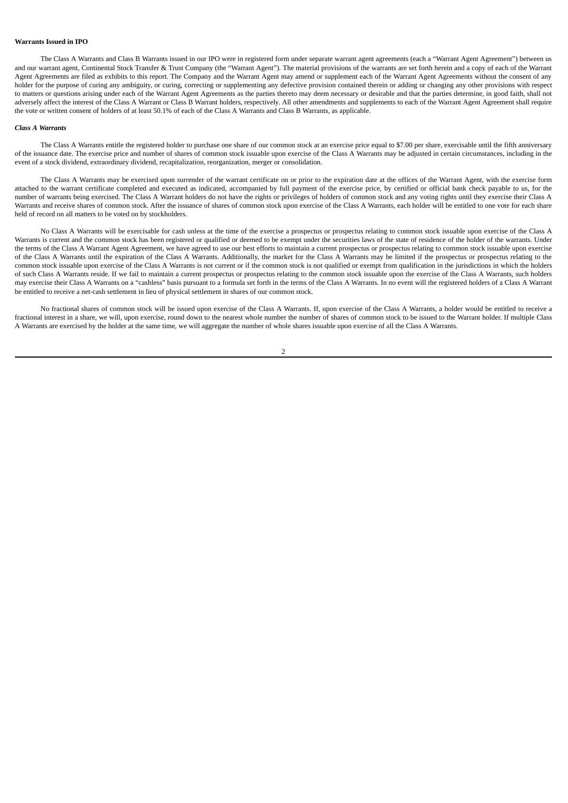#### **Warrants Issued in IPO**

The Class A Warrants and Class B Warrants issued in our IPO were in registered form under separate warrant agent agreements (each a "Warrant Agent Agreement") between us and our warrant agent, Continental Stock Transfer & Trust Company (the "Warrant Agent"). The material provisions of the warrants are set forth herein and a copy of each of the Warrant Agent Agreements are filed as exhibits to this report. The Company and the Warrant Agent may amend or supplement each of the Warrant Agent Agreements without the consent of any holder for the purpose of curing any ambiguity, or curing, correcting or supplementing any defective provision contained therein or adding or changing any other provisions with respect to matters or questions arising under each of the Warrant Agent Agreements as the parties thereto may deem necessary or desirable and that the parties determine, in good faith, shall not adversely affect the interest of the Class A Warrant or Class B Warrant holders, respectively. All other amendments and supplements to each of the Warrant Agent Agreement shall require the vote or written consent of holders of at least 50.1% of each of the Class A Warrants and Class B Warrants, as applicable.

### *Class A Warrants*

The Class A Warrants entitle the registered holder to purchase one share of our common stock at an exercise price equal to \$7.00 per share, exercisable until the fifth anniversary of the issuance date. The exercise price and number of shares of common stock issuable upon exercise of the Class A Warrants may be adjusted in certain circumstances, including in the event of a stock dividend, extraordinary dividend, recapitalization, reorganization, merger or consolidation.

The Class A Warrants may be exercised upon surrender of the warrant certificate on or prior to the expiration date at the offices of the Warrant Agent, with the exercise form attached to the warrant certificate completed and executed as indicated, accompanied by full payment of the exercise price, by certified or official bank check payable to us, for the number of warrants being exercised. The Class A Warrant holders do not have the rights or privileges of holders of common stock and any voting rights until they exercise their Class A Warrants and receive shares of common stock. After the issuance of shares of common stock upon exercise of the Class A Warrants, each holder will be entitled to one vote for each share held of record on all matters to be voted on by stockholders.

No Class A Warrants will be exercisable for cash unless at the time of the exercise a prospectus or prospectus relating to common stock issuable upon exercise of the Class A Warrants is current and the common stock has been registered or qualified or deemed to be exempt under the securities laws of the state of residence of the holder of the warrants. Under the terms of the Class A Warrant Agent Agreement, we have agreed to use our best efforts to maintain a current prospectus or prospectus relating to common stock issuable upon exercise of the Class A Warrants until the expiration of the Class A Warrants. Additionally, the market for the Class A Warrants may be limited if the prospectus or prospectus relating to the common stock issuable upon exercise of the Class A Warrants is not current or if the common stock is not qualified or exempt from qualification in the jurisdictions in which the holders of such Class A Warrants reside. If we fail to maintain a current prospectus or prospectus relating to the common stock issuable upon the exercise of the Class A Warrants, such holders may exercise their Class A Warrants on a "cashless" basis pursuant to a formula set forth in the terms of the Class A Warrants. In no event will the registered holders of a Class A Warrant be entitled to receive a net-cash settlement in lieu of physical settlement in shares of our common stock.

No fractional shares of common stock will be issued upon exercise of the Class A Warrants. If, upon exercise of the Class A Warrants, a holder would be entitled to receive a fractional interest in a share, we will, upon exercise, round down to the nearest whole number the number of shares of common stock to be issued to the Warrant holder. If multiple Class A Warrants are exercised by the holder at the same time, we will aggregate the number of whole shares issuable upon exercise of all the Class A Warrants.

## $\overline{2}$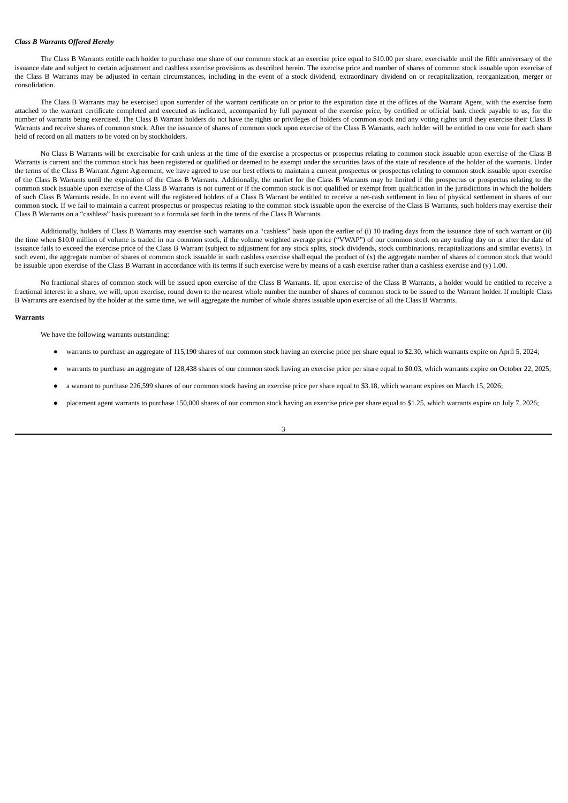### *Class B Warrants Offered Hereby*

The Class B Warrants entitle each holder to purchase one share of our common stock at an exercise price equal to \$10.00 per share, exercisable until the fifth anniversary of the issuance date and subject to certain adjustment and cashless exercise provisions as described herein. The exercise price and number of shares of common stock issuable upon exercise of the Class B Warrants may be adjusted in certain circumstances, including in the event of a stock dividend, extraordinary dividend on or recapitalization, reorganization, merger or consolidation.

The Class B Warrants may be exercised upon surrender of the warrant certificate on or prior to the expiration date at the offices of the Warrant Agent, with the exercise form attached to the warrant certificate completed and executed as indicated, accompanied by full payment of the exercise price, by certified or official bank check payable to us, for the number of warrants being exercised. The Class B Warrant holders do not have the rights or privileges of holders of common stock and any voting rights until they exercise their Class B Warrants and receive shares of common stock. After the issuance of shares of common stock upon exercise of the Class B Warrants, each holder will be entitled to one vote for each share held of record on all matters to be voted on by stockholders.

No Class B Warrants will be exercisable for cash unless at the time of the exercise a prospectus or prospectus relating to common stock issuable upon exercise of the Class B Warrants is current and the common stock has been registered or qualified or deemed to be exempt under the securities laws of the state of residence of the holder of the warrants. Under the terms of the Class B Warrant Agent Agreement, we have agreed to use our best efforts to maintain a current prospectus or prospectus relating to common stock issuable upon exercise of the Class B Warrants until the expiration of the Class B Warrants. Additionally, the market for the Class B Warrants may be limited if the prospectus or prospectus relating to the common stock issuable upon exercise of the Class B Warrants is not current or if the common stock is not qualified or exempt from qualification in the jurisdictions in which the holders of such Class B Warrants reside. In no event will the registered holders of a Class B Warrant be entitled to receive a net-cash settlement in lieu of physical settlement in shares of our common stock. If we fail to maintain a current prospectus or prospectus relating to the common stock issuable upon the exercise of the Class B Warrants, such holders may exercise their Class B Warrants on a "cashless" basis pursuant to a formula set forth in the terms of the Class B Warrants.

Additionally, holders of Class B Warrants may exercise such warrants on a "cashless" basis upon the earlier of (i) 10 trading days from the issuance date of such warrant or (ii) the time when \$10.0 million of volume is traded in our common stock, if the volume weighted average price ("VWAP") of our common stock on any trading day on or after the date of issuance fails to exceed the exercise price of the Class B Warrant (subject to adjustment for any stock splits, stock dividends, stock combinations, recapitalizations and similar events). In such event, the aggregate number of shares of common stock issuable in such cashless exercise shall equal the product of (x) the aggregate number of shares of common stock that would be issuable upon exercise of the Class B Warrant in accordance with its terms if such exercise were by means of a cash exercise rather than a cashless exercise and (y) 1.00.

No fractional shares of common stock will be issued upon exercise of the Class B Warrants. If, upon exercise of the Class B Warrants, a holder would be entitled to receive a fractional interest in a share, we will, upon exercise, round down to the nearest whole number the number of shares of common stock to be issued to the Warrant holder. If multiple Class B Warrants are exercised by the holder at the same time, we will aggregate the number of whole shares issuable upon exercise of all the Class B Warrants.

### **Warrants**

We have the following warrants outstanding:

- warrants to purchase an aggregate of 115,190 shares of our common stock having an exercise price per share equal to \$2.30, which warrants expire on April 5, 2024;
- warrants to purchase an aggregate of 128,438 shares of our common stock having an exercise price per share equal to \$0.03, which warrants expire on October 22, 2025;
- a warrant to purchase 226,599 shares of our common stock having an exercise price per share equal to \$3.18, which warrant expires on March 15, 2026;
- placement agent warrants to purchase 150,000 shares of our common stock having an exercise price per share equal to \$1.25, which warrants expire on July 7, 2026;

### 3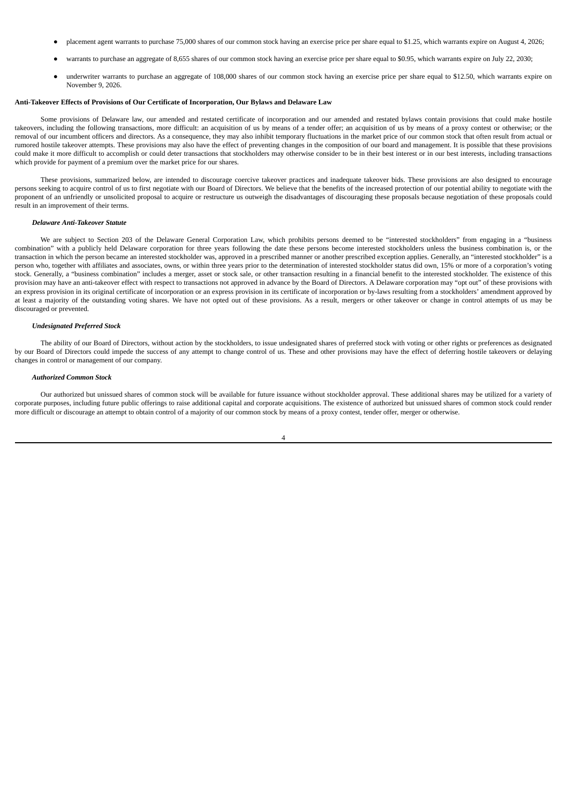- placement agent warrants to purchase 75,000 shares of our common stock having an exercise price per share equal to \$1.25, which warrants expire on August 4, 2026;
- warrants to purchase an aggregate of 8,655 shares of our common stock having an exercise price per share equal to \$0.95, which warrants expire on July 22, 2030;
- underwriter warrants to purchase an aggregate of 108,000 shares of our common stock having an exercise price per share equal to \$12.50, which warrants expire on November 9, 2026.

### **Anti-Takeover Effects of Provisions of Our Certificate of Incorporation, Our Bylaws and Delaware Law**

Some provisions of Delaware law, our amended and restated certificate of incorporation and our amended and restated bylaws contain provisions that could make hostile takeovers, including the following transactions, more difficult: an acquisition of us by means of a tender offer; an acquisition of us by means of a proxy contest or otherwise; or the removal of our incumbent officers and directors. As a consequence, they may also inhibit temporary fluctuations in the market price of our common stock that often result from actual or rumored hostile takeover attempts. These provisions may also have the effect of preventing changes in the composition of our board and management. It is possible that these provisions could make it more difficult to accomplish or could deter transactions that stockholders may otherwise consider to be in their best interest or in our best interests, including transactions which provide for payment of a premium over the market price for our shares.

These provisions, summarized below, are intended to discourage coercive takeover practices and inadequate takeover bids. These provisions are also designed to encourage persons seeking to acquire control of us to first negotiate with our Board of Directors. We believe that the benefits of the increased protection of our potential ability to negotiate with the proponent of an unfriendly or unsolicited proposal to acquire or restructure us outweigh the disadvantages of discouraging these proposals because negotiation of these proposals could result in an improvement of their terms.

### *Delaware Anti-Takeover Statute*

We are subject to Section 203 of the Delaware General Corporation Law, which prohibits persons deemed to be "interested stockholders" from engaging in a "business combination" with a publicly held Delaware corporation for three years following the date these persons become interested stockholders unless the business combination is, or the transaction in which the person became an interested stockholder was, approved in a prescribed manner or another prescribed exception applies. Generally, an "interested stockholder" is a person who, together with affiliates and associates, owns, or within three years prior to the determination of interested stockholder status did own, 15% or more of a corporation's voting stock. Generally, a "business combination" includes a merger, asset or stock sale, or other transaction resulting in a financial benefit to the interested stockholder. The existence of this provision may have an anti-takeover effect with respect to transactions not approved in advance by the Board of Directors. A Delaware corporation may "opt out" of these provisions with an express provision in its original certificate of incorporation or an express provision in its certificate of incorporation or by-laws resulting from a stockholders' amendment approved by at least a majority of the outstanding voting shares. We have not opted out of these provisions. As a result, mergers or other takeover or change in control attempts of us may be discouraged or prevented.

### *Undesignated Preferred Stock*

The ability of our Board of Directors, without action by the stockholders, to issue undesignated shares of preferred stock with voting or other rights or preferences as designated by our Board of Directors could impede the success of any attempt to change control of us. These and other provisions may have the effect of deferring hostile takeovers or delaying changes in control or management of our company.

#### *Authorized Common Stock*

Our authorized but unissued shares of common stock will be available for future issuance without stockholder approval. These additional shares may be utilized for a variety of corporate purposes, including future public offerings to raise additional capital and corporate acquisitions. The existence of authorized but unissued shares of common stock could render more difficult or discourage an attempt to obtain control of a majority of our common stock by means of a proxy contest, tender offer, merger or otherwise.

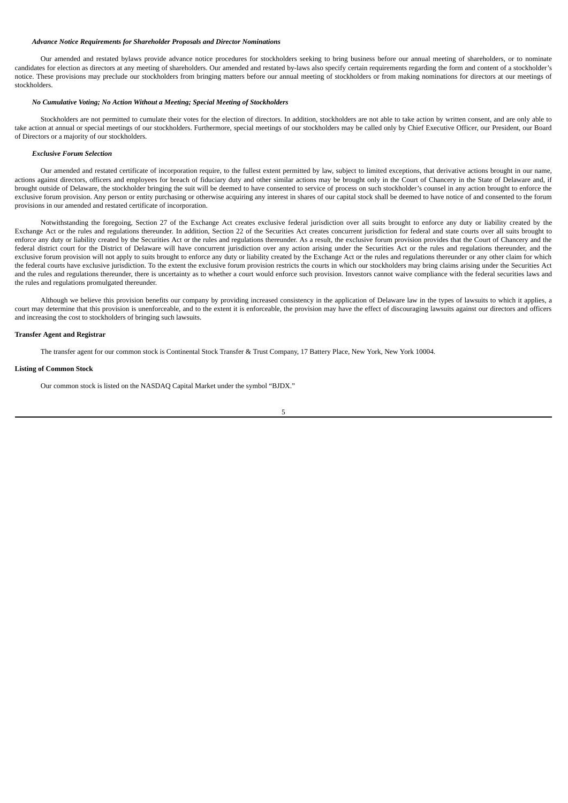#### *Advance Notice Requirements for Shareholder Proposals and Director Nominations*

Our amended and restated bylaws provide advance notice procedures for stockholders seeking to bring business before our annual meeting of shareholders, or to nominate candidates for election as directors at any meeting of shareholders. Our amended and restated by-laws also specify certain requirements regarding the form and content of a stockholder's notice. These provisions may preclude our stockholders from bringing matters before our annual meeting of stockholders or from making nominations for directors at our meetings of stockholders.

### *No Cumulative Voting; No Action Without a Meeting; Special Meeting of Stockholders*

Stockholders are not permitted to cumulate their votes for the election of directors. In addition, stockholders are not able to take action by written consent, and are only able to take action at annual or special meetings of our stockholders. Furthermore, special meetings of our stockholders may be called only by Chief Executive Officer, our President, our Board of Directors or a majority of our stockholders.

### *Exclusive Forum Selection*

Our amended and restated certificate of incorporation require, to the fullest extent permitted by law, subject to limited exceptions, that derivative actions brought in our name, actions against directors, officers and employees for breach of fiduciary duty and other similar actions may be brought only in the Court of Chancery in the State of Delaware and, if brought outside of Delaware, the stockholder bringing the suit will be deemed to have consented to service of process on such stockholder's counsel in any action brought to enforce the exclusive forum provision. Any person or entity purchasing or otherwise acquiring any interest in shares of our capital stock shall be deemed to have notice of and consented to the forum provisions in our amended and restated certificate of incorporation.

Notwithstanding the foregoing, Section 27 of the Exchange Act creates exclusive federal jurisdiction over all suits brought to enforce any duty or liability created by the Exchange Act or the rules and regulations thereunder. In addition, Section 22 of the Securities Act creates concurrent jurisdiction for federal and state courts over all suits brought to enforce any duty or liability created by the Securities Act or the rules and regulations thereunder. As a result, the exclusive forum provision provides that the Court of Chancery and the federal district court for the District of Delaware will have concurrent jurisdiction over any action arising under the Securities Act or the rules and regulations thereunder, and the exclusive forum provision will not apply to suits brought to enforce any duty or liability created by the Exchange Act or the rules and regulations thereunder or any other claim for which the federal courts have exclusive jurisdiction. To the extent the exclusive forum provision restricts the courts in which our stockholders may bring claims arising under the Securities Act and the rules and regulations thereunder, there is uncertainty as to whether a court would enforce such provision. Investors cannot waive compliance with the federal securities laws and the rules and regulations promulgated thereunder.

Although we believe this provision benefits our company by providing increased consistency in the application of Delaware law in the types of lawsuits to which it applies, a court may determine that this provision is unenforceable, and to the extent it is enforceable, the provision may have the effect of discouraging lawsuits against our directors and officers and increasing the cost to stockholders of bringing such lawsuits.

### **Transfer Agent and Registrar**

The transfer agent for our common stock is Continental Stock Transfer & Trust Company, 17 Battery Place, New York, New York 10004.

### **Listing of Common Stock**

Our common stock is listed on the NASDAQ Capital Market under the symbol "BJDX."

5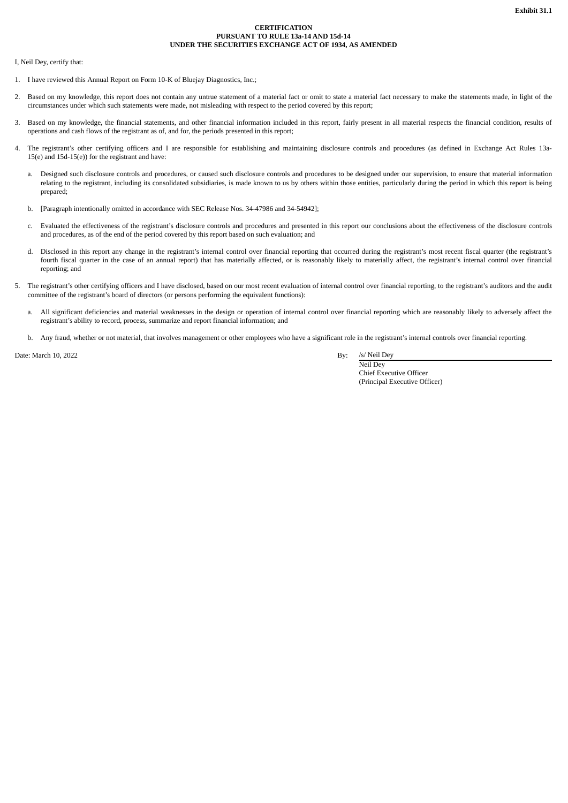## **CERTIFICATION PURSUANT TO RULE 13a-14 AND 15d-14 UNDER THE SECURITIES EXCHANGE ACT OF 1934, AS AMENDED**

I, Neil Dey, certify that:

- 1. I have reviewed this Annual Report on Form 10-K of Bluejay Diagnostics, Inc.;
- 2. Based on my knowledge, this report does not contain any untrue statement of a material fact or omit to state a material fact necessary to make the statements made, in light of the circumstances under which such statements were made, not misleading with respect to the period covered by this report;
- 3. Based on my knowledge, the financial statements, and other financial information included in this report, fairly present in all material respects the financial condition, results of operations and cash flows of the registrant as of, and for, the periods presented in this report;
- 4. The registrant's other certifying officers and I are responsible for establishing and maintaining disclosure controls and procedures (as defined in Exchange Act Rules 13a-15(e) and 15d-15(e)) for the registrant and have:
	- a. Designed such disclosure controls and procedures, or caused such disclosure controls and procedures to be designed under our supervision, to ensure that material information relating to the registrant, including its consolidated subsidiaries, is made known to us by others within those entities, particularly during the period in which this report is being prepared;
	- b. [Paragraph intentionally omitted in accordance with SEC Release Nos. 34-47986 and 34-54942];
	- c. Evaluated the effectiveness of the registrant's disclosure controls and procedures and presented in this report our conclusions about the effectiveness of the disclosure controls and procedures, as of the end of the period covered by this report based on such evaluation; and
	- d. Disclosed in this report any change in the registrant's internal control over financial reporting that occurred during the registrant's most recent fiscal quarter (the registrant's fourth fiscal quarter in the case of an annual report) that has materially affected, or is reasonably likely to materially affect, the registrant's internal control over financial reporting; and
- 5. The registrant's other certifying officers and I have disclosed, based on our most recent evaluation of internal control over financial reporting, to the registrant's auditors and the audit committee of the registrant's board of directors (or persons performing the equivalent functions):
	- a. All significant deficiencies and material weaknesses in the design or operation of internal control over financial reporting which are reasonably likely to adversely affect the registrant's ability to record, process, summarize and report financial information; and
	- b. Any fraud, whether or not material, that involves management or other employees who have a significant role in the registrant's internal controls over financial reporting.

Date: March 10, 2022 By: /s/ Neil Dey

Neil Dey Chief Executive Officer (Principal Executive Officer)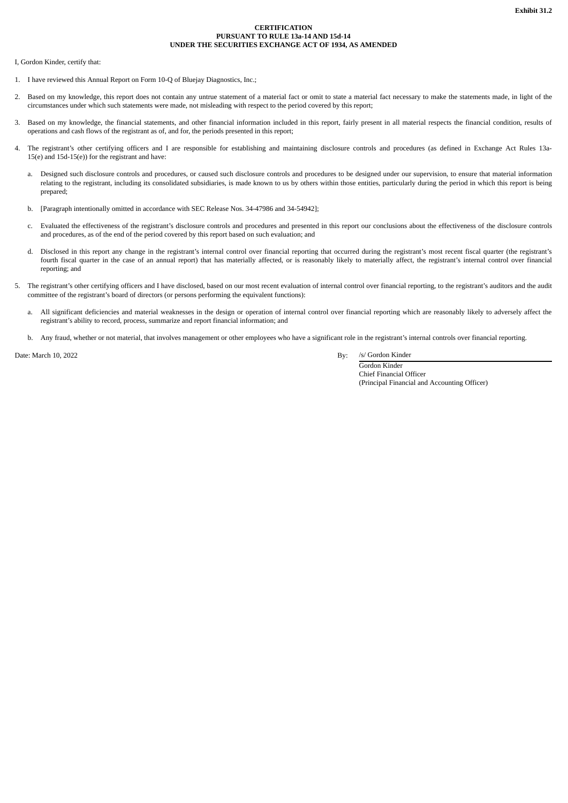## **CERTIFICATION PURSUANT TO RULE 13a-14 AND 15d-14 UNDER THE SECURITIES EXCHANGE ACT OF 1934, AS AMENDED**

I, Gordon Kinder, certify that:

- 1. I have reviewed this Annual Report on Form 10-Q of Bluejay Diagnostics, Inc.;
- 2. Based on my knowledge, this report does not contain any untrue statement of a material fact or omit to state a material fact necessary to make the statements made, in light of the circumstances under which such statements were made, not misleading with respect to the period covered by this report;
- 3. Based on my knowledge, the financial statements, and other financial information included in this report, fairly present in all material respects the financial condition, results of operations and cash flows of the registrant as of, and for, the periods presented in this report;
- 4. The registrant's other certifying officers and I are responsible for establishing and maintaining disclosure controls and procedures (as defined in Exchange Act Rules 13a-15(e) and 15d-15(e)) for the registrant and have:
	- a. Designed such disclosure controls and procedures, or caused such disclosure controls and procedures to be designed under our supervision, to ensure that material information relating to the registrant, including its consolidated subsidiaries, is made known to us by others within those entities, particularly during the period in which this report is being prepared;
	- b. [Paragraph intentionally omitted in accordance with SEC Release Nos. 34-47986 and 34-54942];
	- c. Evaluated the effectiveness of the registrant's disclosure controls and procedures and presented in this report our conclusions about the effectiveness of the disclosure controls and procedures, as of the end of the period covered by this report based on such evaluation; and
	- d. Disclosed in this report any change in the registrant's internal control over financial reporting that occurred during the registrant's most recent fiscal quarter (the registrant's fourth fiscal quarter in the case of an annual report) that has materially affected, or is reasonably likely to materially affect, the registrant's internal control over financial reporting; and
- 5. The registrant's other certifying officers and I have disclosed, based on our most recent evaluation of internal control over financial reporting, to the registrant's auditors and the audit committee of the registrant's board of directors (or persons performing the equivalent functions):
	- a. All significant deficiencies and material weaknesses in the design or operation of internal control over financial reporting which are reasonably likely to adversely affect the registrant's ability to record, process, summarize and report financial information; and
	- b. Any fraud, whether or not material, that involves management or other employees who have a significant role in the registrant's internal controls over financial reporting.

Date: March 10, 2022 By: /s/ Gordon Kinder

Gordon Kinder Chief Financial Officer (Principal Financial and Accounting Officer)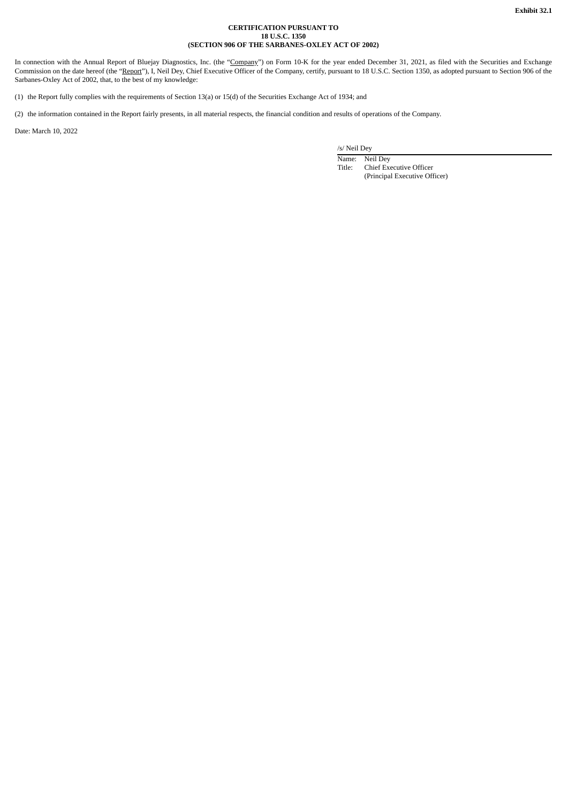# **CERTIFICATION PURSUANT TO 18 U.S.C. 1350 (SECTION 906 OF THE SARBANES-OXLEY ACT OF 2002)**

In connection with the Annual Report of Bluejay Diagnostics, Inc. (the "Company") on Form 10-K for the year ended December 31, 2021, as filed with the Securities and Exchange Commission on the date hereof (the "Report"), I, Neil Dey, Chief Executive Officer of the Company, certify, pursuant to 18 U.S.C. Section 1350, as adopted pursuant to Section 906 of the Sarbanes-Oxley Act of 2002, that, to the best of my knowledge:

(1) the Report fully complies with the requirements of Section 13(a) or 15(d) of the Securities Exchange Act of 1934; and

(2) the information contained in the Report fairly presents, in all material respects, the financial condition and results of operations of the Company.

Date: March 10, 2022

/s/ Neil Dey

Name: Neil Dey Title: Chief Executive Officer (Principal Executive Officer)